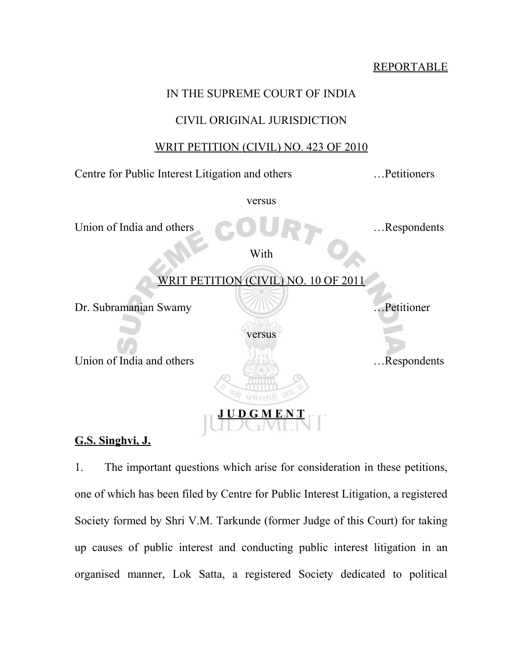## REPORTABLE

| IN THE SUPREME COURT OF INDIA                    |             |
|--------------------------------------------------|-------------|
| CIVIL ORIGINAL JURISDICTION                      |             |
| WRIT PETITION (CIVIL) NO. 423 OF 2010            |             |
| Centre for Public Interest Litigation and others | Petitioners |
| versus                                           |             |
| Union of India and others                        | Respondents |
| With                                             |             |
| WRIT PETITION (CIVIL) NO. 10 OF 2011             |             |
| Dr. Subramanian Swamy                            | Petitioner  |
| versus                                           |             |
| Union of India and others                        | Respondents |
| <u>JDGME</u>                                     |             |
| G.S. Singhvi, J.                                 |             |

1. The important questions which arise for consideration in these petitions, one of which has been filed by Centre for Public Interest Litigation, a registered Society formed by Shri V.M. Tarkunde (former Judge of this Court) for taking up causes of public interest and conducting public interest litigation in an organised manner, Lok Satta, a registered Society dedicated to political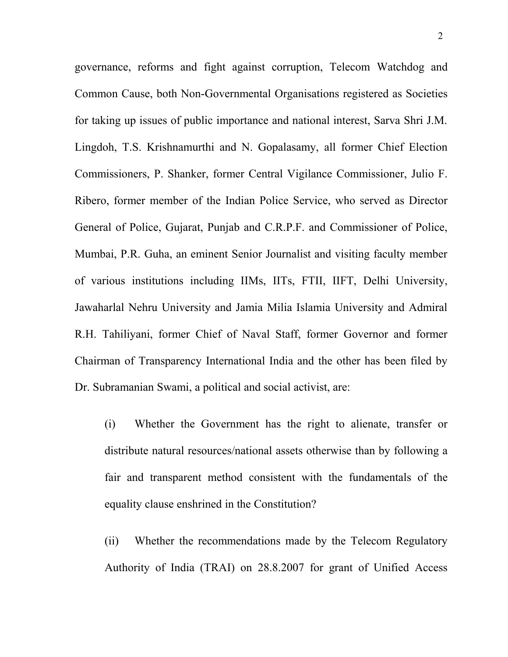governance, reforms and fight against corruption, Telecom Watchdog and Common Cause, both Non-Governmental Organisations registered as Societies for taking up issues of public importance and national interest, Sarva Shri J.M. Lingdoh, T.S. Krishnamurthi and N. Gopalasamy, all former Chief Election Commissioners, P. Shanker, former Central Vigilance Commissioner, Julio F. Ribero, former member of the Indian Police Service, who served as Director General of Police, Gujarat, Punjab and C.R.P.F. and Commissioner of Police, Mumbai, P.R. Guha, an eminent Senior Journalist and visiting faculty member of various institutions including IIMs, IITs, FTII, IIFT, Delhi University, Jawaharlal Nehru University and Jamia Milia Islamia University and Admiral R.H. Tahiliyani, former Chief of Naval Staff, former Governor and former Chairman of Transparency International India and the other has been filed by Dr. Subramanian Swami, a political and social activist, are:

- (i) Whether the Government has the right to alienate, transfer or distribute natural resources/national assets otherwise than by following a fair and transparent method consistent with the fundamentals of the equality clause enshrined in the Constitution?
- (ii) Whether the recommendations made by the Telecom Regulatory Authority of India (TRAI) on 28.8.2007 for grant of Unified Access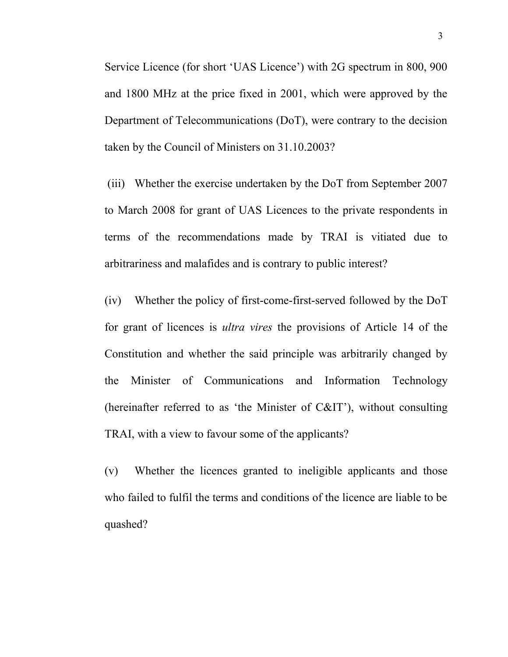Service Licence (for short 'UAS Licence') with 2G spectrum in 800, 900 and 1800 MHz at the price fixed in 2001, which were approved by the Department of Telecommunications (DoT), were contrary to the decision taken by the Council of Ministers on 31.10.2003?

 (iii) Whether the exercise undertaken by the DoT from September 2007 to March 2008 for grant of UAS Licences to the private respondents in terms of the recommendations made by TRAI is vitiated due to arbitrariness and malafides and is contrary to public interest?

(iv) Whether the policy of first-come-first-served followed by the DoT for grant of licences is *ultra vires* the provisions of Article 14 of the Constitution and whether the said principle was arbitrarily changed by the Minister of Communications and Information Technology (hereinafter referred to as 'the Minister of C&IT'), without consulting TRAI, with a view to favour some of the applicants?

(v) Whether the licences granted to ineligible applicants and those who failed to fulfil the terms and conditions of the licence are liable to be quashed?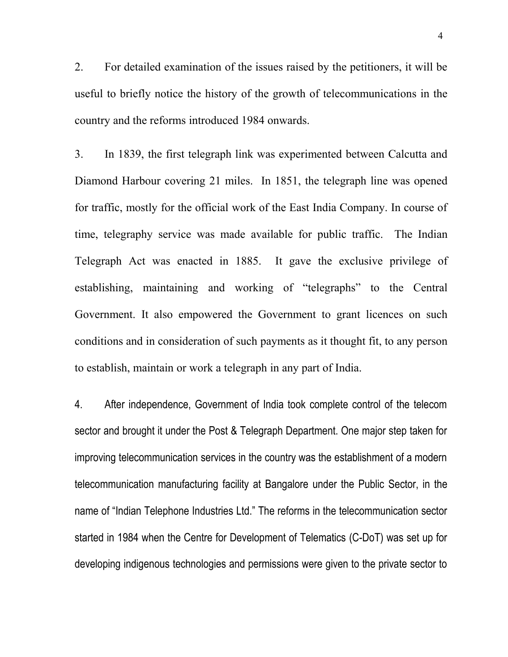2. For detailed examination of the issues raised by the petitioners, it will be useful to briefly notice the history of the growth of telecommunications in the country and the reforms introduced 1984 onwards.

3. In 1839, the first telegraph link was experimented between Calcutta and Diamond Harbour covering 21 miles. In 1851, the telegraph line was opened for traffic, mostly for the official work of the East India Company. In course of time, telegraphy service was made available for public traffic. The Indian Telegraph Act was enacted in 1885. It gave the exclusive privilege of establishing, maintaining and working of "telegraphs" to the Central Government. It also empowered the Government to grant licences on such conditions and in consideration of such payments as it thought fit, to any person to establish, maintain or work a telegraph in any part of India.

4. After independence, Government of India took complete control of the telecom sector and brought it under the Post & Telegraph Department. One major step taken for improving telecommunication services in the country was the establishment of a modern telecommunication manufacturing facility at Bangalore under the Public Sector, in the name of "Indian Telephone Industries Ltd." The reforms in the telecommunication sector started in 1984 when the Centre for Development of Telematics (C-DoT) was set up for developing indigenous technologies and permissions were given to the private sector to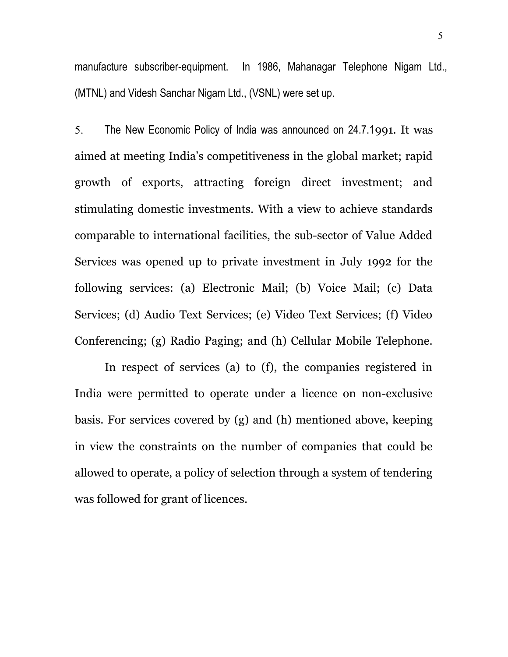manufacture subscriber-equipment. In 1986, Mahanagar Telephone Nigam Ltd., (MTNL) and Videsh Sanchar Nigam Ltd., (VSNL) were set up.

5. The New Economic Policy of India was announced on 24.7.1991. It was aimed at meeting India's competitiveness in the global market; rapid growth of exports, attracting foreign direct investment; and stimulating domestic investments. With a view to achieve standards comparable to international facilities, the sub-sector of Value Added Services was opened up to private investment in July 1992 for the following services: (a) Electronic Mail; (b) Voice Mail; (c) Data Services; (d) Audio Text Services; (e) Video Text Services; (f) Video Conferencing; (g) Radio Paging; and (h) Cellular Mobile Telephone.

In respect of services (a) to (f), the companies registered in India were permitted to operate under a licence on non-exclusive basis. For services covered by (g) and (h) mentioned above, keeping in view the constraints on the number of companies that could be allowed to operate, a policy of selection through a system of tendering was followed for grant of licences.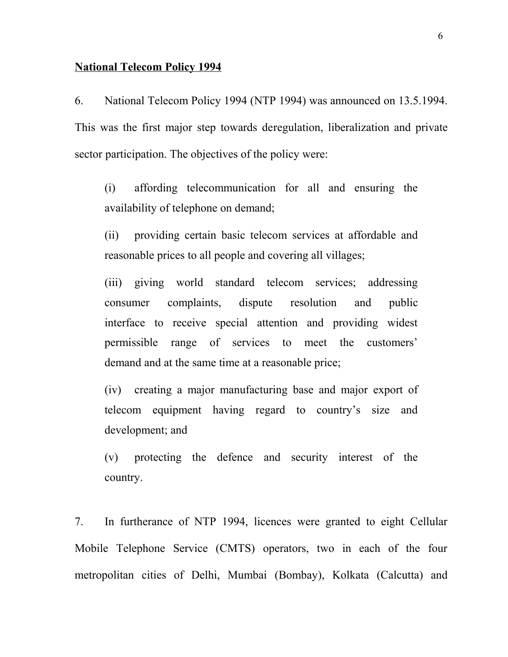#### **National Telecom Policy 1994**

6. National Telecom Policy 1994 (NTP 1994) was announced on 13.5.1994. This was the first major step towards deregulation, liberalization and private sector participation. The objectives of the policy were:

(i) affording telecommunication for all and ensuring the availability of telephone on demand;

(ii) providing certain basic telecom services at affordable and reasonable prices to all people and covering all villages;

(iii) giving world standard telecom services; addressing consumer complaints, dispute resolution and public interface to receive special attention and providing widest permissible range of services to meet the customers' demand and at the same time at a reasonable price;

(iv) creating a major manufacturing base and major export of telecom equipment having regard to country's size and development; and

(v) protecting the defence and security interest of the country.

7. In furtherance of NTP 1994, licences were granted to eight Cellular Mobile Telephone Service (CMTS) operators, two in each of the four metropolitan cities of Delhi, Mumbai (Bombay), Kolkata (Calcutta) and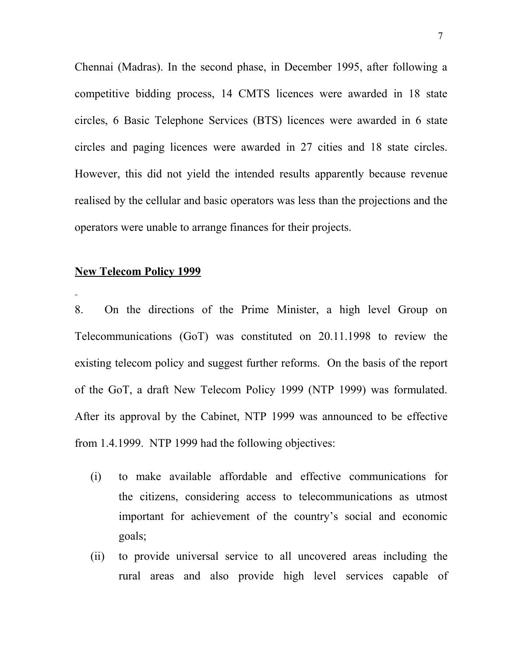Chennai (Madras). In the second phase, in December 1995, after following a competitive bidding process, 14 CMTS licences were awarded in 18 state circles, 6 Basic Telephone Services (BTS) licences were awarded in 6 state circles and paging licences were awarded in 27 cities and 18 state circles. However, this did not yield the intended results apparently because revenue realised by the cellular and basic operators was less than the projections and the operators were unable to arrange finances for their projects.

#### **New Telecom Policy 1999**

8. On the directions of the Prime Minister, a high level Group on Telecommunications (GoT) was constituted on 20.11.1998 to review the existing telecom policy and suggest further reforms. On the basis of the report of the GoT, a draft New Telecom Policy 1999 (NTP 1999) was formulated. After its approval by the Cabinet, NTP 1999 was announced to be effective from 1.4.1999. NTP 1999 had the following objectives:

- (i) to make available affordable and effective communications for the citizens, considering access to telecommunications as utmost important for achievement of the country's social and economic goals;
- (ii) to provide universal service to all uncovered areas including the rural areas and also provide high level services capable of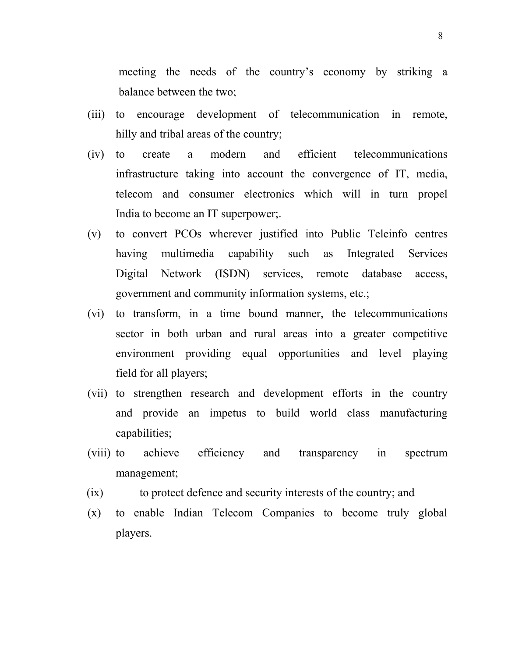meeting the needs of the country's economy by striking a balance between the two;

- (iii) to encourage development of telecommunication in remote, hilly and tribal areas of the country;
- (iv) to create a modern and efficient telecommunications infrastructure taking into account the convergence of IT, media, telecom and consumer electronics which will in turn propel India to become an IT superpower;.
- (v) to convert PCOs wherever justified into Public Teleinfo centres having multimedia capability such as Integrated Services Digital Network (ISDN) services, remote database access, government and community information systems, etc.;
- (vi) to transform, in a time bound manner, the telecommunications sector in both urban and rural areas into a greater competitive environment providing equal opportunities and level playing field for all players;
- (vii) to strengthen research and development efforts in the country and provide an impetus to build world class manufacturing capabilities;
- (viii) to achieve efficiency and transparency in spectrum management;
- (ix) to protect defence and security interests of the country; and
- (x) to enable Indian Telecom Companies to become truly global players.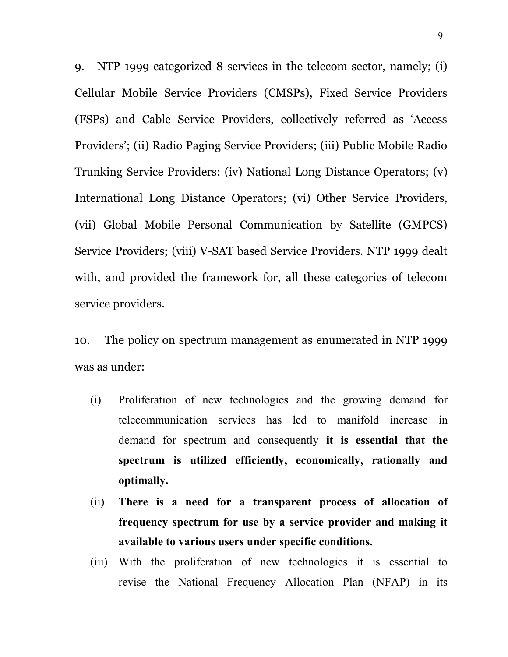9. NTP 1999 categorized 8 services in the telecom sector, namely; (i) Cellular Mobile Service Providers (CMSPs), Fixed Service Providers (FSPs) and Cable Service Providers, collectively referred as 'Access Providers'; (ii) Radio Paging Service Providers; (iii) Public Mobile Radio Trunking Service Providers; (iv) National Long Distance Operators; (v) International Long Distance Operators; (vi) Other Service Providers, (vii) Global Mobile Personal Communication by Satellite (GMPCS) Service Providers; (viii) V-SAT based Service Providers. NTP 1999 dealt with, and provided the framework for, all these categories of telecom service providers.

10. The policy on spectrum management as enumerated in NTP 1999 was as under:

- (i) Proliferation of new technologies and the growing demand for telecommunication services has led to manifold increase in demand for spectrum and consequently **it is essential that the spectrum is utilized efficiently, economically, rationally and optimally.**
- (ii) **There is a need for a transparent process of allocation of frequency spectrum for use by a service provider and making it available to various users under specific conditions.**
- (iii) With the proliferation of new technologies it is essential to revise the National Frequency Allocation Plan (NFAP) in its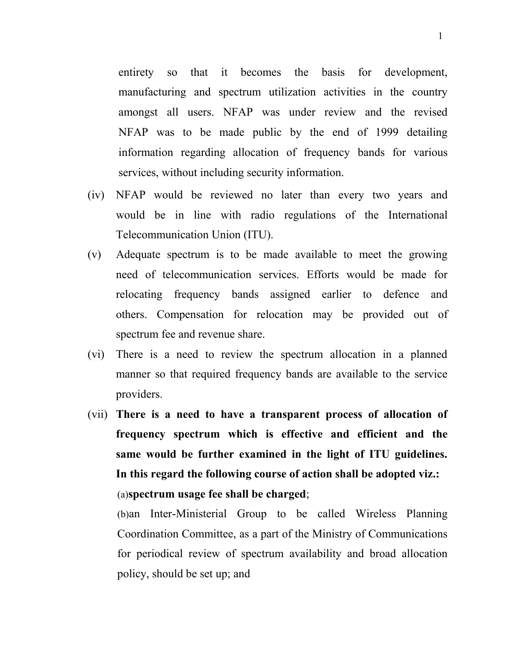entirety so that it becomes the basis for development, manufacturing and spectrum utilization activities in the country amongst all users. NFAP was under review and the revised NFAP was to be made public by the end of 1999 detailing information regarding allocation of frequency bands for various services, without including security information.

- (iv) NFAP would be reviewed no later than every two years and would be in line with radio regulations of the International Telecommunication Union (ITU).
- (v) Adequate spectrum is to be made available to meet the growing need of telecommunication services. Efforts would be made for relocating frequency bands assigned earlier to defence and others. Compensation for relocation may be provided out of spectrum fee and revenue share.
- (vi) There is a need to review the spectrum allocation in a planned manner so that required frequency bands are available to the service providers.
- (vii) **There is a need to have a transparent process of allocation of frequency spectrum which is effective and efficient and the same would be further examined in the light of ITU guidelines. In this regard the following course of action shall be adopted viz.:** (a)**spectrum usage fee shall be charged**;

(b)an Inter-Ministerial Group to be called Wireless Planning Coordination Committee, as a part of the Ministry of Communications for periodical review of spectrum availability and broad allocation policy, should be set up; and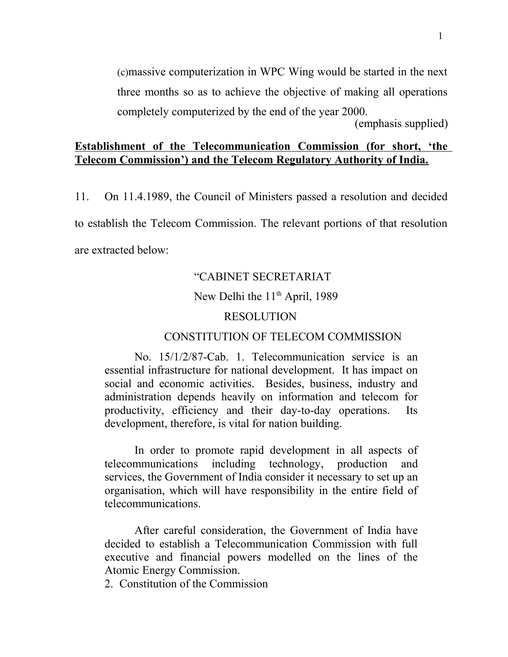(c)massive computerization in WPC Wing would be started in the next three months so as to achieve the objective of making all operations completely computerized by the end of the year 2000.

(emphasis supplied)

### **Establishment of the Telecommunication Commission (for short, 'the Telecom Commission') and the Telecom Regulatory Authority of India.**

11. On 11.4.1989, the Council of Ministers passed a resolution and decided to establish the Telecom Commission. The relevant portions of that resolution are extracted below:

# "CABINET SECRETARIAT

New Delhi the  $11<sup>th</sup>$  April, 1989

## RESOLUTION

## CONSTITUTION OF TELECOM COMMISSION

No. 15/1/2/87-Cab. 1. Telecommunication service is an essential infrastructure for national development. It has impact on social and economic activities. Besides, business, industry and administration depends heavily on information and telecom for productivity, efficiency and their day-to-day operations. Its development, therefore, is vital for nation building.

In order to promote rapid development in all aspects of telecommunications including technology, production and services, the Government of India consider it necessary to set up an organisation, which will have responsibility in the entire field of telecommunications.

After careful consideration, the Government of India have decided to establish a Telecommunication Commission with full executive and financial powers modelled on the lines of the Atomic Energy Commission.

2. Constitution of the Commission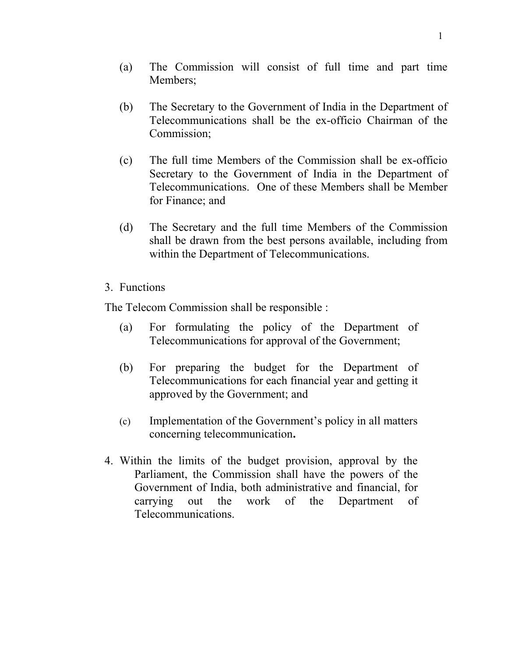- (a) The Commission will consist of full time and part time Members;
- (b) The Secretary to the Government of India in the Department of Telecommunications shall be the ex-officio Chairman of the Commission;
- (c) The full time Members of the Commission shall be ex-officio Secretary to the Government of India in the Department of Telecommunications. One of these Members shall be Member for Finance; and
- (d) The Secretary and the full time Members of the Commission shall be drawn from the best persons available, including from within the Department of Telecommunications.
- 3. Functions

The Telecom Commission shall be responsible :

- (a) For formulating the policy of the Department of Telecommunications for approval of the Government;
- (b) For preparing the budget for the Department of Telecommunications for each financial year and getting it approved by the Government; and
- (c) Implementation of the Government's policy in all matters concerning telecommunication**.**
- 4. Within the limits of the budget provision, approval by the Parliament, the Commission shall have the powers of the Government of India, both administrative and financial, for carrying out the work of the Department of Telecommunications.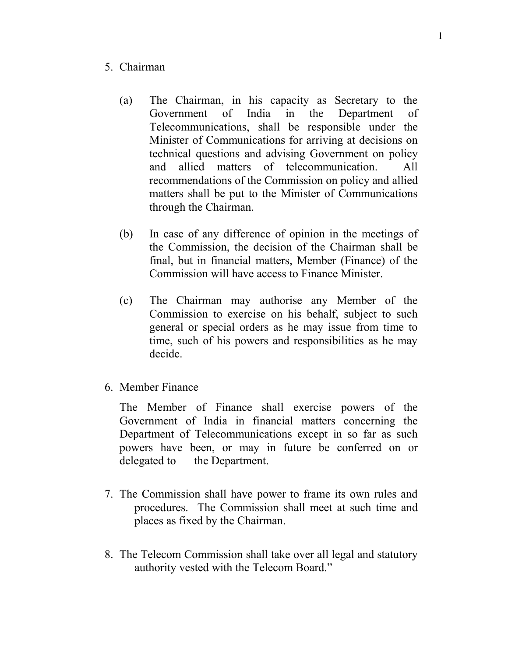#### 5. Chairman

- (a) The Chairman, in his capacity as Secretary to the Government of India in the Department of Telecommunications, shall be responsible under the Minister of Communications for arriving at decisions on technical questions and advising Government on policy and allied matters of telecommunication. All recommendations of the Commission on policy and allied matters shall be put to the Minister of Communications through the Chairman.
- (b) In case of any difference of opinion in the meetings of the Commission, the decision of the Chairman shall be final, but in financial matters, Member (Finance) of the Commission will have access to Finance Minister.
- (c) The Chairman may authorise any Member of the Commission to exercise on his behalf, subject to such general or special orders as he may issue from time to time, such of his powers and responsibilities as he may decide.
- 6. Member Finance

The Member of Finance shall exercise powers of the Government of India in financial matters concerning the Department of Telecommunications except in so far as such powers have been, or may in future be conferred on or delegated to the Department.

- 7. The Commission shall have power to frame its own rules and procedures. The Commission shall meet at such time and places as fixed by the Chairman.
- 8. The Telecom Commission shall take over all legal and statutory authority vested with the Telecom Board."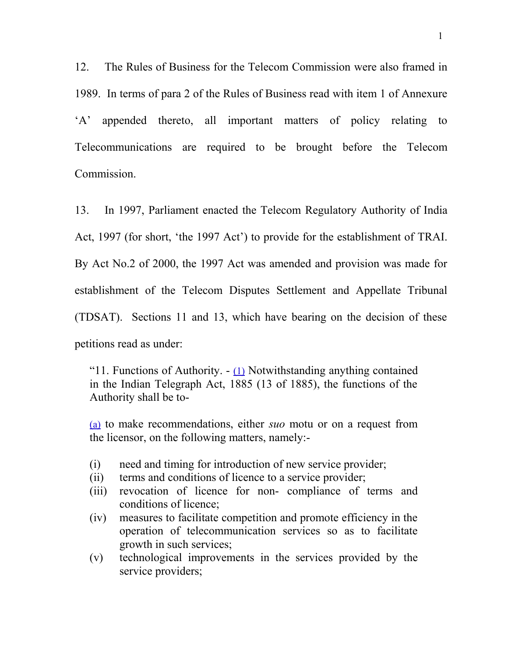12. The Rules of Business for the Telecom Commission were also framed in 1989. In terms of para 2 of the Rules of Business read with item 1 of Annexure 'A' appended thereto, all important matters of policy relating to Telecommunications are required to be brought before the Telecom Commission.

13. In 1997, Parliament enacted the Telecom Regulatory Authority of India Act, 1997 (for short, 'the 1997 Act') to provide for the establishment of TRAI. By Act No.2 of 2000, the 1997 Act was amended and provision was made for establishment of the Telecom Disputes Settlement and Appellate Tribunal (TDSAT). Sections 11 and 13, which have bearing on the decision of these petitions read as under:

"11. Functions of Authority. - [\(1\)](http://indiankanoon.org/doc/1868782/) Notwithstanding anything contained in the Indian Telegraph Act, 1885 (13 of 1885), the functions of the Authority shall be to-

[\(a\)](http://indiankanoon.org/doc/785399/) to make recommendations, either *suo* motu or on a request from the licensor, on the following matters, namely:-

- (i) need and timing for introduction of new service provider;
- (ii) terms and conditions of licence to a service provider;
- (iii) revocation of licence for non- compliance of terms and conditions of licence;
- (iv) measures to facilitate competition and promote efficiency in the operation of telecommunication services so as to facilitate growth in such services;
- (v) technological improvements in the services provided by the service providers;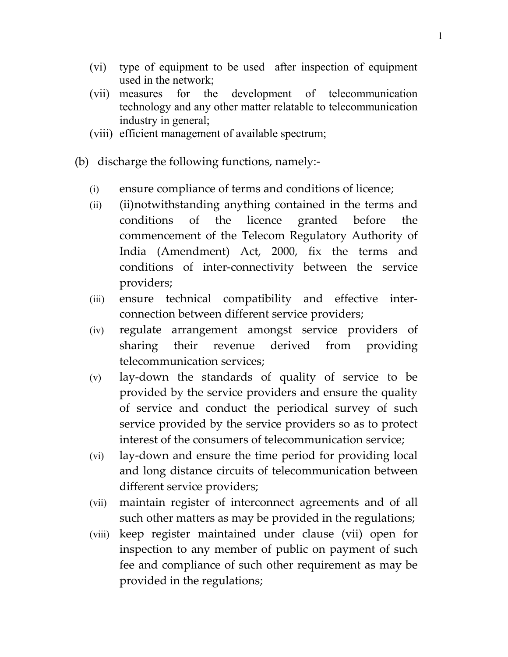- (vi) type of equipment to be used after inspection of equipment used in the network;
- (vii) measures for the development of telecommunication technology and any other matter relatable to telecommunication industry in general;
- (viii) efficient management of available spectrum;
- (b) discharge the following functions, namely:-
	- (i) ensure compliance of terms and conditions of licence;
	- (ii) (ii)notwithstanding anything contained in the terms and conditions of the licence granted before the commencement of the Telecom Regulatory Authority of India (Amendment) Act, 2000, fix the terms and conditions of inter-connectivity between the service providers;
	- (iii) ensure technical compatibility and effective interconnection between different service providers;
	- (iv) regulate arrangement amongst service providers of sharing their revenue derived from providing telecommunication services;
	- (v) lay-down the standards of quality of service to be provided by the service providers and ensure the quality of service and conduct the periodical survey of such service provided by the service providers so as to protect interest of the consumers of telecommunication service;
	- (vi) lay-down and ensure the time period for providing local and long distance circuits of telecommunication between different service providers;
	- (vii) maintain register of interconnect agreements and of all such other matters as may be provided in the regulations;
	- (viii) keep register maintained under clause (vii) open for inspection to any member of public on payment of such fee and compliance of such other requirement as may be provided in the regulations;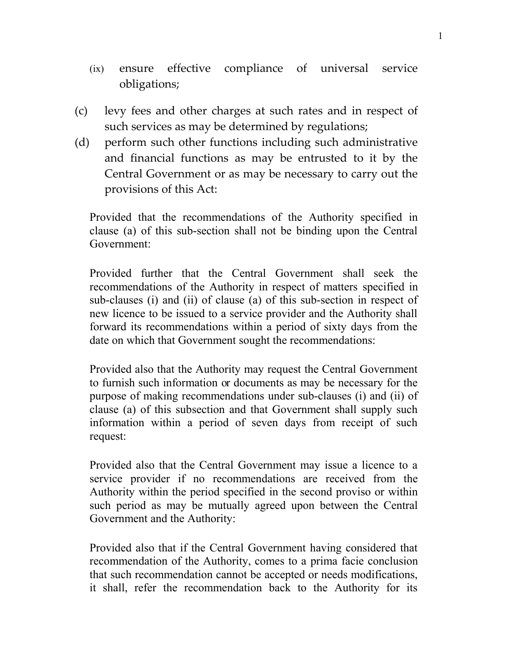- (ix) ensure effective compliance of universal service obligations;
- (c) levy fees and other charges at such rates and in respect of such services as may be determined by regulations;
- (d) perform such other functions including such administrative and financial functions as may be entrusted to it by the Central Government or as may be necessary to carry out the provisions of this Act:

Provided that the recommendations of the Authority specified in clause (a) of this sub-section shall not be binding upon the Central Government:

Provided further that the Central Government shall seek the recommendations of the Authority in respect of matters specified in sub-clauses (i) and (ii) of clause (a) of this sub-section in respect of new licence to be issued to a service provider and the Authority shall forward its recommendations within a period of sixty days from the date on which that Government sought the recommendations:

Provided also that the Authority may request the Central Government to furnish such information or documents as may be necessary for the purpose of making recommendations under sub-clauses (i) and (ii) of clause (a) of this subsection and that Government shall supply such information within a period of seven days from receipt of such request:

Provided also that the Central Government may issue a licence to a service provider if no recommendations are received from the Authority within the period specified in the second proviso or within such period as may be mutually agreed upon between the Central Government and the Authority:

Provided also that if the Central Government having considered that recommendation of the Authority, comes to a prima facie conclusion that such recommendation cannot be accepted or needs modifications, it shall, refer the recommendation back to the Authority for its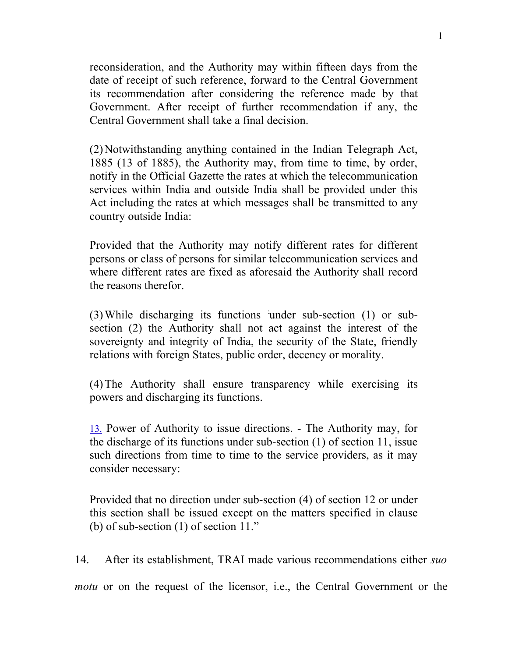reconsideration, and the Authority may within fifteen days from the date of receipt of such reference, forward to the Central Government its recommendation after considering the reference made by that Government. After receipt of further recommendation if any, the Central Government shall take a final decision.

(2)Notwithstanding anything contained in the Indian Telegraph Act, 1885 (13 of 1885), the Authority may, from time to time, by order, notify in the Official Gazette the rates at which the telecommunication services within India and outside India shall be provided under this Act including the rates at which messages shall be transmitted to any country outside India:

Provided that the Authority may notify different rates for different persons or class of persons for similar telecommunication services and where different rates are fixed as aforesaid the Authority shall record the reasons therefor.

 $(3)$  While discharging its functions under sub-section  $(1)$  or subsection (2) the Authority shall not act against the interest of the sovereignty and integrity of India, the security of the State, friendly relations with foreign States, public order, decency or morality.

(4)The Authority shall ensure transparency while exercising its powers and discharging its functions.

[13.](http://indiankanoon.org/doc/1194256/) Power of Authority to issue directions. - The Authority may, for the discharge of its functions under sub-section (1) of section 11, issue such directions from time to time to the service providers, as it may consider necessary:

Provided that no direction under sub-section (4) of section 12 or under this section shall be issued except on the matters specified in clause (b) of sub-section (1) of section 11."

14. After its establishment, TRAI made various recommendations either *suo motu* or on the request of the licensor, i.e., the Central Government or the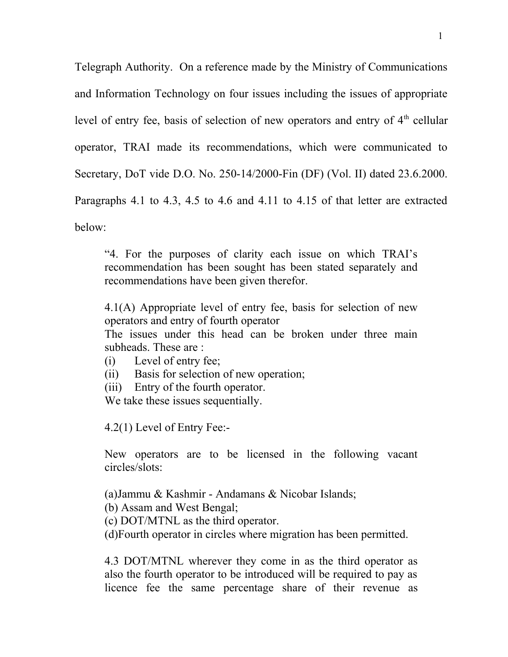Telegraph Authority. On a reference made by the Ministry of Communications and Information Technology on four issues including the issues of appropriate level of entry fee, basis of selection of new operators and entry of  $4<sup>th</sup>$  cellular operator, TRAI made its recommendations, which were communicated to Secretary, DoT vide D.O. No. 250-14/2000-Fin (DF) (Vol. II) dated 23.6.2000. Paragraphs 4.1 to 4.3, 4.5 to 4.6 and 4.11 to 4.15 of that letter are extracted

below:

"4. For the purposes of clarity each issue on which TRAI's recommendation has been sought has been stated separately and recommendations have been given therefor.

4.1(A) Appropriate level of entry fee, basis for selection of new operators and entry of fourth operator

The issues under this head can be broken under three main subheads. These are :

- (i) Level of entry fee;
- (ii) Basis for selection of new operation;
- (iii) Entry of the fourth operator.

We take these issues sequentially.

4.2(1) Level of Entry Fee:-

New operators are to be licensed in the following vacant circles/slots:

(a)Jammu & Kashmir - Andamans & Nicobar Islands;

(b) Assam and West Bengal;

(c) DOT/MTNL as the third operator.

(d)Fourth operator in circles where migration has been permitted.

4.3 DOT/MTNL wherever they come in as the third operator as also the fourth operator to be introduced will be required to pay as licence fee the same percentage share of their revenue as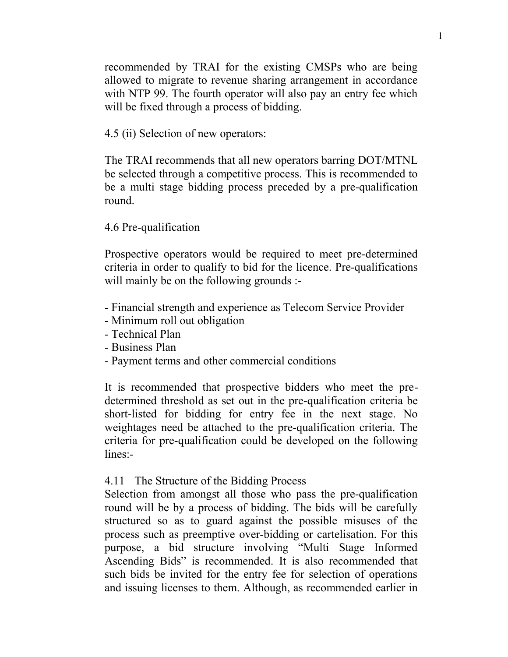recommended by TRAI for the existing CMSPs who are being allowed to migrate to revenue sharing arrangement in accordance with NTP 99. The fourth operator will also pay an entry fee which will be fixed through a process of bidding.

4.5 (ii) Selection of new operators:

The TRAI recommends that all new operators barring DOT/MTNL be selected through a competitive process. This is recommended to be a multi stage bidding process preceded by a pre-qualification round.

# 4.6 Pre-qualification

Prospective operators would be required to meet pre-determined criteria in order to qualify to bid for the licence. Pre-qualifications will mainly be on the following grounds :-

- Financial strength and experience as Telecom Service Provider
- Minimum roll out obligation
- Technical Plan
- Business Plan
- Payment terms and other commercial conditions

It is recommended that prospective bidders who meet the predetermined threshold as set out in the pre-qualification criteria be short-listed for bidding for entry fee in the next stage. No weightages need be attached to the pre-qualification criteria. The criteria for pre-qualification could be developed on the following lines:-

# 4.11 The Structure of the Bidding Process

Selection from amongst all those who pass the pre-qualification round will be by a process of bidding. The bids will be carefully structured so as to guard against the possible misuses of the process such as preemptive over-bidding or cartelisation. For this purpose, a bid structure involving "Multi Stage Informed Ascending Bids" is recommended. It is also recommended that such bids be invited for the entry fee for selection of operations and issuing licenses to them. Although, as recommended earlier in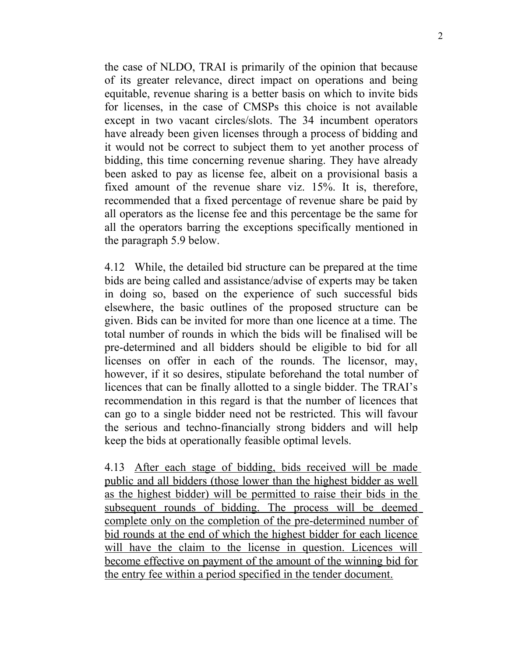the case of NLDO, TRAI is primarily of the opinion that because of its greater relevance, direct impact on operations and being equitable, revenue sharing is a better basis on which to invite bids for licenses, in the case of CMSPs this choice is not available except in two vacant circles/slots. The 34 incumbent operators have already been given licenses through a process of bidding and it would not be correct to subject them to yet another process of bidding, this time concerning revenue sharing. They have already been asked to pay as license fee, albeit on a provisional basis a fixed amount of the revenue share viz. 15%. It is, therefore, recommended that a fixed percentage of revenue share be paid by all operators as the license fee and this percentage be the same for all the operators barring the exceptions specifically mentioned in the paragraph 5.9 below.

4.12 While, the detailed bid structure can be prepared at the time bids are being called and assistance/advise of experts may be taken in doing so, based on the experience of such successful bids elsewhere, the basic outlines of the proposed structure can be given. Bids can be invited for more than one licence at a time. The total number of rounds in which the bids will be finalised will be pre-determined and all bidders should be eligible to bid for all licenses on offer in each of the rounds. The licensor, may, however, if it so desires, stipulate beforehand the total number of licences that can be finally allotted to a single bidder. The TRAI's recommendation in this regard is that the number of licences that can go to a single bidder need not be restricted. This will favour the serious and techno-financially strong bidders and will help keep the bids at operationally feasible optimal levels.

4.13 After each stage of bidding, bids received will be made public and all bidders (those lower than the highest bidder as well as the highest bidder) will be permitted to raise their bids in the subsequent rounds of bidding. The process will be deemed complete only on the completion of the pre-determined number of bid rounds at the end of which the highest bidder for each licence will have the claim to the license in question. Licences will become effective on payment of the amount of the winning bid for the entry fee within a period specified in the tender document.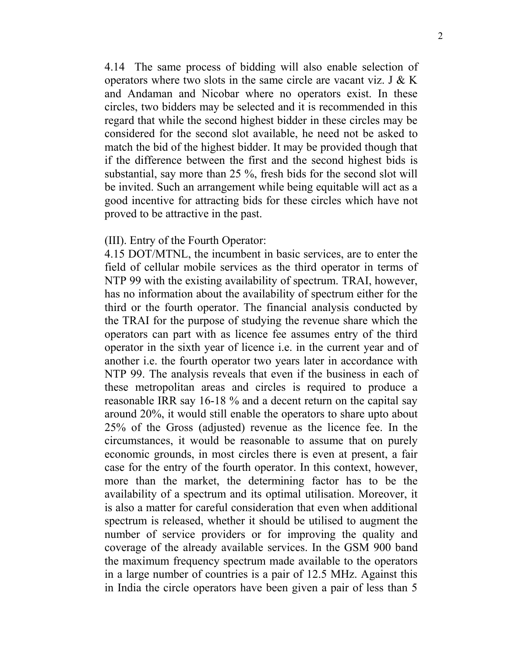4.14 The same process of bidding will also enable selection of operators where two slots in the same circle are vacant viz. J  $\& K$ and Andaman and Nicobar where no operators exist. In these circles, two bidders may be selected and it is recommended in this regard that while the second highest bidder in these circles may be considered for the second slot available, he need not be asked to match the bid of the highest bidder. It may be provided though that if the difference between the first and the second highest bids is substantial, say more than 25 %, fresh bids for the second slot will be invited. Such an arrangement while being equitable will act as a good incentive for attracting bids for these circles which have not proved to be attractive in the past.

#### (III). Entry of the Fourth Operator:

4.15 DOT/MTNL, the incumbent in basic services, are to enter the field of cellular mobile services as the third operator in terms of NTP 99 with the existing availability of spectrum. TRAI, however, has no information about the availability of spectrum either for the third or the fourth operator. The financial analysis conducted by the TRAI for the purpose of studying the revenue share which the operators can part with as licence fee assumes entry of the third operator in the sixth year of licence i.e. in the current year and of another i.e. the fourth operator two years later in accordance with NTP 99. The analysis reveals that even if the business in each of these metropolitan areas and circles is required to produce a reasonable IRR say 16-18 % and a decent return on the capital say around 20%, it would still enable the operators to share upto about 25% of the Gross (adjusted) revenue as the licence fee. In the circumstances, it would be reasonable to assume that on purely economic grounds, in most circles there is even at present, a fair case for the entry of the fourth operator. In this context, however, more than the market, the determining factor has to be the availability of a spectrum and its optimal utilisation. Moreover, it is also a matter for careful consideration that even when additional spectrum is released, whether it should be utilised to augment the number of service providers or for improving the quality and coverage of the already available services. In the GSM 900 band the maximum frequency spectrum made available to the operators in a large number of countries is a pair of 12.5 MHz. Against this in India the circle operators have been given a pair of less than 5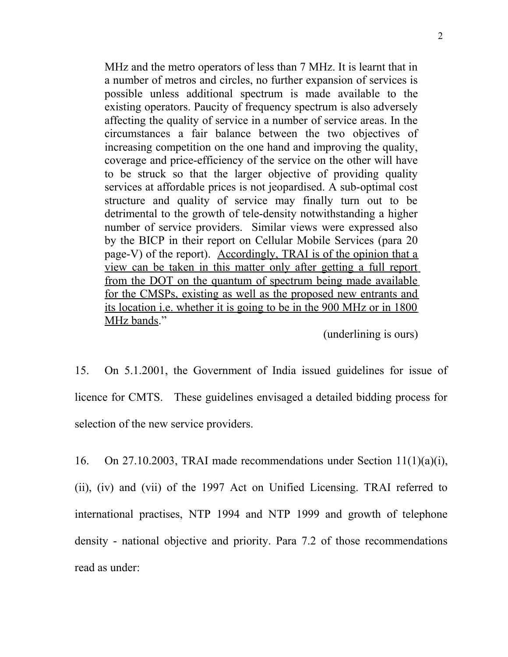MHz and the metro operators of less than 7 MHz. It is learnt that in a number of metros and circles, no further expansion of services is possible unless additional spectrum is made available to the existing operators. Paucity of frequency spectrum is also adversely affecting the quality of service in a number of service areas. In the circumstances a fair balance between the two objectives of increasing competition on the one hand and improving the quality, coverage and price-efficiency of the service on the other will have to be struck so that the larger objective of providing quality services at affordable prices is not jeopardised. A sub-optimal cost structure and quality of service may finally turn out to be detrimental to the growth of tele-density notwithstanding a higher number of service providers. Similar views were expressed also by the BICP in their report on Cellular Mobile Services (para 20 page-V) of the report). Accordingly, TRAI is of the opinion that a view can be taken in this matter only after getting a full report from the DOT on the quantum of spectrum being made available for the CMSPs, existing as well as the proposed new entrants and its location i.e. whether it is going to be in the 900 MHz or in 1800 MHz bands."

(underlining is ours)

15. On 5.1.2001, the Government of India issued guidelines for issue of licence for CMTS. These guidelines envisaged a detailed bidding process for selection of the new service providers.

16. On 27.10.2003, TRAI made recommendations under Section 11(1)(a)(i), (ii), (iv) and (vii) of the 1997 Act on Unified Licensing. TRAI referred to international practises, NTP 1994 and NTP 1999 and growth of telephone density - national objective and priority. Para 7.2 of those recommendations read as under: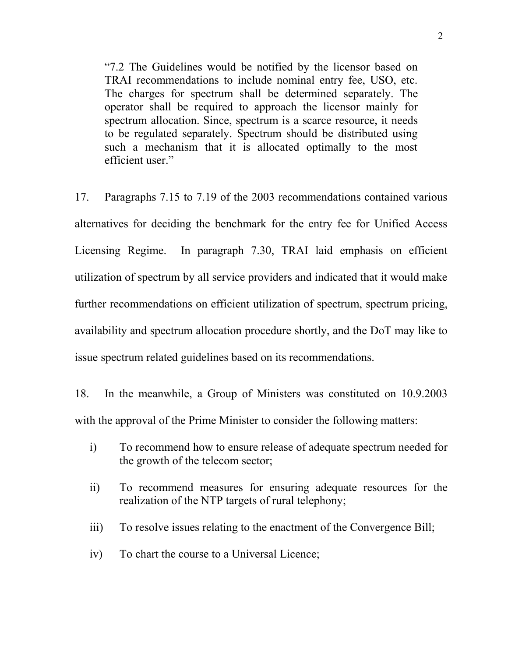"7.2 The Guidelines would be notified by the licensor based on TRAI recommendations to include nominal entry fee, USO, etc. The charges for spectrum shall be determined separately. The operator shall be required to approach the licensor mainly for spectrum allocation. Since, spectrum is a scarce resource, it needs to be regulated separately. Spectrum should be distributed using such a mechanism that it is allocated optimally to the most efficient user."

17. Paragraphs 7.15 to 7.19 of the 2003 recommendations contained various alternatives for deciding the benchmark for the entry fee for Unified Access Licensing Regime. In paragraph 7.30, TRAI laid emphasis on efficient utilization of spectrum by all service providers and indicated that it would make further recommendations on efficient utilization of spectrum, spectrum pricing, availability and spectrum allocation procedure shortly, and the DoT may like to issue spectrum related guidelines based on its recommendations.

18. In the meanwhile, a Group of Ministers was constituted on 10.9.2003 with the approval of the Prime Minister to consider the following matters:

- i) To recommend how to ensure release of adequate spectrum needed for the growth of the telecom sector;
- ii) To recommend measures for ensuring adequate resources for the realization of the NTP targets of rural telephony;
- iii) To resolve issues relating to the enactment of the Convergence Bill;
- iv) To chart the course to a Universal Licence;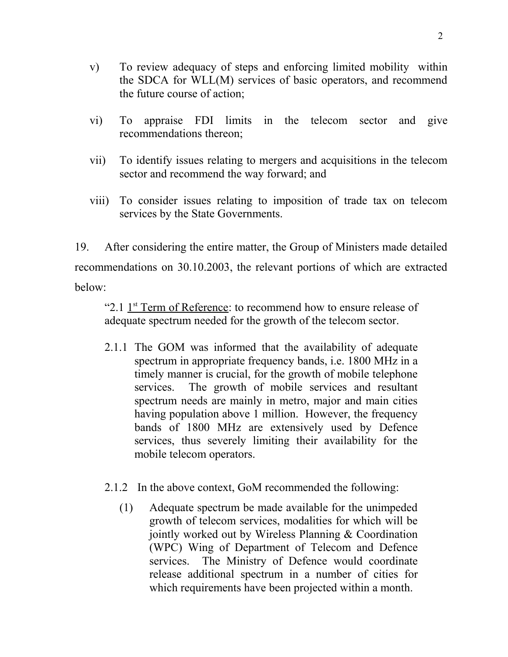- v) To review adequacy of steps and enforcing limited mobility within the SDCA for WLL(M) services of basic operators, and recommend the future course of action;
- vi) To appraise FDI limits in the telecom sector and give recommendations thereon;
- vii) To identify issues relating to mergers and acquisitions in the telecom sector and recommend the way forward; and
- viii) To consider issues relating to imposition of trade tax on telecom services by the State Governments.

19. After considering the entire matter, the Group of Ministers made detailed recommendations on 30.10.2003, the relevant portions of which are extracted below:

"2.1 <sup>1st</sup> Term of Reference: to recommend how to ensure release of adequate spectrum needed for the growth of the telecom sector.

- 2.1.1 The GOM was informed that the availability of adequate spectrum in appropriate frequency bands, i.e. 1800 MHz in a timely manner is crucial, for the growth of mobile telephone services. The growth of mobile services and resultant spectrum needs are mainly in metro, major and main cities having population above 1 million. However, the frequency bands of 1800 MHz are extensively used by Defence services, thus severely limiting their availability for the mobile telecom operators.
- 2.1.2 In the above context, GoM recommended the following:
	- (1) Adequate spectrum be made available for the unimpeded growth of telecom services, modalities for which will be jointly worked out by Wireless Planning & Coordination (WPC) Wing of Department of Telecom and Defence services. The Ministry of Defence would coordinate release additional spectrum in a number of cities for which requirements have been projected within a month.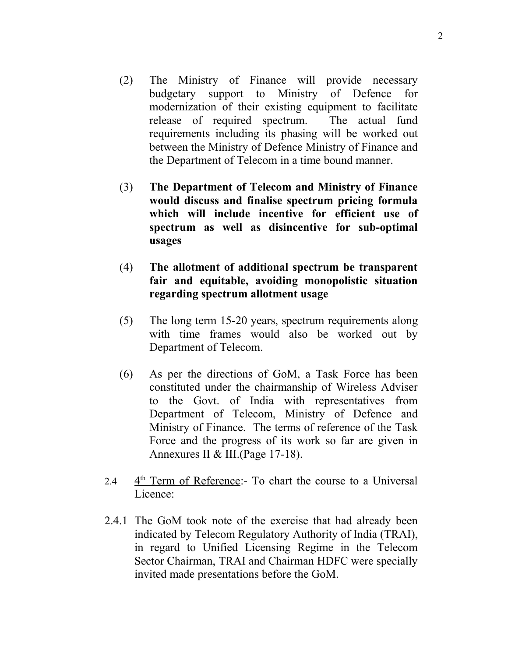- (2) The Ministry of Finance will provide necessary budgetary support to Ministry of Defence for modernization of their existing equipment to facilitate release of required spectrum. The actual fund requirements including its phasing will be worked out between the Ministry of Defence Ministry of Finance and the Department of Telecom in a time bound manner.
- (3) **The Department of Telecom and Ministry of Finance would discuss and finalise spectrum pricing formula which will include incentive for efficient use of spectrum as well as disincentive for sub-optimal usages**
- (4) **The allotment of additional spectrum be transparent fair and equitable, avoiding monopolistic situation regarding spectrum allotment usage**
- (5) The long term 15-20 years, spectrum requirements along with time frames would also be worked out by Department of Telecom.
- (6) As per the directions of GoM, a Task Force has been constituted under the chairmanship of Wireless Adviser to the Govt. of India with representatives from Department of Telecom, Ministry of Defence and Ministry of Finance. The terms of reference of the Task Force and the progress of its work so far are given in Annexures II & III.(Page 17-18).
- 2.4 <sup>th</sup> Term of Reference: To chart the course to a Universal Licence:
- 2.4.1 The GoM took note of the exercise that had already been indicated by Telecom Regulatory Authority of India (TRAI), in regard to Unified Licensing Regime in the Telecom Sector Chairman, TRAI and Chairman HDFC were specially invited made presentations before the GoM.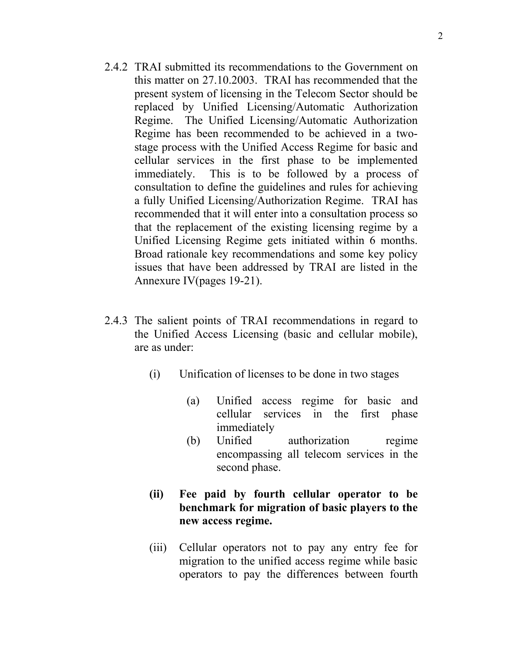- 2.4.2 TRAI submitted its recommendations to the Government on this matter on 27.10.2003. TRAI has recommended that the present system of licensing in the Telecom Sector should be replaced by Unified Licensing/Automatic Authorization Regime. The Unified Licensing/Automatic Authorization Regime has been recommended to be achieved in a twostage process with the Unified Access Regime for basic and cellular services in the first phase to be implemented immediately. This is to be followed by a process of consultation to define the guidelines and rules for achieving a fully Unified Licensing/Authorization Regime. TRAI has recommended that it will enter into a consultation process so that the replacement of the existing licensing regime by a Unified Licensing Regime gets initiated within 6 months. Broad rationale key recommendations and some key policy issues that have been addressed by TRAI are listed in the Annexure IV(pages 19-21).
- 2.4.3 The salient points of TRAI recommendations in regard to the Unified Access Licensing (basic and cellular mobile), are as under:
	- (i) Unification of licenses to be done in two stages
		- (a) Unified access regime for basic and cellular services in the first phase immediately
		- (b) Unified authorization regime encompassing all telecom services in the second phase.
	- **(ii) Fee paid by fourth cellular operator to be benchmark for migration of basic players to the new access regime.**
	- (iii) Cellular operators not to pay any entry fee for migration to the unified access regime while basic operators to pay the differences between fourth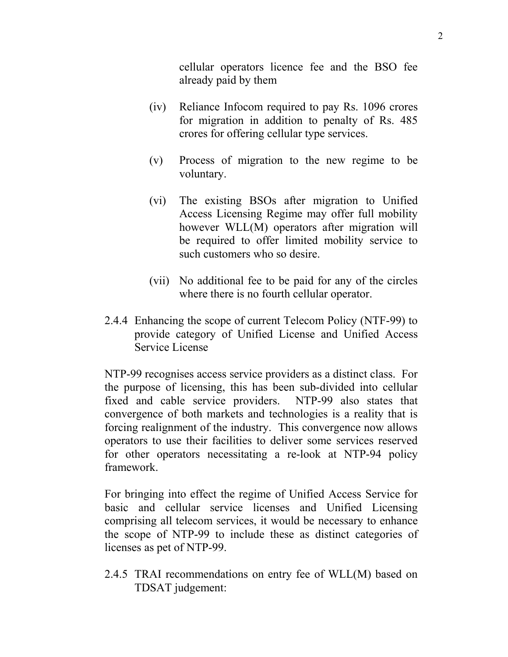cellular operators licence fee and the BSO fee already paid by them

- (iv) Reliance Infocom required to pay Rs. 1096 crores for migration in addition to penalty of Rs. 485 crores for offering cellular type services.
- (v) Process of migration to the new regime to be voluntary.
- (vi) The existing BSOs after migration to Unified Access Licensing Regime may offer full mobility however WLL(M) operators after migration will be required to offer limited mobility service to such customers who so desire.
- (vii) No additional fee to be paid for any of the circles where there is no fourth cellular operator.
- 2.4.4 Enhancing the scope of current Telecom Policy (NTF-99) to provide category of Unified License and Unified Access Service License

NTP-99 recognises access service providers as a distinct class. For the purpose of licensing, this has been sub-divided into cellular fixed and cable service providers. NTP-99 also states that convergence of both markets and technologies is a reality that is forcing realignment of the industry. This convergence now allows operators to use their facilities to deliver some services reserved for other operators necessitating a re-look at NTP-94 policy framework.

For bringing into effect the regime of Unified Access Service for basic and cellular service licenses and Unified Licensing comprising all telecom services, it would be necessary to enhance the scope of NTP-99 to include these as distinct categories of licenses as pet of NTP-99.

2.4.5 TRAI recommendations on entry fee of WLL(M) based on TDSAT judgement: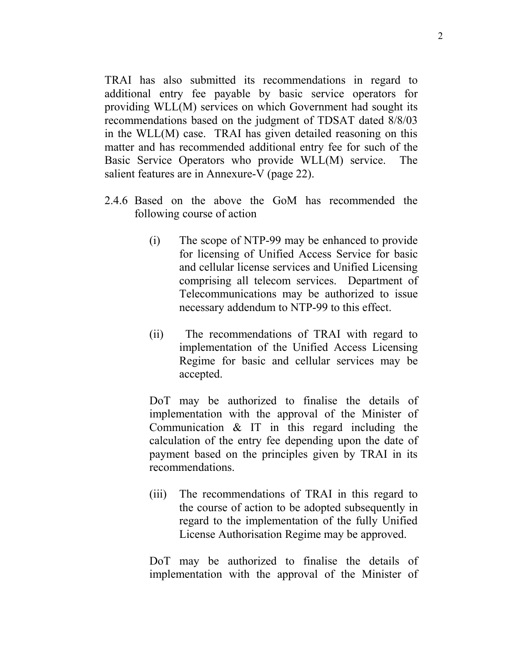TRAI has also submitted its recommendations in regard to additional entry fee payable by basic service operators for providing WLL(M) services on which Government had sought its recommendations based on the judgment of TDSAT dated 8/8/03 in the WLL(M) case. TRAI has given detailed reasoning on this matter and has recommended additional entry fee for such of the Basic Service Operators who provide WLL(M) service. The salient features are in Annexure-V (page 22).

- 2.4.6 Based on the above the GoM has recommended the following course of action
	- (i) The scope of NTP-99 may be enhanced to provide for licensing of Unified Access Service for basic and cellular license services and Unified Licensing comprising all telecom services. Department of Telecommunications may be authorized to issue necessary addendum to NTP-99 to this effect.
	- (ii) The recommendations of TRAI with regard to implementation of the Unified Access Licensing Regime for basic and cellular services may be accepted.

DoT may be authorized to finalise the details of implementation with the approval of the Minister of Communication  $\&$  IT in this regard including the calculation of the entry fee depending upon the date of payment based on the principles given by TRAI in its recommendations.

(iii) The recommendations of TRAI in this regard to the course of action to be adopted subsequently in regard to the implementation of the fully Unified License Authorisation Regime may be approved.

DoT may be authorized to finalise the details of implementation with the approval of the Minister of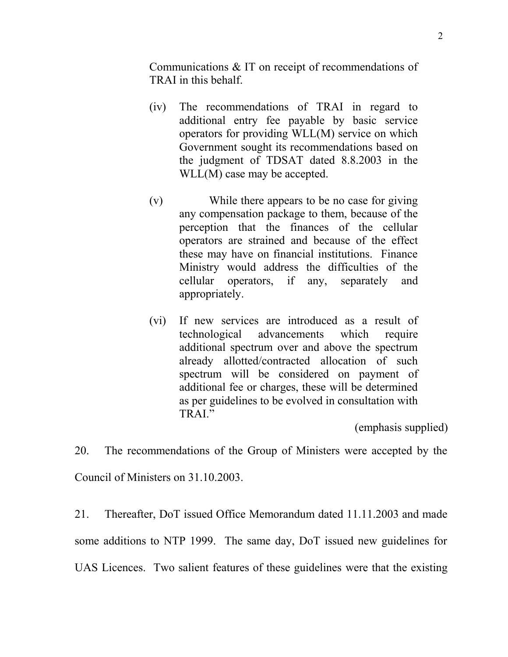Communications & IT on receipt of recommendations of TRAI in this behalf.

- (iv) The recommendations of TRAI in regard to additional entry fee payable by basic service operators for providing WLL(M) service on which Government sought its recommendations based on the judgment of TDSAT dated 8.8.2003 in the WLL(M) case may be accepted.
- (v) While there appears to be no case for giving any compensation package to them, because of the perception that the finances of the cellular operators are strained and because of the effect these may have on financial institutions. Finance Ministry would address the difficulties of the cellular operators, if any, separately and appropriately.
- (vi) If new services are introduced as a result of technological advancements which require additional spectrum over and above the spectrum already allotted/contracted allocation of such spectrum will be considered on payment of additional fee or charges, these will be determined as per guidelines to be evolved in consultation with TRAI."

(emphasis supplied)

20. The recommendations of the Group of Ministers were accepted by the Council of Ministers on 31.10.2003.

21. Thereafter, DoT issued Office Memorandum dated 11.11.2003 and made some additions to NTP 1999. The same day, DoT issued new guidelines for UAS Licences. Two salient features of these guidelines were that the existing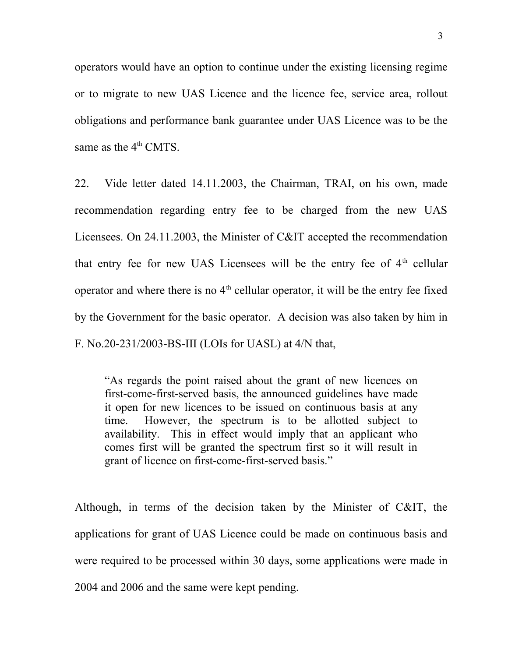operators would have an option to continue under the existing licensing regime or to migrate to new UAS Licence and the licence fee, service area, rollout obligations and performance bank guarantee under UAS Licence was to be the same as the  $4<sup>th</sup> CMTS$ .

22. Vide letter dated 14.11.2003, the Chairman, TRAI, on his own, made recommendation regarding entry fee to be charged from the new UAS Licensees. On 24.11.2003, the Minister of C&IT accepted the recommendation that entry fee for new UAS Licensees will be the entry fee of  $4<sup>th</sup>$  cellular operator and where there is no  $4<sup>th</sup>$  cellular operator, it will be the entry fee fixed by the Government for the basic operator. A decision was also taken by him in F. No.20-231/2003-BS-III (LOIs for UASL) at 4/N that,

"As regards the point raised about the grant of new licences on first-come-first-served basis, the announced guidelines have made it open for new licences to be issued on continuous basis at any time. However, the spectrum is to be allotted subject to availability. This in effect would imply that an applicant who comes first will be granted the spectrum first so it will result in grant of licence on first-come-first-served basis."

Although, in terms of the decision taken by the Minister of C&IT, the applications for grant of UAS Licence could be made on continuous basis and were required to be processed within 30 days, some applications were made in 2004 and 2006 and the same were kept pending.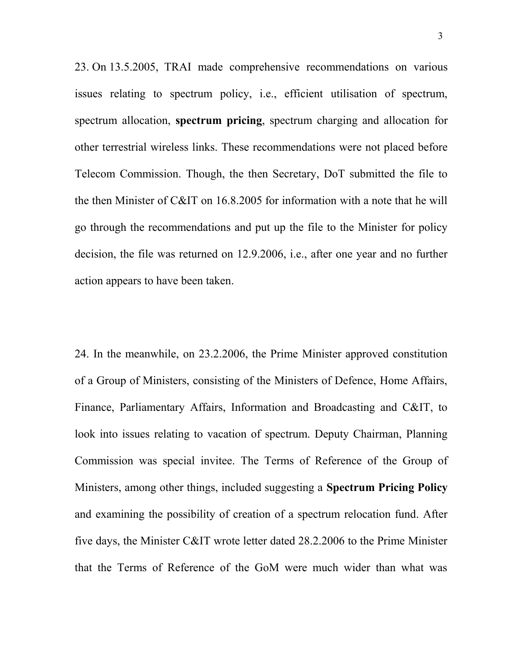23. On 13.5.2005, TRAI made comprehensive recommendations on various issues relating to spectrum policy, i.e., efficient utilisation of spectrum, spectrum allocation, **spectrum pricing**, spectrum charging and allocation for other terrestrial wireless links. These recommendations were not placed before Telecom Commission. Though, the then Secretary, DoT submitted the file to the then Minister of C&IT on 16.8.2005 for information with a note that he will go through the recommendations and put up the file to the Minister for policy decision, the file was returned on 12.9.2006, i.e., after one year and no further action appears to have been taken.

24. In the meanwhile, on 23.2.2006, the Prime Minister approved constitution of a Group of Ministers, consisting of the Ministers of Defence, Home Affairs, Finance, Parliamentary Affairs, Information and Broadcasting and C&IT, to look into issues relating to vacation of spectrum. Deputy Chairman, Planning Commission was special invitee. The Terms of Reference of the Group of Ministers, among other things, included suggesting a **Spectrum Pricing Policy** and examining the possibility of creation of a spectrum relocation fund. After five days, the Minister C&IT wrote letter dated 28.2.2006 to the Prime Minister that the Terms of Reference of the GoM were much wider than what was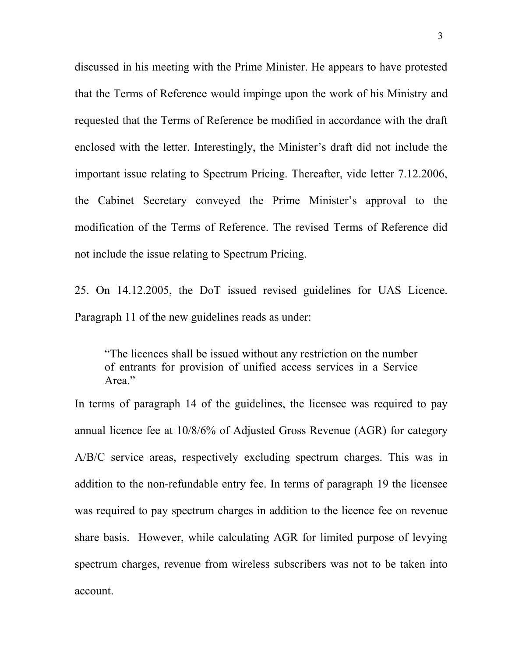discussed in his meeting with the Prime Minister. He appears to have protested that the Terms of Reference would impinge upon the work of his Ministry and requested that the Terms of Reference be modified in accordance with the draft enclosed with the letter. Interestingly, the Minister's draft did not include the important issue relating to Spectrum Pricing. Thereafter, vide letter 7.12.2006, the Cabinet Secretary conveyed the Prime Minister's approval to the modification of the Terms of Reference. The revised Terms of Reference did not include the issue relating to Spectrum Pricing.

25. On 14.12.2005, the DoT issued revised guidelines for UAS Licence. Paragraph 11 of the new guidelines reads as under:

"The licences shall be issued without any restriction on the number of entrants for provision of unified access services in a Service Area."

In terms of paragraph 14 of the guidelines, the licensee was required to pay annual licence fee at 10/8/6% of Adjusted Gross Revenue (AGR) for category A/B/C service areas, respectively excluding spectrum charges. This was in addition to the non-refundable entry fee. In terms of paragraph 19 the licensee was required to pay spectrum charges in addition to the licence fee on revenue share basis. However, while calculating AGR for limited purpose of levying spectrum charges, revenue from wireless subscribers was not to be taken into account.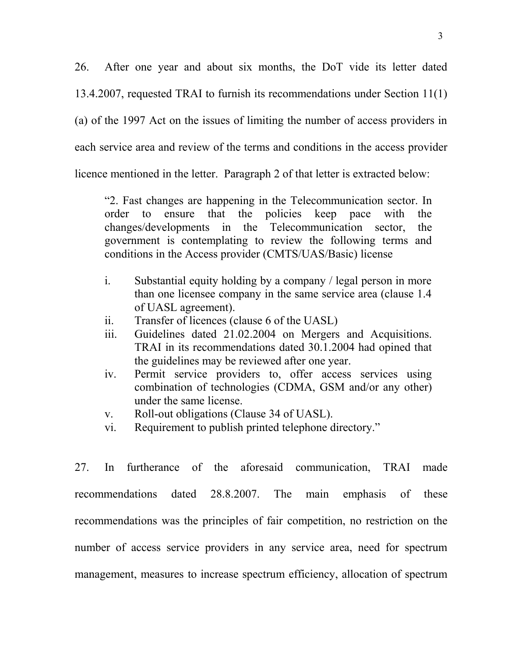26. After one year and about six months, the DoT vide its letter dated 13.4.2007, requested TRAI to furnish its recommendations under Section 11(1) (a) of the 1997 Act on the issues of limiting the number of access providers in each service area and review of the terms and conditions in the access provider licence mentioned in the letter. Paragraph 2 of that letter is extracted below:

"2. Fast changes are happening in the Telecommunication sector. In order to ensure that the policies keep pace with the changes/developments in the Telecommunication sector, the government is contemplating to review the following terms and conditions in the Access provider (CMTS/UAS/Basic) license

- i. Substantial equity holding by a company / legal person in more than one licensee company in the same service area (clause 1.4 of UASL agreement).
- ii. Transfer of licences (clause 6 of the UASL)
- iii. Guidelines dated 21.02.2004 on Mergers and Acquisitions. TRAI in its recommendations dated 30.1.2004 had opined that the guidelines may be reviewed after one year.
- iv. Permit service providers to, offer access services using combination of technologies (CDMA, GSM and/or any other) under the same license.
- v. Roll-out obligations (Clause 34 of UASL).
- vi. Requirement to publish printed telephone directory."

27. In furtherance of the aforesaid communication, TRAI made recommendations dated 28.8.2007. The main emphasis of these recommendations was the principles of fair competition, no restriction on the number of access service providers in any service area, need for spectrum management, measures to increase spectrum efficiency, allocation of spectrum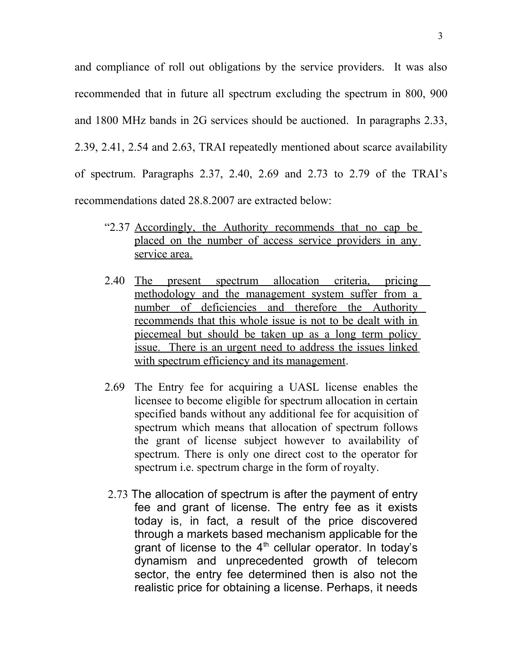and compliance of roll out obligations by the service providers. It was also recommended that in future all spectrum excluding the spectrum in 800, 900 and 1800 MHz bands in 2G services should be auctioned. In paragraphs 2.33, 2.39, 2.41, 2.54 and 2.63, TRAI repeatedly mentioned about scarce availability of spectrum. Paragraphs 2.37, 2.40, 2.69 and 2.73 to 2.79 of the TRAI's recommendations dated 28.8.2007 are extracted below:

- "2.37 Accordingly, the Authority recommends that no cap be placed on the number of access service providers in any service area.
- 2.40 The present spectrum allocation criteria, pricing methodology and the management system suffer from a number of deficiencies and therefore the Authority recommends that this whole issue is not to be dealt with in piecemeal but should be taken up as a long term policy issue. There is an urgent need to address the issues linked with spectrum efficiency and its management.
- 2.69 The Entry fee for acquiring a UASL license enables the licensee to become eligible for spectrum allocation in certain specified bands without any additional fee for acquisition of spectrum which means that allocation of spectrum follows the grant of license subject however to availability of spectrum. There is only one direct cost to the operator for spectrum i.e. spectrum charge in the form of royalty.
- 2.73 The allocation of spectrum is after the payment of entry fee and grant of license. The entry fee as it exists today is, in fact, a result of the price discovered through a markets based mechanism applicable for the grant of license to the  $4<sup>th</sup>$  cellular operator. In today's dynamism and unprecedented growth of telecom sector, the entry fee determined then is also not the realistic price for obtaining a license. Perhaps, it needs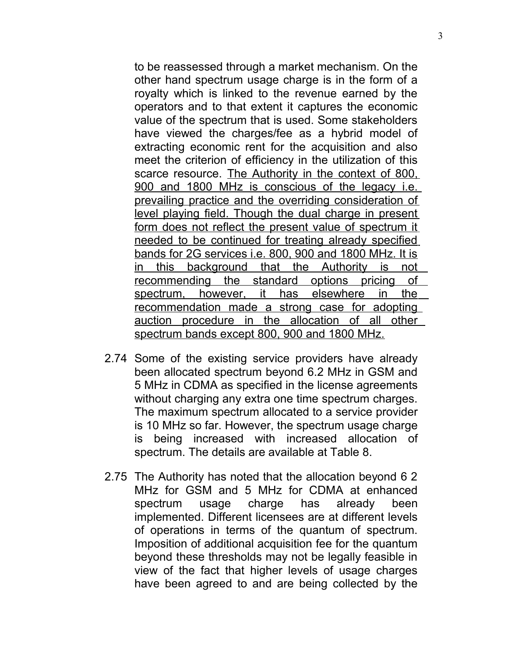to be reassessed through a market mechanism. On the other hand spectrum usage charge is in the form of a royalty which is linked to the revenue earned by the operators and to that extent it captures the economic value of the spectrum that is used. Some stakeholders have viewed the charges/fee as a hybrid model of extracting economic rent for the acquisition and also meet the criterion of efficiency in the utilization of this scarce resource. The Authority in the context of 800, 900 and 1800 MHz is conscious of the legacy i.e. prevailing practice and the overriding consideration of level playing field. Though the dual charge in present form does not reflect the present value of spectrum it needed to be continued for treating already specified bands for 2G services i.e. 800, 900 and 1800 MHz. It is in this background that the Authority is not recommending the standard options pricing of spectrum, however, it has elsewhere in the recommendation made a strong case for adopting auction procedure in the allocation of all other spectrum bands except 800, 900 and 1800 MHz.

- 2.74 Some of the existing service providers have already been allocated spectrum beyond 6.2 MHz in GSM and 5 MHz in CDMA as specified in the license agreements without charging any extra one time spectrum charges. The maximum spectrum allocated to a service provider is 10 MHz so far. However, the spectrum usage charge is being increased with increased allocation of spectrum. The details are available at Table 8.
- 2.75 The Authority has noted that the allocation beyond 6 2 MHz for GSM and 5 MHz for CDMA at enhanced spectrum usage charge has already been implemented. Different licensees are at different levels of operations in terms of the quantum of spectrum. Imposition of additional acquisition fee for the quantum beyond these thresholds may not be legally feasible in view of the fact that higher levels of usage charges have been agreed to and are being collected by the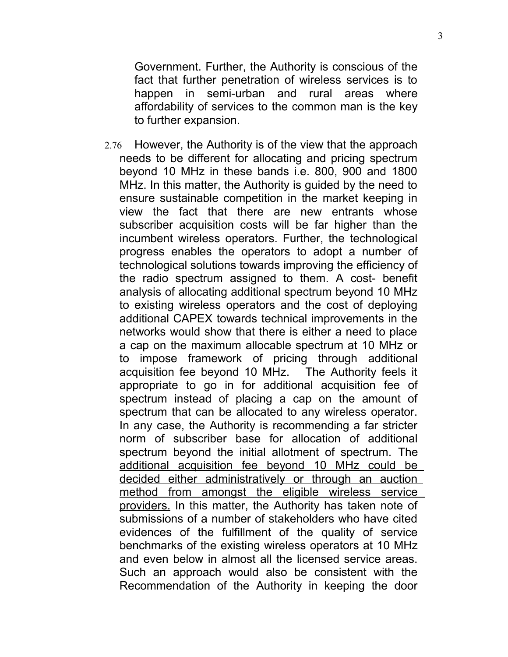Government. Further, the Authority is conscious of the fact that further penetration of wireless services is to happen in semi-urban and rural areas where affordability of services to the common man is the key to further expansion.

2.76 However, the Authority is of the view that the approach needs to be different for allocating and pricing spectrum beyond 10 MHz in these bands i.e. 800, 900 and 1800 MHz. In this matter, the Authority is guided by the need to ensure sustainable competition in the market keeping in view the fact that there are new entrants whose subscriber acquisition costs will be far higher than the incumbent wireless operators. Further, the technological progress enables the operators to adopt a number of technological solutions towards improving the efficiency of the radio spectrum assigned to them. A cost- benefit analysis of allocating additional spectrum beyond 10 MHz to existing wireless operators and the cost of deploying additional CAPEX towards technical improvements in the networks would show that there is either a need to place a cap on the maximum allocable spectrum at 10 MHz or to impose framework of pricing through additional acquisition fee beyond 10 MHz. The Authority feels it appropriate to go in for additional acquisition fee of spectrum instead of placing a cap on the amount of spectrum that can be allocated to any wireless operator. In any case, the Authority is recommending a far stricter norm of subscriber base for allocation of additional spectrum beyond the initial allotment of spectrum. The additional acquisition fee beyond 10 MHz could be decided either administratively or through an auction method from amongst the eligible wireless service providers. In this matter, the Authority has taken note of submissions of a number of stakeholders who have cited evidences of the fulfillment of the quality of service benchmarks of the existing wireless operators at 10 MHz and even below in almost all the licensed service areas. Such an approach would also be consistent with the Recommendation of the Authority in keeping the door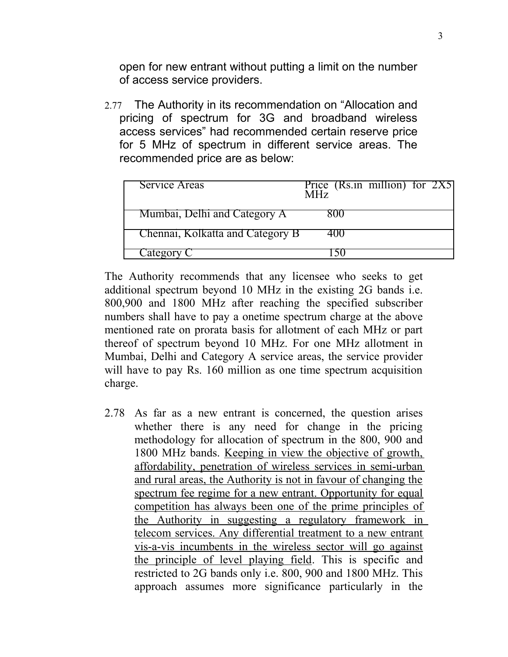open for new entrant without putting a limit on the number of access service providers.

2.77 The Authority in its recommendation on "Allocation and pricing of spectrum for 3G and broadband wireless access services" had recommended certain reserve price for 5 MHz of spectrum in different service areas. The recommended price are as below:

| Service Areas                    | Price (Rs.in million) for 2X5<br><b>MHz</b> |
|----------------------------------|---------------------------------------------|
| Mumbai, Delhi and Category A     | 30O                                         |
| Chennai, Kolkatta and Category B | 400                                         |
| Category                         |                                             |

The Authority recommends that any licensee who seeks to get additional spectrum beyond 10 MHz in the existing 2G bands i.e. 800,900 and 1800 MHz after reaching the specified subscriber numbers shall have to pay a onetime spectrum charge at the above mentioned rate on prorata basis for allotment of each MHz or part thereof of spectrum beyond 10 MHz. For one MHz allotment in Mumbai, Delhi and Category A service areas, the service provider will have to pay Rs. 160 million as one time spectrum acquisition charge.

2.78 As far as a new entrant is concerned, the question arises whether there is any need for change in the pricing methodology for allocation of spectrum in the 800, 900 and 1800 MHz bands. Keeping in view the objective of growth, affordability, penetration of wireless services in semi-urban and rural areas, the Authority is not in favour of changing the spectrum fee regime for a new entrant. Opportunity for equal competition has always been one of the prime principles of the Authority in suggesting a regulatory framework in telecom services. Any differential treatment to a new entrant vis-a-vis incumbents in the wireless sector will go against the principle of level playing field. This is specific and restricted to 2G bands only i.e. 800, 900 and 1800 MHz. This approach assumes more significance particularly in the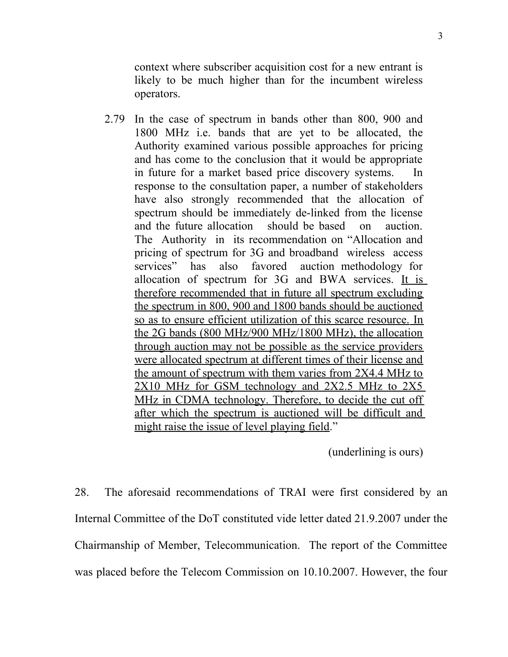context where subscriber acquisition cost for a new entrant is likely to be much higher than for the incumbent wireless operators.

2.79 In the case of spectrum in bands other than 800, 900 and 1800 MHz i.e. bands that are yet to be allocated, the Authority examined various possible approaches for pricing and has come to the conclusion that it would be appropriate in future for a market based price discovery systems. In response to the consultation paper, a number of stakeholders have also strongly recommended that the allocation of spectrum should be immediately de-linked from the license and the future allocation should be based on auction. The Authority in its recommendation on "Allocation and pricing of spectrum for 3G and broadband wireless access services" has also favored auction methodology for allocation of spectrum for 3G and BWA services. It is therefore recommended that in future all spectrum excluding the spectrum in 800, 900 and 1800 bands should be auctioned so as to ensure efficient utilization of this scarce resource. In the 2G bands (800 MHz/900 MHz/1800 MHz), the allocation through auction may not be possible as the service providers were allocated spectrum at different times of their license and the amount of spectrum with them varies from 2X4.4 MHz to 2X10 MHz for GSM technology and 2X2.5 MHz to 2X5 MHz in CDMA technology. Therefore, to decide the cut off after which the spectrum is auctioned will be difficult and might raise the issue of level playing field."

(underlining is ours)

28. The aforesaid recommendations of TRAI were first considered by an Internal Committee of the DoT constituted vide letter dated 21.9.2007 under the Chairmanship of Member, Telecommunication. The report of the Committee was placed before the Telecom Commission on 10.10.2007. However, the four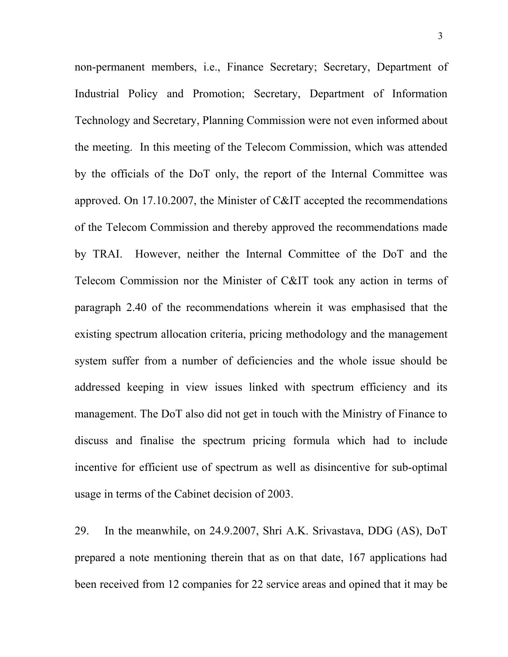non-permanent members, i.e., Finance Secretary; Secretary, Department of Industrial Policy and Promotion; Secretary, Department of Information Technology and Secretary, Planning Commission were not even informed about the meeting. In this meeting of the Telecom Commission, which was attended by the officials of the DoT only, the report of the Internal Committee was approved. On 17.10.2007, the Minister of C&IT accepted the recommendations of the Telecom Commission and thereby approved the recommendations made by TRAI. However, neither the Internal Committee of the DoT and the Telecom Commission nor the Minister of C&IT took any action in terms of paragraph 2.40 of the recommendations wherein it was emphasised that the existing spectrum allocation criteria, pricing methodology and the management system suffer from a number of deficiencies and the whole issue should be addressed keeping in view issues linked with spectrum efficiency and its management. The DoT also did not get in touch with the Ministry of Finance to discuss and finalise the spectrum pricing formula which had to include incentive for efficient use of spectrum as well as disincentive for sub-optimal usage in terms of the Cabinet decision of 2003.

29. In the meanwhile, on 24.9.2007, Shri A.K. Srivastava, DDG (AS), DoT prepared a note mentioning therein that as on that date, 167 applications had been received from 12 companies for 22 service areas and opined that it may be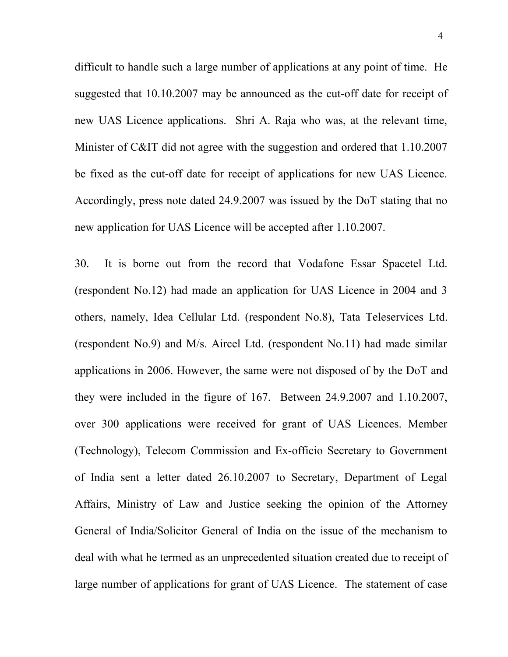difficult to handle such a large number of applications at any point of time. He suggested that 10.10.2007 may be announced as the cut-off date for receipt of new UAS Licence applications. Shri A. Raja who was, at the relevant time, Minister of C&IT did not agree with the suggestion and ordered that 1.10.2007 be fixed as the cut-off date for receipt of applications for new UAS Licence. Accordingly, press note dated 24.9.2007 was issued by the DoT stating that no new application for UAS Licence will be accepted after 1.10.2007.

30. It is borne out from the record that Vodafone Essar Spacetel Ltd. (respondent No.12) had made an application for UAS Licence in 2004 and 3 others, namely, Idea Cellular Ltd. (respondent No.8), Tata Teleservices Ltd. (respondent No.9) and M/s. Aircel Ltd. (respondent No.11) had made similar applications in 2006. However, the same were not disposed of by the DoT and they were included in the figure of 167. Between 24.9.2007 and 1.10.2007, over 300 applications were received for grant of UAS Licences. Member (Technology), Telecom Commission and Ex-officio Secretary to Government of India sent a letter dated 26.10.2007 to Secretary, Department of Legal Affairs, Ministry of Law and Justice seeking the opinion of the Attorney General of India/Solicitor General of India on the issue of the mechanism to deal with what he termed as an unprecedented situation created due to receipt of large number of applications for grant of UAS Licence. The statement of case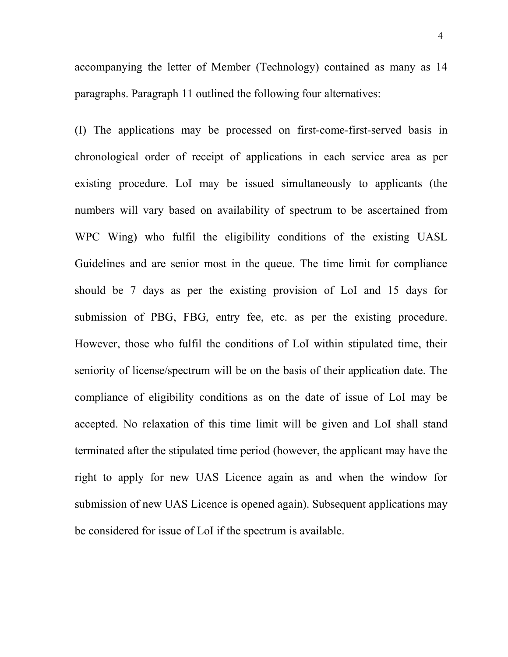accompanying the letter of Member (Technology) contained as many as 14 paragraphs. Paragraph 11 outlined the following four alternatives:

(I) The applications may be processed on first-come-first-served basis in chronological order of receipt of applications in each service area as per existing procedure. LoI may be issued simultaneously to applicants (the numbers will vary based on availability of spectrum to be ascertained from WPC Wing) who fulfil the eligibility conditions of the existing UASL Guidelines and are senior most in the queue. The time limit for compliance should be 7 days as per the existing provision of LoI and 15 days for submission of PBG, FBG, entry fee, etc. as per the existing procedure. However, those who fulfil the conditions of LoI within stipulated time, their seniority of license/spectrum will be on the basis of their application date. The compliance of eligibility conditions as on the date of issue of LoI may be accepted. No relaxation of this time limit will be given and LoI shall stand terminated after the stipulated time period (however, the applicant may have the right to apply for new UAS Licence again as and when the window for submission of new UAS Licence is opened again). Subsequent applications may be considered for issue of LoI if the spectrum is available.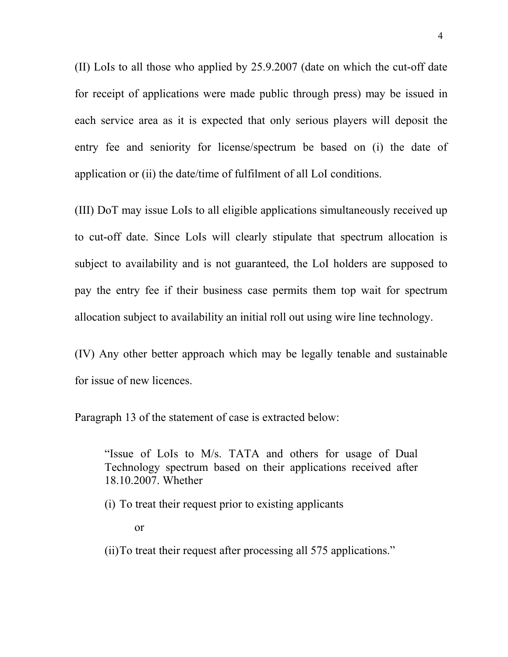(II) LoIs to all those who applied by 25.9.2007 (date on which the cut-off date for receipt of applications were made public through press) may be issued in each service area as it is expected that only serious players will deposit the entry fee and seniority for license/spectrum be based on (i) the date of application or (ii) the date/time of fulfilment of all LoI conditions.

(III) DoT may issue LoIs to all eligible applications simultaneously received up to cut-off date. Since LoIs will clearly stipulate that spectrum allocation is subject to availability and is not guaranteed, the LoI holders are supposed to pay the entry fee if their business case permits them top wait for spectrum allocation subject to availability an initial roll out using wire line technology.

(IV) Any other better approach which may be legally tenable and sustainable for issue of new licences.

Paragraph 13 of the statement of case is extracted below:

"Issue of LoIs to M/s. TATA and others for usage of Dual Technology spectrum based on their applications received after 18.10.2007. Whether

(i) To treat their request prior to existing applicants

or

(ii)To treat their request after processing all 575 applications."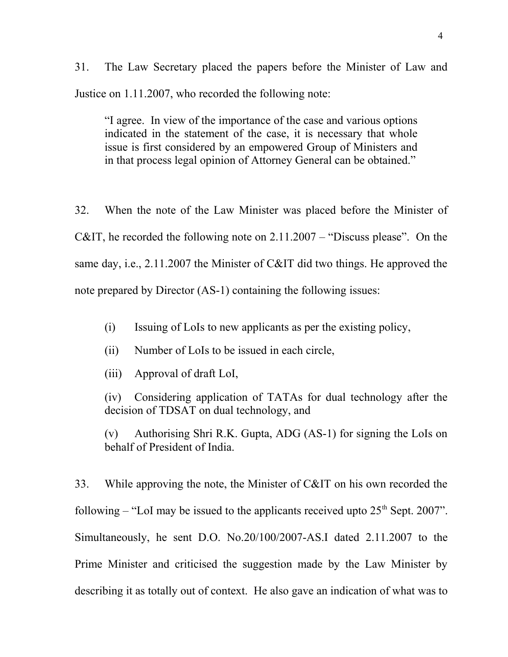31. The Law Secretary placed the papers before the Minister of Law and Justice on 1.11.2007, who recorded the following note:

"I agree. In view of the importance of the case and various options indicated in the statement of the case, it is necessary that whole issue is first considered by an empowered Group of Ministers and in that process legal opinion of Attorney General can be obtained."

32. When the note of the Law Minister was placed before the Minister of C&IT, he recorded the following note on 2.11.2007 – "Discuss please". On the same day, i.e., 2.11.2007 the Minister of C&IT did two things. He approved the note prepared by Director (AS-1) containing the following issues:

- (i) Issuing of LoIs to new applicants as per the existing policy,
- (ii) Number of LoIs to be issued in each circle,
- (iii) Approval of draft LoI,

(iv) Considering application of TATAs for dual technology after the decision of TDSAT on dual technology, and

(v) Authorising Shri R.K. Gupta, ADG (AS-1) for signing the LoIs on behalf of President of India.

33. While approving the note, the Minister of C&IT on his own recorded the following – "LoI may be issued to the applicants received upto  $25<sup>th</sup>$  Sept. 2007". Simultaneously, he sent D.O. No.20/100/2007-AS.I dated 2.11.2007 to the Prime Minister and criticised the suggestion made by the Law Minister by describing it as totally out of context. He also gave an indication of what was to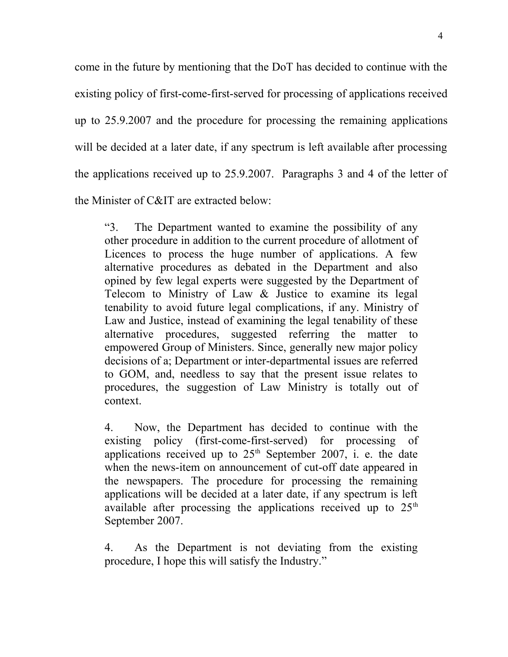come in the future by mentioning that the DoT has decided to continue with the existing policy of first-come-first-served for processing of applications received up to 25.9.2007 and the procedure for processing the remaining applications will be decided at a later date, if any spectrum is left available after processing the applications received up to 25.9.2007. Paragraphs 3 and 4 of the letter of the Minister of C&IT are extracted below:

"3. The Department wanted to examine the possibility of any other procedure in addition to the current procedure of allotment of Licences to process the huge number of applications. A few alternative procedures as debated in the Department and also opined by few legal experts were suggested by the Department of Telecom to Ministry of Law & Justice to examine its legal tenability to avoid future legal complications, if any. Ministry of Law and Justice, instead of examining the legal tenability of these alternative procedures, suggested referring the matter to empowered Group of Ministers. Since, generally new major policy decisions of a; Department or inter-departmental issues are referred to GOM, and, needless to say that the present issue relates to procedures, the suggestion of Law Ministry is totally out of context.

4. Now, the Department has decided to continue with the existing policy (first-come-first-served) for processing of applications received up to  $25<sup>th</sup>$  September 2007, i. e. the date when the news-item on announcement of cut-off date appeared in the newspapers. The procedure for processing the remaining applications will be decided at a later date, if any spectrum is left available after processing the applications received up to  $25<sup>th</sup>$ September 2007.

4. As the Department is not deviating from the existing procedure, I hope this will satisfy the Industry."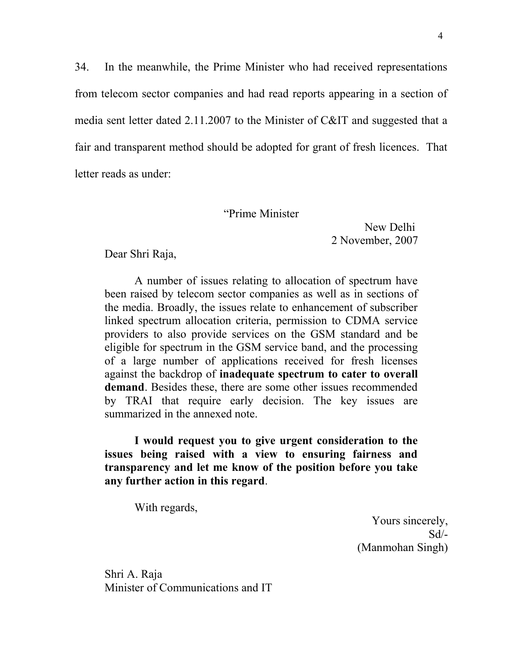34. In the meanwhile, the Prime Minister who had received representations from telecom sector companies and had read reports appearing in a section of media sent letter dated 2.11.2007 to the Minister of C&IT and suggested that a fair and transparent method should be adopted for grant of fresh licences. That letter reads as under:

#### "Prime Minister

New Delhi 2 November, 2007

Dear Shri Raja,

A number of issues relating to allocation of spectrum have been raised by telecom sector companies as well as in sections of the media. Broadly, the issues relate to enhancement of subscriber linked spectrum allocation criteria, permission to CDMA service providers to also provide services on the GSM standard and be eligible for spectrum in the GSM service band, and the processing of a large number of applications received for fresh licenses against the backdrop of **inadequate spectrum to cater to overall demand**. Besides these, there are some other issues recommended by TRAI that require early decision. The key issues are summarized in the annexed note.

**I would request you to give urgent consideration to the issues being raised with a view to ensuring fairness and transparency and let me know of the position before you take any further action in this regard**.

With regards,

Yours sincerely, Sd/- (Manmohan Singh)

Shri A. Raja Minister of Communications and IT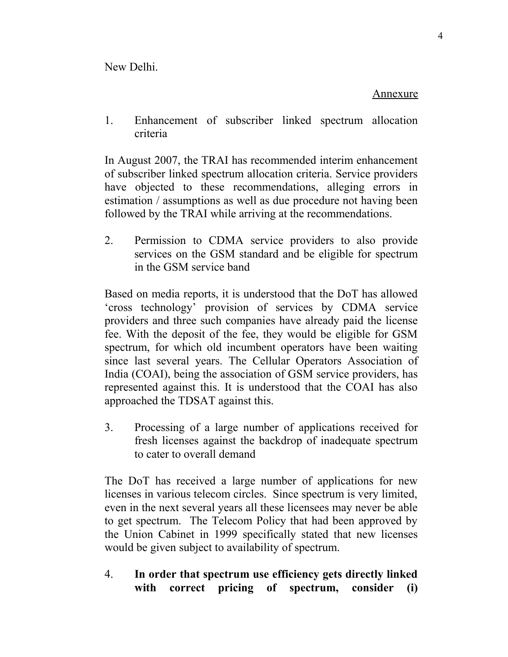New Delhi.

# Annexure

1. Enhancement of subscriber linked spectrum allocation criteria

In August 2007, the TRAI has recommended interim enhancement of subscriber linked spectrum allocation criteria. Service providers have objected to these recommendations, alleging errors in estimation / assumptions as well as due procedure not having been followed by the TRAI while arriving at the recommendations.

2. Permission to CDMA service providers to also provide services on the GSM standard and be eligible for spectrum in the GSM service band

Based on media reports, it is understood that the DoT has allowed 'cross technology' provision of services by CDMA service providers and three such companies have already paid the license fee. With the deposit of the fee, they would be eligible for GSM spectrum, for which old incumbent operators have been waiting since last several years. The Cellular Operators Association of India (COAI), being the association of GSM service providers, has represented against this. It is understood that the COAI has also approached the TDSAT against this.

3. Processing of a large number of applications received for fresh licenses against the backdrop of inadequate spectrum to cater to overall demand

The DoT has received a large number of applications for new licenses in various telecom circles. Since spectrum is very limited, even in the next several years all these licensees may never be able to get spectrum. The Telecom Policy that had been approved by the Union Cabinet in 1999 specifically stated that new licenses would be given subject to availability of spectrum.

4. **In order that spectrum use efficiency gets directly linked with correct pricing of spectrum, consider (i)**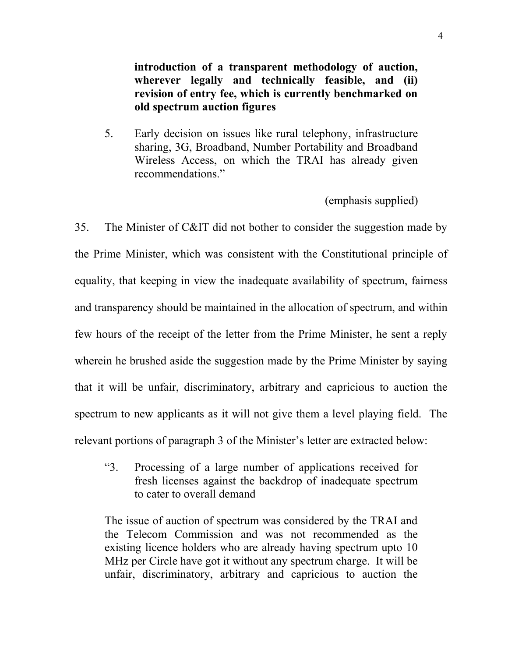**introduction of a transparent methodology of auction, wherever legally and technically feasible, and (ii) revision of entry fee, which is currently benchmarked on old spectrum auction figures**

5. Early decision on issues like rural telephony, infrastructure sharing, 3G, Broadband, Number Portability and Broadband Wireless Access, on which the TRAI has already given recommendations."

(emphasis supplied)

35. The Minister of C&IT did not bother to consider the suggestion made by the Prime Minister, which was consistent with the Constitutional principle of equality, that keeping in view the inadequate availability of spectrum, fairness and transparency should be maintained in the allocation of spectrum, and within few hours of the receipt of the letter from the Prime Minister, he sent a reply wherein he brushed aside the suggestion made by the Prime Minister by saying that it will be unfair, discriminatory, arbitrary and capricious to auction the spectrum to new applicants as it will not give them a level playing field. The relevant portions of paragraph 3 of the Minister's letter are extracted below:

"3. Processing of a large number of applications received for fresh licenses against the backdrop of inadequate spectrum to cater to overall demand

The issue of auction of spectrum was considered by the TRAI and the Telecom Commission and was not recommended as the existing licence holders who are already having spectrum upto 10 MHz per Circle have got it without any spectrum charge. It will be unfair, discriminatory, arbitrary and capricious to auction the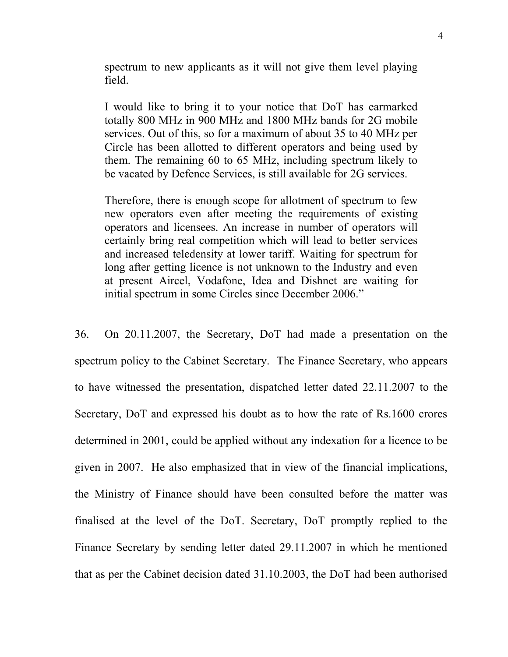spectrum to new applicants as it will not give them level playing field.

I would like to bring it to your notice that DoT has earmarked totally 800 MHz in 900 MHz and 1800 MHz bands for 2G mobile services. Out of this, so for a maximum of about 35 to 40 MHz per Circle has been allotted to different operators and being used by them. The remaining 60 to 65 MHz, including spectrum likely to be vacated by Defence Services, is still available for 2G services.

Therefore, there is enough scope for allotment of spectrum to few new operators even after meeting the requirements of existing operators and licensees. An increase in number of operators will certainly bring real competition which will lead to better services and increased teledensity at lower tariff. Waiting for spectrum for long after getting licence is not unknown to the Industry and even at present Aircel, Vodafone, Idea and Dishnet are waiting for initial spectrum in some Circles since December 2006."

36. On 20.11.2007, the Secretary, DoT had made a presentation on the spectrum policy to the Cabinet Secretary. The Finance Secretary, who appears to have witnessed the presentation, dispatched letter dated 22.11.2007 to the Secretary, DoT and expressed his doubt as to how the rate of Rs.1600 crores determined in 2001, could be applied without any indexation for a licence to be given in 2007. He also emphasized that in view of the financial implications, the Ministry of Finance should have been consulted before the matter was finalised at the level of the DoT. Secretary, DoT promptly replied to the Finance Secretary by sending letter dated 29.11.2007 in which he mentioned that as per the Cabinet decision dated 31.10.2003, the DoT had been authorised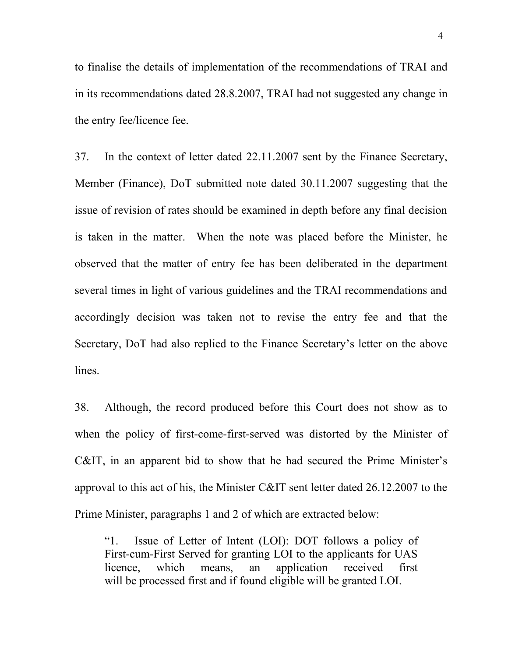to finalise the details of implementation of the recommendations of TRAI and in its recommendations dated 28.8.2007, TRAI had not suggested any change in the entry fee/licence fee.

37. In the context of letter dated 22.11.2007 sent by the Finance Secretary, Member (Finance), DoT submitted note dated 30.11.2007 suggesting that the issue of revision of rates should be examined in depth before any final decision is taken in the matter. When the note was placed before the Minister, he observed that the matter of entry fee has been deliberated in the department several times in light of various guidelines and the TRAI recommendations and accordingly decision was taken not to revise the entry fee and that the Secretary, DoT had also replied to the Finance Secretary's letter on the above lines.

38. Although, the record produced before this Court does not show as to when the policy of first-come-first-served was distorted by the Minister of C&IT, in an apparent bid to show that he had secured the Prime Minister's approval to this act of his, the Minister C&IT sent letter dated 26.12.2007 to the Prime Minister, paragraphs 1 and 2 of which are extracted below:

"1. Issue of Letter of Intent (LOI): DOT follows a policy of First-cum-First Served for granting LOI to the applicants for UAS licence, which means, an application received first will be processed first and if found eligible will be granted LOI.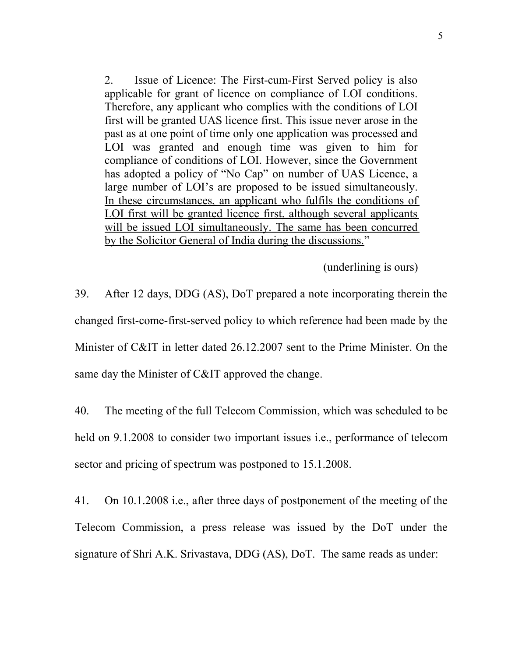2. Issue of Licence: The First-cum-First Served policy is also applicable for grant of licence on compliance of LOI conditions. Therefore, any applicant who complies with the conditions of LOI first will be granted UAS licence first. This issue never arose in the past as at one point of time only one application was processed and LOI was granted and enough time was given to him for compliance of conditions of LOI. However, since the Government has adopted a policy of "No Cap" on number of UAS Licence, a large number of LOI's are proposed to be issued simultaneously. In these circumstances, an applicant who fulfils the conditions of LOI first will be granted licence first, although several applicants will be issued LOI simultaneously. The same has been concurred by the Solicitor General of India during the discussions."

(underlining is ours)

39. After 12 days, DDG (AS), DoT prepared a note incorporating therein the changed first-come-first-served policy to which reference had been made by the Minister of C&IT in letter dated 26.12.2007 sent to the Prime Minister. On the same day the Minister of C&IT approved the change.

40. The meeting of the full Telecom Commission, which was scheduled to be held on 9.1.2008 to consider two important issues i.e., performance of telecom sector and pricing of spectrum was postponed to 15.1.2008.

41. On 10.1.2008 i.e., after three days of postponement of the meeting of the Telecom Commission, a press release was issued by the DoT under the signature of Shri A.K. Srivastava, DDG (AS), DoT. The same reads as under: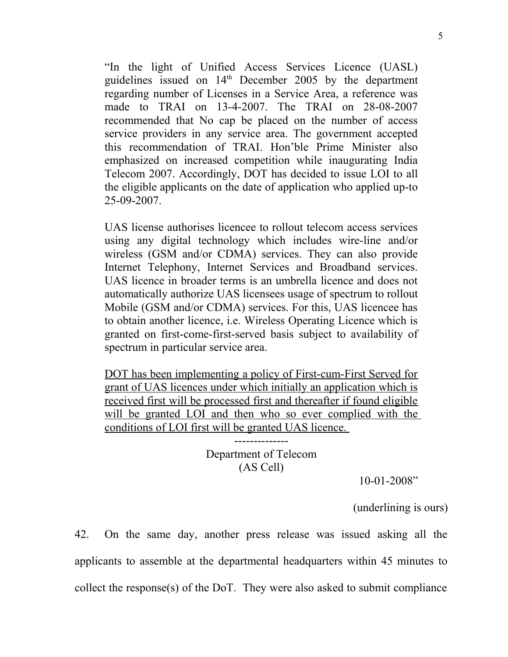"In the light of Unified Access Services Licence (UASL) guidelines issued on  $14<sup>th</sup>$  December 2005 by the department regarding number of Licenses in a Service Area, a reference was made to TRAI on 13-4-2007. The TRAI on 28-08-2007 recommended that No cap be placed on the number of access service providers in any service area. The government accepted this recommendation of TRAI. Hon'ble Prime Minister also emphasized on increased competition while inaugurating India Telecom 2007. Accordingly, DOT has decided to issue LOI to all the eligible applicants on the date of application who applied up-to 25-09-2007.

UAS license authorises licencee to rollout telecom access services using any digital technology which includes wire-line and/or wireless (GSM and/or CDMA) services. They can also provide Internet Telephony, Internet Services and Broadband services. UAS licence in broader terms is an umbrella licence and does not automatically authorize UAS licensees usage of spectrum to rollout Mobile (GSM and/or CDMA) services. For this, UAS licencee has to obtain another licence, i.e. Wireless Operating Licence which is granted on first-come-first-served basis subject to availability of spectrum in particular service area.

DOT has been implementing a policy of First-cum-First Served for grant of UAS licences under which initially an application which is received first will be processed first and thereafter if found eligible will be granted LOI and then who so ever complied with the conditions of LOI first will be granted UAS licence.

> -------------- Department of Telecom (AS Cell)

10-01-2008"

(underlining is ours)

42. On the same day, another press release was issued asking all the applicants to assemble at the departmental headquarters within 45 minutes to collect the response(s) of the DoT. They were also asked to submit compliance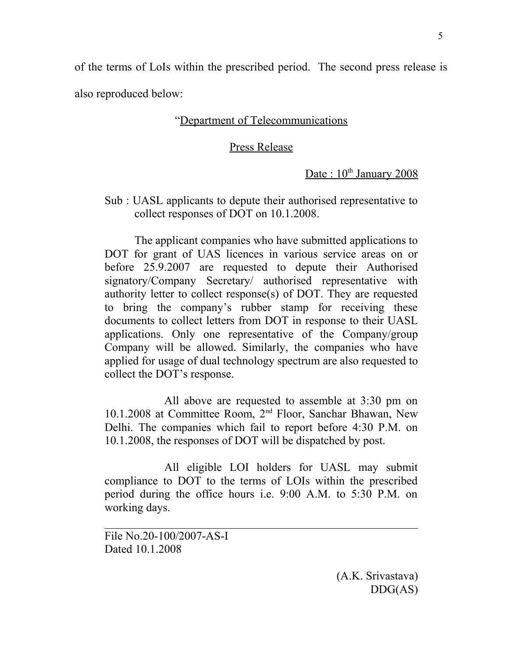of the terms of LoIs within the prescribed period. The second press release is also reproduced below:

## "Department of Telecommunications

### Press Release

## Date: 10<sup>th</sup> January 2008

## Sub : UASL applicants to depute their authorised representative to collect responses of DOT on 10.1.2008.

The applicant companies who have submitted applications to DOT for grant of UAS licences in various service areas on or before 25.9.2007 are requested to depute their Authorised signatory/Company Secretary/ authorised representative with authority letter to collect response(s) of DOT. They are requested to bring the company's rubber stamp for receiving these documents to collect letters from DOT in response to their UASL applications. Only one representative of the Company/group Company will be allowed. Similarly, the companies who have applied for usage of dual technology spectrum are also requested to collect the DOT's response.

All above are requested to assemble at 3:30 pm on 10.1.2008 at Committee Room, 2nd Floor, Sanchar Bhawan, New Delhi. The companies which fail to report before 4:30 P.M. on 10.1.2008, the responses of DOT will be dispatched by post.

All eligible LOI holders for UASL may submit compliance to DOT to the terms of LOIs within the prescribed period during the office hours i.e. 9:00 A.M. to 5:30 P.M. on working days.

File No.20-100/2007-AS-I Dated 10.1.2008

> (A.K. Srivastava) DDG(AS)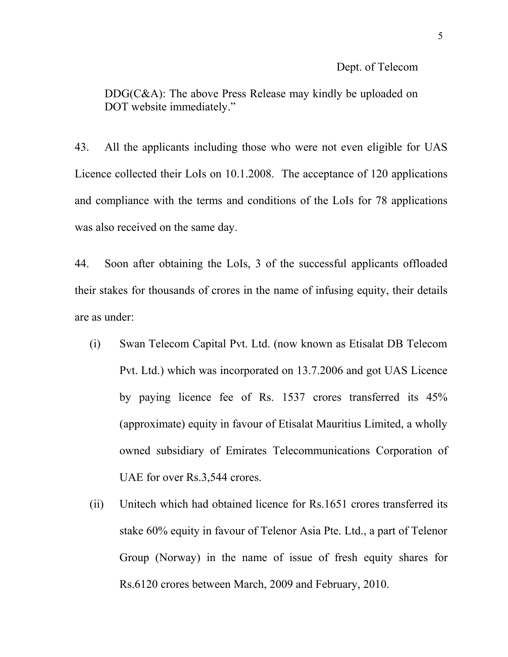DDG(C&A): The above Press Release may kindly be uploaded on DOT website immediately."

43. All the applicants including those who were not even eligible for UAS Licence collected their LoIs on 10.1.2008. The acceptance of 120 applications and compliance with the terms and conditions of the LoIs for 78 applications was also received on the same day.

44. Soon after obtaining the LoIs, 3 of the successful applicants offloaded their stakes for thousands of crores in the name of infusing equity, their details are as under:

- (i) Swan Telecom Capital Pvt. Ltd. (now known as Etisalat DB Telecom Pvt. Ltd.) which was incorporated on 13.7.2006 and got UAS Licence by paying licence fee of Rs. 1537 crores transferred its 45% (approximate) equity in favour of Etisalat Mauritius Limited, a wholly owned subsidiary of Emirates Telecommunications Corporation of UAE for over Rs.3,544 crores.
- (ii) Unitech which had obtained licence for Rs.1651 crores transferred its stake 60% equity in favour of Telenor Asia Pte. Ltd., a part of Telenor Group (Norway) in the name of issue of fresh equity shares for Rs.6120 crores between March, 2009 and February, 2010.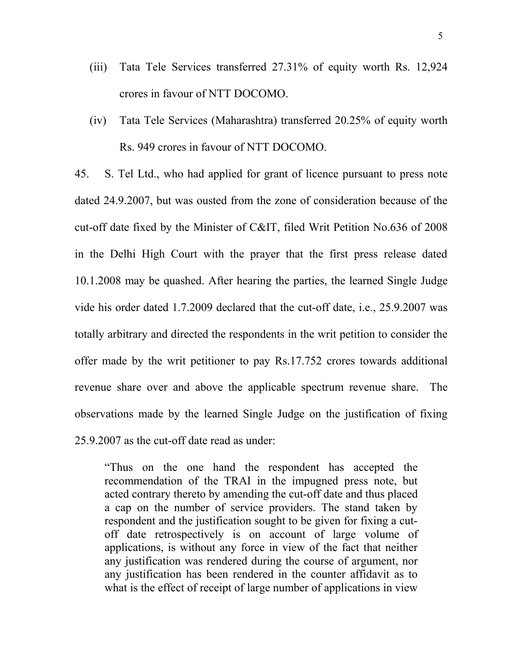- (iii) Tata Tele Services transferred 27.31% of equity worth Rs. 12,924 crores in favour of NTT DOCOMO.
- (iv) Tata Tele Services (Maharashtra) transferred 20.25% of equity worth Rs. 949 crores in favour of NTT DOCOMO.

45. S. Tel Ltd., who had applied for grant of licence pursuant to press note dated 24.9.2007, but was ousted from the zone of consideration because of the cut-off date fixed by the Minister of C&IT, filed Writ Petition No.636 of 2008 in the Delhi High Court with the prayer that the first press release dated 10.1.2008 may be quashed. After hearing the parties, the learned Single Judge vide his order dated 1.7.2009 declared that the cut-off date, i.e., 25.9.2007 was totally arbitrary and directed the respondents in the writ petition to consider the offer made by the writ petitioner to pay Rs.17.752 crores towards additional revenue share over and above the applicable spectrum revenue share. The observations made by the learned Single Judge on the justification of fixing 25.9.2007 as the cut-off date read as under:

"Thus on the one hand the respondent has accepted the recommendation of the TRAI in the impugned press note, but acted contrary thereto by amending the cut-off date and thus placed a cap on the number of service providers. The stand taken by respondent and the justification sought to be given for fixing a cutoff date retrospectively is on account of large volume of applications, is without any force in view of the fact that neither any justification was rendered during the course of argument, nor any justification has been rendered in the counter affidavit as to what is the effect of receipt of large number of applications in view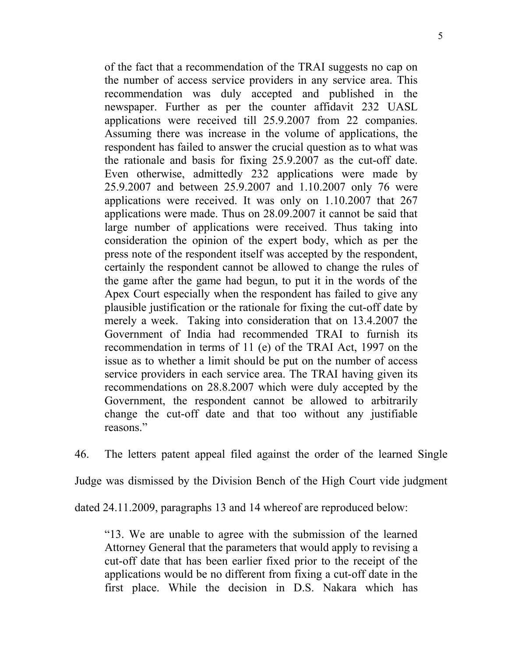of the fact that a recommendation of the TRAI suggests no cap on the number of access service providers in any service area. This recommendation was duly accepted and published in the newspaper. Further as per the counter affidavit 232 UASL applications were received till 25.9.2007 from 22 companies. Assuming there was increase in the volume of applications, the respondent has failed to answer the crucial question as to what was the rationale and basis for fixing 25.9.2007 as the cut-off date. Even otherwise, admittedly 232 applications were made by 25.9.2007 and between 25.9.2007 and 1.10.2007 only 76 were applications were received. It was only on 1.10.2007 that 267 applications were made. Thus on 28.09.2007 it cannot be said that large number of applications were received. Thus taking into consideration the opinion of the expert body, which as per the press note of the respondent itself was accepted by the respondent, certainly the respondent cannot be allowed to change the rules of the game after the game had begun, to put it in the words of the Apex Court especially when the respondent has failed to give any plausible justification or the rationale for fixing the cut-off date by merely a week. Taking into consideration that on 13.4.2007 the Government of India had recommended TRAI to furnish its recommendation in terms of 11 (e) of the TRAI Act, 1997 on the issue as to whether a limit should be put on the number of access service providers in each service area. The TRAI having given its recommendations on 28.8.2007 which were duly accepted by the Government, the respondent cannot be allowed to arbitrarily change the cut-off date and that too without any justifiable reasons."

46. The letters patent appeal filed against the order of the learned Single

Judge was dismissed by the Division Bench of the High Court vide judgment

dated 24.11.2009, paragraphs 13 and 14 whereof are reproduced below:

"13. We are unable to agree with the submission of the learned Attorney General that the parameters that would apply to revising a cut-off date that has been earlier fixed prior to the receipt of the applications would be no different from fixing a cut-off date in the first place. While the decision in D.S. Nakara which has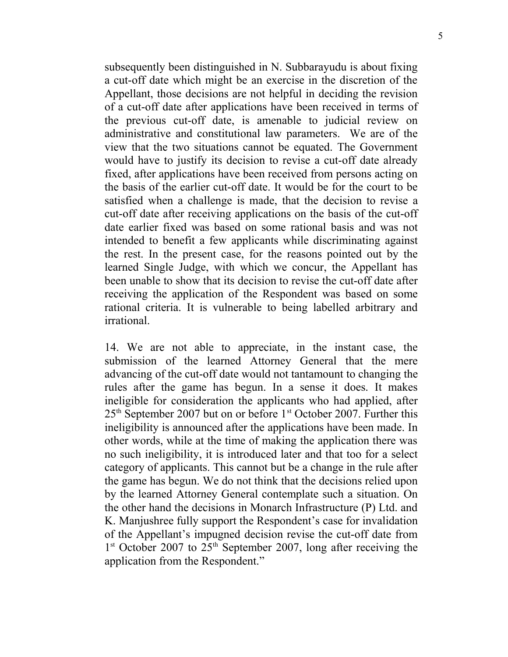subsequently been distinguished in N. Subbarayudu is about fixing a cut-off date which might be an exercise in the discretion of the Appellant, those decisions are not helpful in deciding the revision of a cut-off date after applications have been received in terms of the previous cut-off date, is amenable to judicial review on administrative and constitutional law parameters. We are of the view that the two situations cannot be equated. The Government would have to justify its decision to revise a cut-off date already fixed, after applications have been received from persons acting on the basis of the earlier cut-off date. It would be for the court to be satisfied when a challenge is made, that the decision to revise a cut-off date after receiving applications on the basis of the cut-off date earlier fixed was based on some rational basis and was not intended to benefit a few applicants while discriminating against the rest. In the present case, for the reasons pointed out by the learned Single Judge, with which we concur, the Appellant has been unable to show that its decision to revise the cut-off date after receiving the application of the Respondent was based on some rational criteria. It is vulnerable to being labelled arbitrary and irrational.

14. We are not able to appreciate, in the instant case, the submission of the learned Attorney General that the mere advancing of the cut-off date would not tantamount to changing the rules after the game has begun. In a sense it does. It makes ineligible for consideration the applicants who had applied, after 25th September 2007 but on or before 1st October 2007. Further this ineligibility is announced after the applications have been made. In other words, while at the time of making the application there was no such ineligibility, it is introduced later and that too for a select category of applicants. This cannot but be a change in the rule after the game has begun. We do not think that the decisions relied upon by the learned Attorney General contemplate such a situation. On the other hand the decisions in Monarch Infrastructure (P) Ltd. and K. Manjushree fully support the Respondent's case for invalidation of the Appellant's impugned decision revise the cut-off date from 1<sup>st</sup> October 2007 to 25<sup>th</sup> September 2007, long after receiving the application from the Respondent."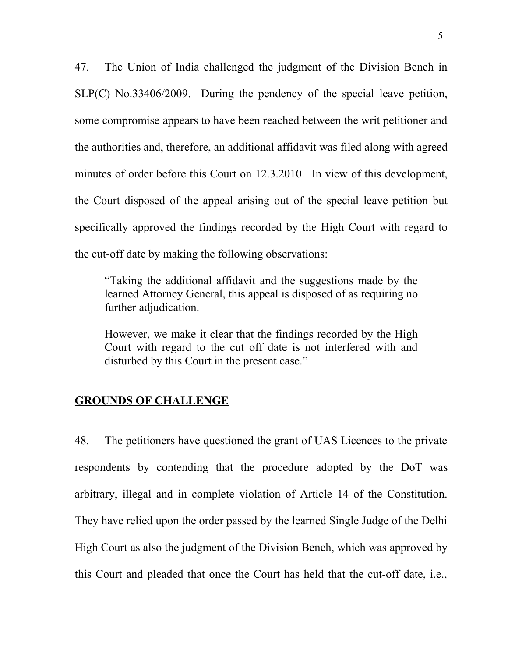47. The Union of India challenged the judgment of the Division Bench in SLP(C) No.33406/2009. During the pendency of the special leave petition, some compromise appears to have been reached between the writ petitioner and the authorities and, therefore, an additional affidavit was filed along with agreed minutes of order before this Court on 12.3.2010. In view of this development, the Court disposed of the appeal arising out of the special leave petition but specifically approved the findings recorded by the High Court with regard to the cut-off date by making the following observations:

"Taking the additional affidavit and the suggestions made by the learned Attorney General, this appeal is disposed of as requiring no further adjudication.

However, we make it clear that the findings recorded by the High Court with regard to the cut off date is not interfered with and disturbed by this Court in the present case."

## **GROUNDS OF CHALLENGE**

48. The petitioners have questioned the grant of UAS Licences to the private respondents by contending that the procedure adopted by the DoT was arbitrary, illegal and in complete violation of Article 14 of the Constitution. They have relied upon the order passed by the learned Single Judge of the Delhi High Court as also the judgment of the Division Bench, which was approved by this Court and pleaded that once the Court has held that the cut-off date, i.e.,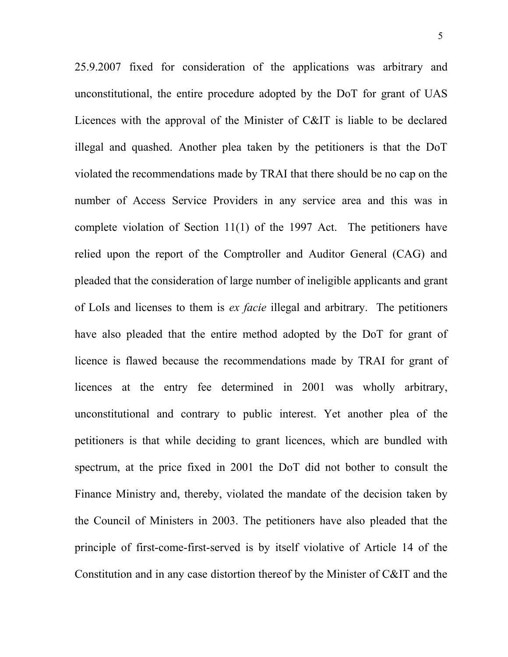25.9.2007 fixed for consideration of the applications was arbitrary and unconstitutional, the entire procedure adopted by the DoT for grant of UAS Licences with the approval of the Minister of C&IT is liable to be declared illegal and quashed. Another plea taken by the petitioners is that the DoT violated the recommendations made by TRAI that there should be no cap on the number of Access Service Providers in any service area and this was in complete violation of Section 11(1) of the 1997 Act. The petitioners have relied upon the report of the Comptroller and Auditor General (CAG) and pleaded that the consideration of large number of ineligible applicants and grant of LoIs and licenses to them is *ex facie* illegal and arbitrary. The petitioners have also pleaded that the entire method adopted by the DoT for grant of licence is flawed because the recommendations made by TRAI for grant of licences at the entry fee determined in 2001 was wholly arbitrary, unconstitutional and contrary to public interest. Yet another plea of the petitioners is that while deciding to grant licences, which are bundled with spectrum, at the price fixed in 2001 the DoT did not bother to consult the Finance Ministry and, thereby, violated the mandate of the decision taken by the Council of Ministers in 2003. The petitioners have also pleaded that the principle of first-come-first-served is by itself violative of Article 14 of the Constitution and in any case distortion thereof by the Minister of C&IT and the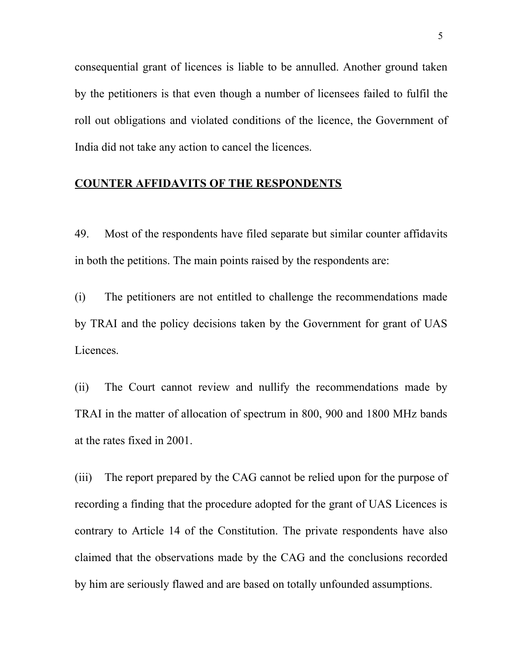consequential grant of licences is liable to be annulled. Another ground taken by the petitioners is that even though a number of licensees failed to fulfil the roll out obligations and violated conditions of the licence, the Government of India did not take any action to cancel the licences.

#### **COUNTER AFFIDAVITS OF THE RESPONDENTS**

49. Most of the respondents have filed separate but similar counter affidavits in both the petitions. The main points raised by the respondents are:

(i) The petitioners are not entitled to challenge the recommendations made by TRAI and the policy decisions taken by the Government for grant of UAS Licences.

(ii) The Court cannot review and nullify the recommendations made by TRAI in the matter of allocation of spectrum in 800, 900 and 1800 MHz bands at the rates fixed in 2001.

(iii) The report prepared by the CAG cannot be relied upon for the purpose of recording a finding that the procedure adopted for the grant of UAS Licences is contrary to Article 14 of the Constitution. The private respondents have also claimed that the observations made by the CAG and the conclusions recorded by him are seriously flawed and are based on totally unfounded assumptions.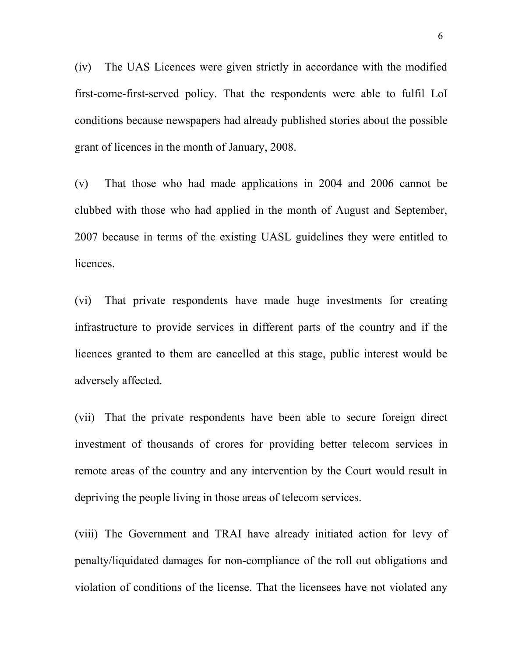(iv) The UAS Licences were given strictly in accordance with the modified first-come-first-served policy. That the respondents were able to fulfil LoI conditions because newspapers had already published stories about the possible grant of licences in the month of January, 2008.

(v) That those who had made applications in 2004 and 2006 cannot be clubbed with those who had applied in the month of August and September, 2007 because in terms of the existing UASL guidelines they were entitled to licences.

(vi) That private respondents have made huge investments for creating infrastructure to provide services in different parts of the country and if the licences granted to them are cancelled at this stage, public interest would be adversely affected.

(vii) That the private respondents have been able to secure foreign direct investment of thousands of crores for providing better telecom services in remote areas of the country and any intervention by the Court would result in depriving the people living in those areas of telecom services.

(viii) The Government and TRAI have already initiated action for levy of penalty/liquidated damages for non-compliance of the roll out obligations and violation of conditions of the license. That the licensees have not violated any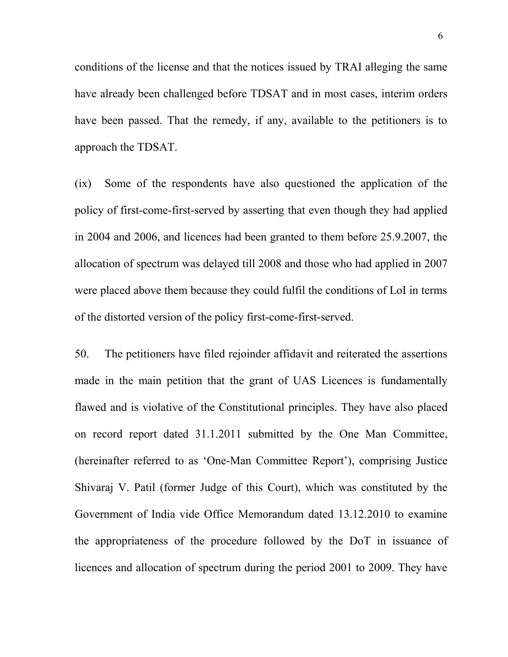conditions of the license and that the notices issued by TRAI alleging the same have already been challenged before TDSAT and in most cases, interim orders have been passed. That the remedy, if any, available to the petitioners is to approach the TDSAT.

(ix) Some of the respondents have also questioned the application of the policy of first-come-first-served by asserting that even though they had applied in 2004 and 2006, and licences had been granted to them before 25.9.2007, the allocation of spectrum was delayed till 2008 and those who had applied in 2007 were placed above them because they could fulfil the conditions of LoI in terms of the distorted version of the policy first-come-first-served.

50. The petitioners have filed rejoinder affidavit and reiterated the assertions made in the main petition that the grant of UAS Licences is fundamentally flawed and is violative of the Constitutional principles. They have also placed on record report dated 31.1.2011 submitted by the One Man Committee, (hereinafter referred to as 'One-Man Committee Report'), comprising Justice Shivaraj V. Patil (former Judge of this Court), which was constituted by the Government of India vide Office Memorandum dated 13.12.2010 to examine the appropriateness of the procedure followed by the DoT in issuance of licences and allocation of spectrum during the period 2001 to 2009. They have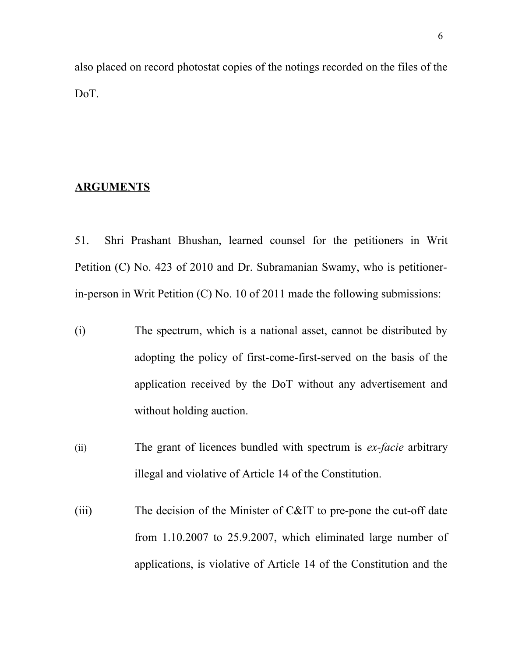also placed on record photostat copies of the notings recorded on the files of the DoT.

#### **ARGUMENTS**

51. Shri Prashant Bhushan, learned counsel for the petitioners in Writ Petition (C) No. 423 of 2010 and Dr. Subramanian Swamy, who is petitionerin-person in Writ Petition (C) No. 10 of 2011 made the following submissions:

- (i) The spectrum, which is a national asset, cannot be distributed by adopting the policy of first-come-first-served on the basis of the application received by the DoT without any advertisement and without holding auction.
- (ii) The grant of licences bundled with spectrum is *ex-facie* arbitrary illegal and violative of Article 14 of the Constitution.
- (iii) The decision of the Minister of C&IT to pre-pone the cut-off date from 1.10.2007 to 25.9.2007, which eliminated large number of applications, is violative of Article 14 of the Constitution and the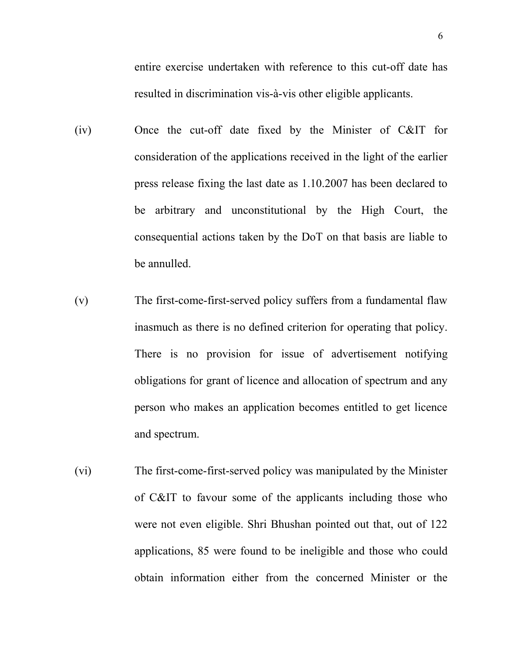entire exercise undertaken with reference to this cut-off date has resulted in discrimination vis-à-vis other eligible applicants.

- (iv) Once the cut-off date fixed by the Minister of C&IT for consideration of the applications received in the light of the earlier press release fixing the last date as 1.10.2007 has been declared to be arbitrary and unconstitutional by the High Court, the consequential actions taken by the DoT on that basis are liable to be annulled.
- (v) The first-come-first-served policy suffers from a fundamental flaw inasmuch as there is no defined criterion for operating that policy. There is no provision for issue of advertisement notifying obligations for grant of licence and allocation of spectrum and any person who makes an application becomes entitled to get licence and spectrum.
- (vi) The first-come-first-served policy was manipulated by the Minister of C&IT to favour some of the applicants including those who were not even eligible. Shri Bhushan pointed out that, out of 122 applications, 85 were found to be ineligible and those who could obtain information either from the concerned Minister or the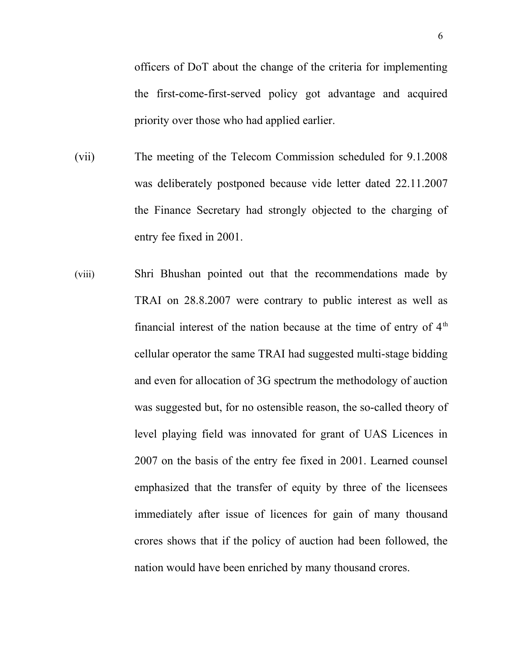officers of DoT about the change of the criteria for implementing the first-come-first-served policy got advantage and acquired priority over those who had applied earlier.

- (vii) The meeting of the Telecom Commission scheduled for 9.1.2008 was deliberately postponed because vide letter dated 22.11.2007 the Finance Secretary had strongly objected to the charging of entry fee fixed in 2001.
- (viii) Shri Bhushan pointed out that the recommendations made by TRAI on 28.8.2007 were contrary to public interest as well as financial interest of the nation because at the time of entry of  $4<sup>th</sup>$ cellular operator the same TRAI had suggested multi-stage bidding and even for allocation of 3G spectrum the methodology of auction was suggested but, for no ostensible reason, the so-called theory of level playing field was innovated for grant of UAS Licences in 2007 on the basis of the entry fee fixed in 2001. Learned counsel emphasized that the transfer of equity by three of the licensees immediately after issue of licences for gain of many thousand crores shows that if the policy of auction had been followed, the nation would have been enriched by many thousand crores.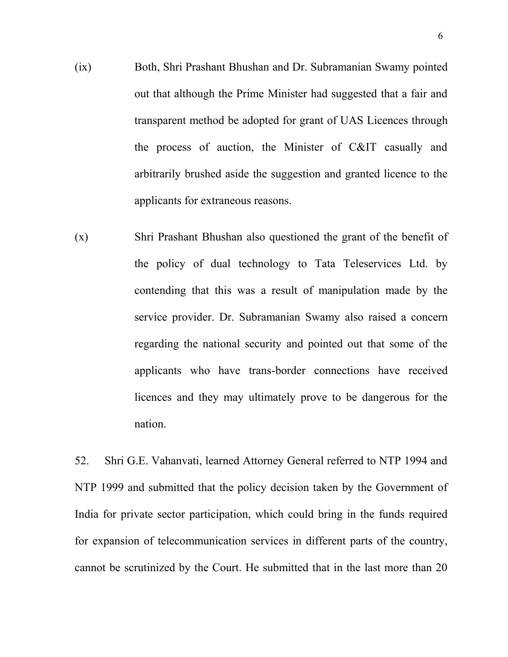- (ix) Both, Shri Prashant Bhushan and Dr. Subramanian Swamy pointed out that although the Prime Minister had suggested that a fair and transparent method be adopted for grant of UAS Licences through the process of auction, the Minister of C&IT casually and arbitrarily brushed aside the suggestion and granted licence to the applicants for extraneous reasons.
- (x) Shri Prashant Bhushan also questioned the grant of the benefit of the policy of dual technology to Tata Teleservices Ltd. by contending that this was a result of manipulation made by the service provider. Dr. Subramanian Swamy also raised a concern regarding the national security and pointed out that some of the applicants who have trans-border connections have received licences and they may ultimately prove to be dangerous for the nation.

52. Shri G.E. Vahanvati, learned Attorney General referred to NTP 1994 and NTP 1999 and submitted that the policy decision taken by the Government of India for private sector participation, which could bring in the funds required for expansion of telecommunication services in different parts of the country, cannot be scrutinized by the Court. He submitted that in the last more than 20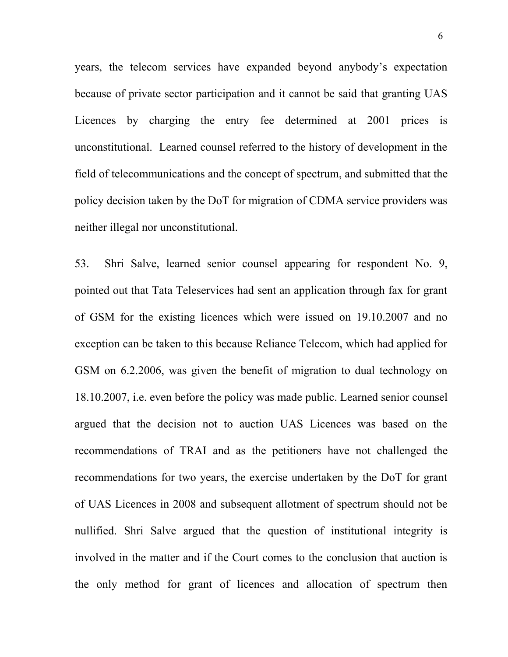years, the telecom services have expanded beyond anybody's expectation because of private sector participation and it cannot be said that granting UAS Licences by charging the entry fee determined at 2001 prices is unconstitutional. Learned counsel referred to the history of development in the field of telecommunications and the concept of spectrum, and submitted that the policy decision taken by the DoT for migration of CDMA service providers was neither illegal nor unconstitutional.

53. Shri Salve, learned senior counsel appearing for respondent No. 9, pointed out that Tata Teleservices had sent an application through fax for grant of GSM for the existing licences which were issued on 19.10.2007 and no exception can be taken to this because Reliance Telecom, which had applied for GSM on 6.2.2006, was given the benefit of migration to dual technology on 18.10.2007, i.e. even before the policy was made public. Learned senior counsel argued that the decision not to auction UAS Licences was based on the recommendations of TRAI and as the petitioners have not challenged the recommendations for two years, the exercise undertaken by the DoT for grant of UAS Licences in 2008 and subsequent allotment of spectrum should not be nullified. Shri Salve argued that the question of institutional integrity is involved in the matter and if the Court comes to the conclusion that auction is the only method for grant of licences and allocation of spectrum then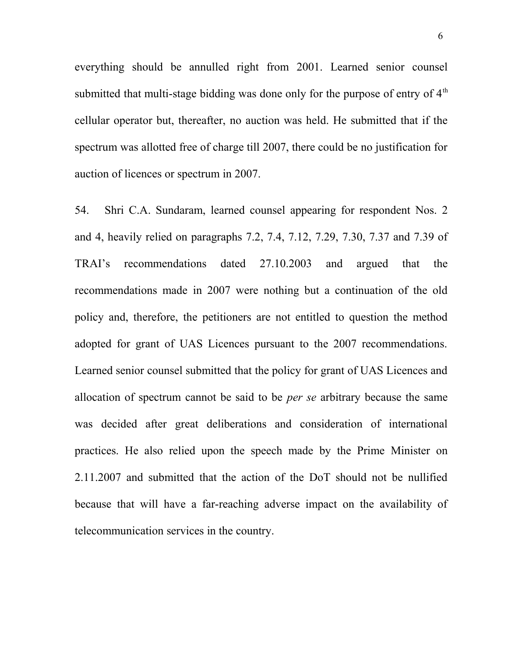everything should be annulled right from 2001. Learned senior counsel submitted that multi-stage bidding was done only for the purpose of entry of  $4<sup>th</sup>$ cellular operator but, thereafter, no auction was held. He submitted that if the spectrum was allotted free of charge till 2007, there could be no justification for auction of licences or spectrum in 2007.

54. Shri C.A. Sundaram, learned counsel appearing for respondent Nos. 2 and 4, heavily relied on paragraphs 7.2, 7.4, 7.12, 7.29, 7.30, 7.37 and 7.39 of TRAI's recommendations dated 27.10.2003 and argued that the recommendations made in 2007 were nothing but a continuation of the old policy and, therefore, the petitioners are not entitled to question the method adopted for grant of UAS Licences pursuant to the 2007 recommendations. Learned senior counsel submitted that the policy for grant of UAS Licences and allocation of spectrum cannot be said to be *per se* arbitrary because the same was decided after great deliberations and consideration of international practices. He also relied upon the speech made by the Prime Minister on 2.11.2007 and submitted that the action of the DoT should not be nullified because that will have a far-reaching adverse impact on the availability of telecommunication services in the country.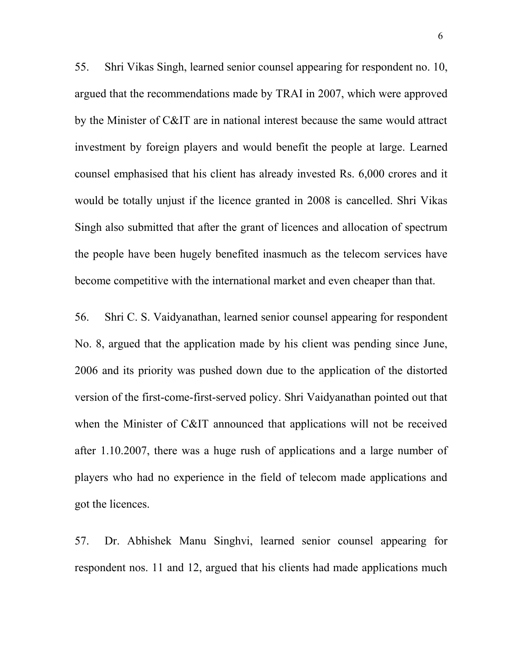55. Shri Vikas Singh, learned senior counsel appearing for respondent no. 10, argued that the recommendations made by TRAI in 2007, which were approved by the Minister of C&IT are in national interest because the same would attract investment by foreign players and would benefit the people at large. Learned counsel emphasised that his client has already invested Rs. 6,000 crores and it would be totally unjust if the licence granted in 2008 is cancelled. Shri Vikas Singh also submitted that after the grant of licences and allocation of spectrum the people have been hugely benefited inasmuch as the telecom services have become competitive with the international market and even cheaper than that.

56. Shri C. S. Vaidyanathan, learned senior counsel appearing for respondent No. 8, argued that the application made by his client was pending since June, 2006 and its priority was pushed down due to the application of the distorted version of the first-come-first-served policy. Shri Vaidyanathan pointed out that when the Minister of C&IT announced that applications will not be received after 1.10.2007, there was a huge rush of applications and a large number of players who had no experience in the field of telecom made applications and got the licences.

57. Dr. Abhishek Manu Singhvi, learned senior counsel appearing for respondent nos. 11 and 12, argued that his clients had made applications much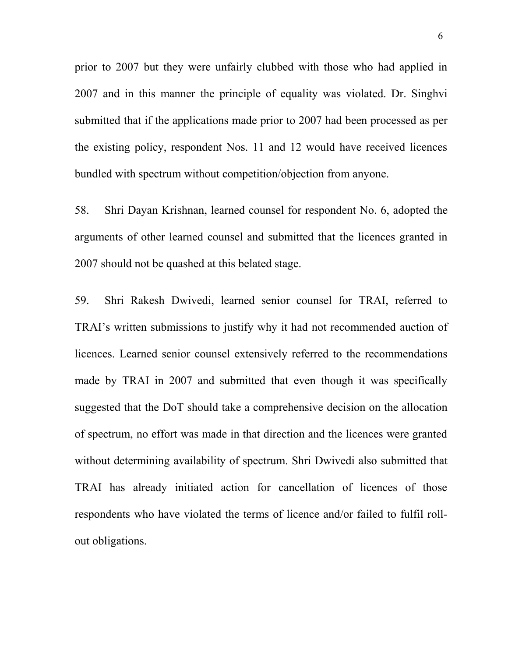prior to 2007 but they were unfairly clubbed with those who had applied in 2007 and in this manner the principle of equality was violated. Dr. Singhvi submitted that if the applications made prior to 2007 had been processed as per the existing policy, respondent Nos. 11 and 12 would have received licences bundled with spectrum without competition/objection from anyone.

58. Shri Dayan Krishnan, learned counsel for respondent No. 6, adopted the arguments of other learned counsel and submitted that the licences granted in 2007 should not be quashed at this belated stage.

59. Shri Rakesh Dwivedi, learned senior counsel for TRAI, referred to TRAI's written submissions to justify why it had not recommended auction of licences. Learned senior counsel extensively referred to the recommendations made by TRAI in 2007 and submitted that even though it was specifically suggested that the DoT should take a comprehensive decision on the allocation of spectrum, no effort was made in that direction and the licences were granted without determining availability of spectrum. Shri Dwivedi also submitted that TRAI has already initiated action for cancellation of licences of those respondents who have violated the terms of licence and/or failed to fulfil rollout obligations.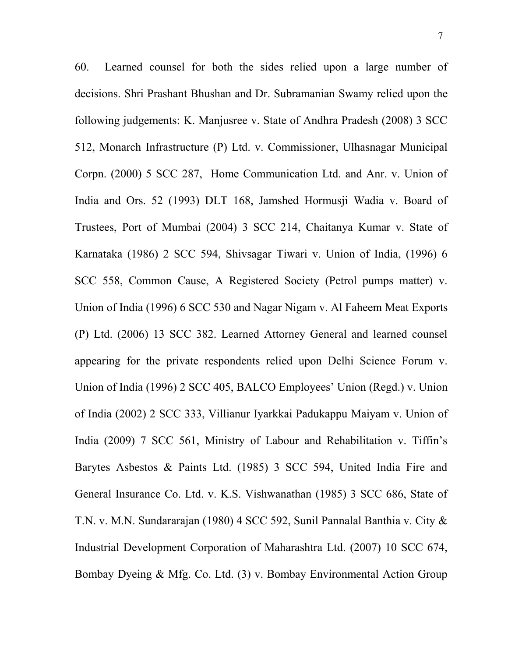60. Learned counsel for both the sides relied upon a large number of decisions. Shri Prashant Bhushan and Dr. Subramanian Swamy relied upon the following judgements: K. Manjusree v. State of Andhra Pradesh (2008) 3 SCC 512, Monarch Infrastructure (P) Ltd. v. Commissioner, Ulhasnagar Municipal Corpn. (2000) 5 SCC 287, Home Communication Ltd. and Anr. v. Union of India and Ors. 52 (1993) DLT 168, Jamshed Hormusji Wadia v. Board of Trustees, Port of Mumbai (2004) 3 SCC 214, Chaitanya Kumar v. State of Karnataka (1986) 2 SCC 594, Shivsagar Tiwari v. Union of India, (1996) 6 SCC 558, Common Cause, A Registered Society (Petrol pumps matter) v. Union of India (1996) 6 SCC 530 and Nagar Nigam v. Al Faheem Meat Exports (P) Ltd. (2006) 13 SCC 382. Learned Attorney General and learned counsel appearing for the private respondents relied upon Delhi Science Forum v. Union of India (1996) 2 SCC 405, BALCO Employees' Union (Regd.) v. Union of India (2002) 2 SCC 333, Villianur Iyarkkai Padukappu Maiyam v. Union of India (2009) 7 SCC 561, Ministry of Labour and Rehabilitation v. Tiffin's Barytes Asbestos & Paints Ltd. (1985) 3 SCC 594, United India Fire and General Insurance Co. Ltd. v. K.S. Vishwanathan (1985) 3 SCC 686, State of T.N. v. M.N. Sundararajan (1980) 4 SCC 592, Sunil Pannalal Banthia v. City & Industrial Development Corporation of Maharashtra Ltd. (2007) 10 SCC 674, Bombay Dyeing & Mfg. Co. Ltd. (3) v. Bombay Environmental Action Group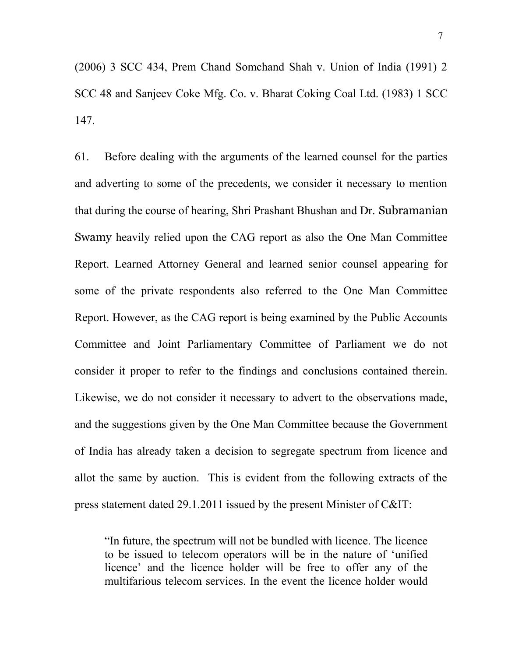7

(2006) 3 SCC 434, Prem Chand Somchand Shah v. Union of India (1991) 2 SCC 48 and Sanjeev Coke Mfg. Co. v. Bharat Coking Coal Ltd. (1983) 1 SCC 147.

61. Before dealing with the arguments of the learned counsel for the parties and adverting to some of the precedents, we consider it necessary to mention that during the course of hearing, Shri Prashant Bhushan and Dr. Subramanian Swamy heavily relied upon the CAG report as also the One Man Committee Report. Learned Attorney General and learned senior counsel appearing for some of the private respondents also referred to the One Man Committee Report. However, as the CAG report is being examined by the Public Accounts Committee and Joint Parliamentary Committee of Parliament we do not consider it proper to refer to the findings and conclusions contained therein. Likewise, we do not consider it necessary to advert to the observations made, and the suggestions given by the One Man Committee because the Government of India has already taken a decision to segregate spectrum from licence and allot the same by auction. This is evident from the following extracts of the press statement dated 29.1.2011 issued by the present Minister of C&IT:

"In future, the spectrum will not be bundled with licence. The licence to be issued to telecom operators will be in the nature of 'unified licence' and the licence holder will be free to offer any of the multifarious telecom services. In the event the licence holder would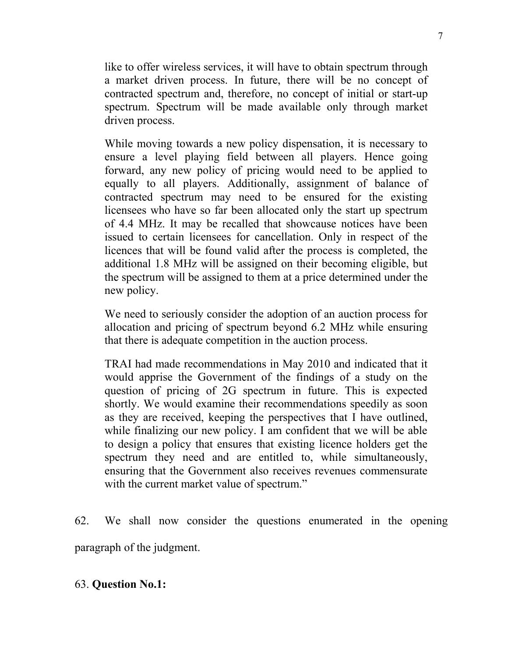like to offer wireless services, it will have to obtain spectrum through a market driven process. In future, there will be no concept of contracted spectrum and, therefore, no concept of initial or start-up spectrum. Spectrum will be made available only through market driven process.

While moving towards a new policy dispensation, it is necessary to ensure a level playing field between all players. Hence going forward, any new policy of pricing would need to be applied to equally to all players. Additionally, assignment of balance of contracted spectrum may need to be ensured for the existing licensees who have so far been allocated only the start up spectrum of 4.4 MHz. It may be recalled that showcause notices have been issued to certain licensees for cancellation. Only in respect of the licences that will be found valid after the process is completed, the additional 1.8 MHz will be assigned on their becoming eligible, but the spectrum will be assigned to them at a price determined under the new policy.

We need to seriously consider the adoption of an auction process for allocation and pricing of spectrum beyond 6.2 MHz while ensuring that there is adequate competition in the auction process.

TRAI had made recommendations in May 2010 and indicated that it would apprise the Government of the findings of a study on the question of pricing of 2G spectrum in future. This is expected shortly. We would examine their recommendations speedily as soon as they are received, keeping the perspectives that I have outlined, while finalizing our new policy. I am confident that we will be able to design a policy that ensures that existing licence holders get the spectrum they need and are entitled to, while simultaneously, ensuring that the Government also receives revenues commensurate with the current market value of spectrum."

62. We shall now consider the questions enumerated in the opening paragraph of the judgment.

## 63. **Question No.1:**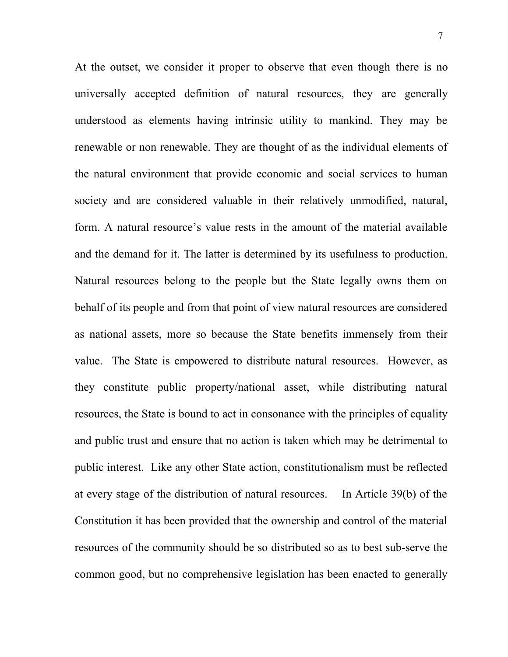At the outset, we consider it proper to observe that even though there is no universally accepted definition of natural resources, they are generally understood as elements having intrinsic utility to mankind. They may be renewable or non renewable. They are thought of as the individual elements of the natural environment that provide economic and social services to human society and are considered valuable in their relatively unmodified, natural, form. A natural resource's value rests in the amount of the material available and the demand for it. The latter is determined by its usefulness to production. Natural resources belong to the people but the State legally owns them on behalf of its people and from that point of view natural resources are considered as national assets, more so because the State benefits immensely from their value. The State is empowered to distribute natural resources. However, as they constitute public property/national asset, while distributing natural resources, the State is bound to act in consonance with the principles of equality and public trust and ensure that no action is taken which may be detrimental to public interest. Like any other State action, constitutionalism must be reflected at every stage of the distribution of natural resources. In Article 39(b) of the Constitution it has been provided that the ownership and control of the material resources of the community should be so distributed so as to best sub-serve the common good, but no comprehensive legislation has been enacted to generally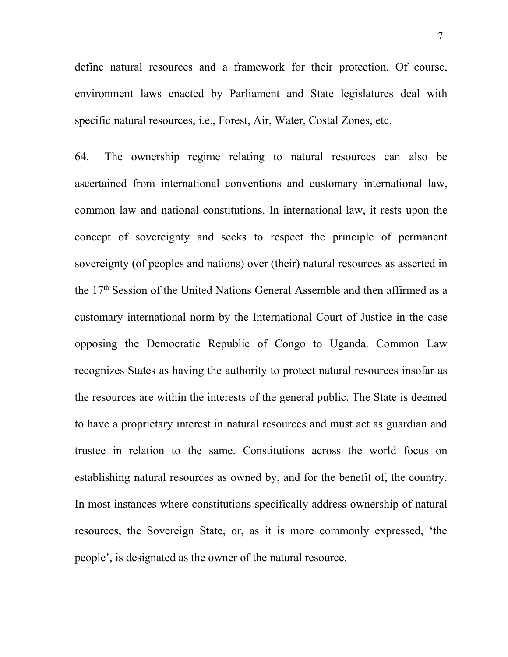7

define natural resources and a framework for their protection. Of course, environment laws enacted by Parliament and State legislatures deal with specific natural resources, i.e., Forest, Air, Water, Costal Zones, etc.

64. The ownership regime relating to natural resources can also be ascertained from international conventions and customary international law, common law and national constitutions. In international law, it rests upon the concept of sovereignty and seeks to respect the principle of permanent sovereignty (of peoples and nations) over (their) natural resources as asserted in the 17th Session of the United Nations General Assemble and then affirmed as a customary international norm by the International Court of Justice in the case opposing the Democratic Republic of Congo to Uganda. Common Law recognizes States as having the authority to protect natural resources insofar as the resources are within the interests of the general public. The State is deemed to have a proprietary interest in natural resources and must act as guardian and trustee in relation to the same. Constitutions across the world focus on establishing natural resources as owned by, and for the benefit of, the country. In most instances where constitutions specifically address ownership of natural resources, the Sovereign State, or, as it is more commonly expressed, 'the people', is designated as the owner of the natural resource.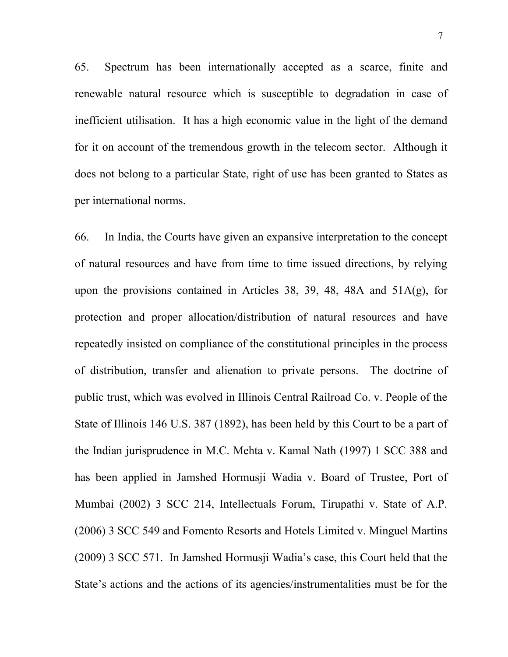65. Spectrum has been internationally accepted as a scarce, finite and renewable natural resource which is susceptible to degradation in case of inefficient utilisation. It has a high economic value in the light of the demand for it on account of the tremendous growth in the telecom sector. Although it does not belong to a particular State, right of use has been granted to States as per international norms.

66. In India, the Courts have given an expansive interpretation to the concept of natural resources and have from time to time issued directions, by relying upon the provisions contained in Articles 38, 39, 48, 48A and 51A(g), for protection and proper allocation/distribution of natural resources and have repeatedly insisted on compliance of the constitutional principles in the process of distribution, transfer and alienation to private persons. The doctrine of public trust, which was evolved in Illinois Central Railroad Co. v. People of the State of Illinois 146 U.S. 387 (1892), has been held by this Court to be a part of the Indian jurisprudence in M.C. Mehta v. Kamal Nath (1997) 1 SCC 388 and has been applied in Jamshed Hormusji Wadia v. Board of Trustee, Port of Mumbai (2002) 3 SCC 214, Intellectuals Forum, Tirupathi v. State of A.P. (2006) 3 SCC 549 and Fomento Resorts and Hotels Limited v. Minguel Martins (2009) 3 SCC 571. In Jamshed Hormusji Wadia's case, this Court held that the State's actions and the actions of its agencies/instrumentalities must be for the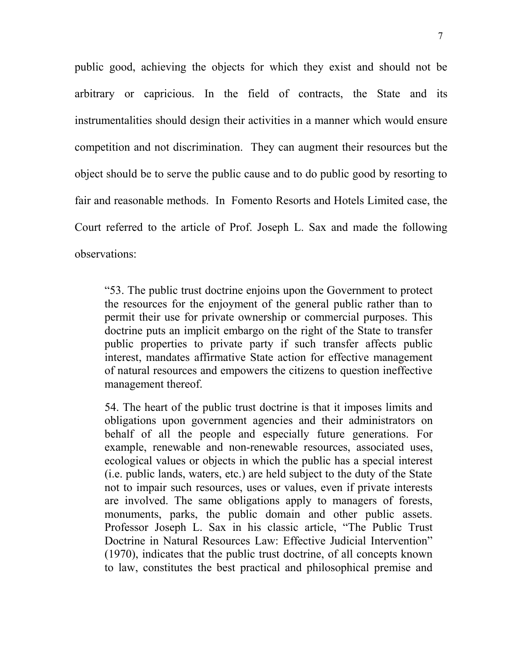public good, achieving the objects for which they exist and should not be arbitrary or capricious. In the field of contracts, the State and its instrumentalities should design their activities in a manner which would ensure competition and not discrimination. They can augment their resources but the object should be to serve the public cause and to do public good by resorting to fair and reasonable methods. In Fomento Resorts and Hotels Limited case, the Court referred to the article of Prof. Joseph L. Sax and made the following observations:

"53. The public trust doctrine enjoins upon the Government to protect the resources for the enjoyment of the general public rather than to permit their use for private ownership or commercial purposes. This doctrine puts an implicit embargo on the right of the State to transfer public properties to private party if such transfer affects public interest, mandates affirmative State action for effective management of natural resources and empowers the citizens to question ineffective management thereof.

54. The heart of the public trust doctrine is that it imposes limits and obligations upon government agencies and their administrators on behalf of all the people and especially future generations. For example, renewable and non-renewable resources, associated uses, ecological values or objects in which the public has a special interest (i.e. public lands, waters, etc.) are held subject to the duty of the State not to impair such resources, uses or values, even if private interests are involved. The same obligations apply to managers of forests, monuments, parks, the public domain and other public assets. Professor Joseph L. Sax in his classic article, "The Public Trust Doctrine in Natural Resources Law: Effective Judicial Intervention" (1970), indicates that the public trust doctrine, of all concepts known to law, constitutes the best practical and philosophical premise and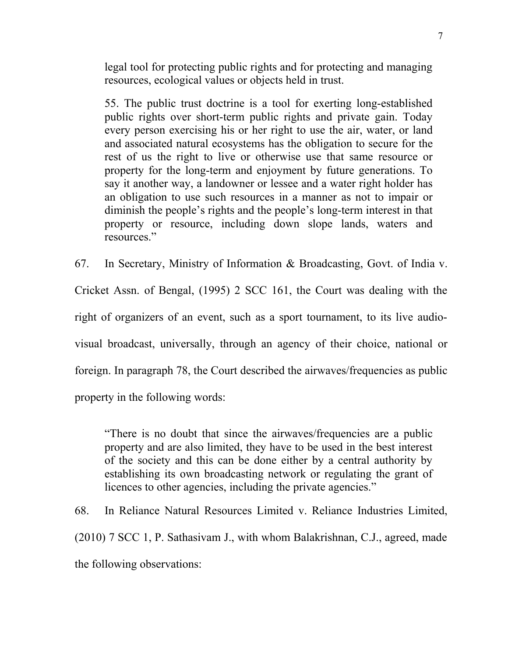legal tool for protecting public rights and for protecting and managing resources, ecological values or objects held in trust.

55. The public trust doctrine is a tool for exerting long-established public rights over short-term public rights and private gain. Today every person exercising his or her right to use the air, water, or land and associated natural ecosystems has the obligation to secure for the rest of us the right to live or otherwise use that same resource or property for the long-term and enjoyment by future generations. To say it another way, a landowner or lessee and a water right holder has an obligation to use such resources in a manner as not to impair or diminish the people's rights and the people's long-term interest in that property or resource, including down slope lands, waters and resources."

67. In Secretary, Ministry of Information & Broadcasting, Govt. of India v. Cricket Assn. of Bengal, (1995) 2 SCC 161, the Court was dealing with the right of organizers of an event, such as a sport tournament, to its live audiovisual broadcast, universally, through an agency of their choice, national or foreign. In paragraph 78, the Court described the airwaves/frequencies as public property in the following words:

"There is no doubt that since the airwaves/frequencies are a public property and are also limited, they have to be used in the best interest of the society and this can be done either by a central authority by establishing its own broadcasting network or regulating the grant of licences to other agencies, including the private agencies."

68. In Reliance Natural Resources Limited v. Reliance Industries Limited, (2010) 7 SCC 1, P. Sathasivam J., with whom Balakrishnan, C.J., agreed, made the following observations: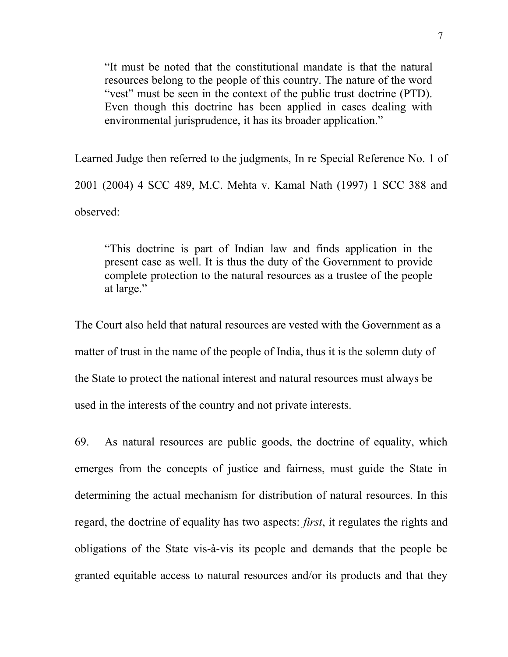"It must be noted that the constitutional mandate is that the natural resources belong to the people of this country. The nature of the word "vest" must be seen in the context of the public trust doctrine (PTD). Even though this doctrine has been applied in cases dealing with environmental jurisprudence, it has its broader application."

Learned Judge then referred to the judgments, In re Special Reference No. 1 of 2001 (2004) 4 SCC 489, M.C. Mehta v. Kamal Nath (1997) 1 SCC 388 and observed:

"This doctrine is part of Indian law and finds application in the present case as well. It is thus the duty of the Government to provide complete protection to the natural resources as a trustee of the people at large."

The Court also held that natural resources are vested with the Government as a matter of trust in the name of the people of India, thus it is the solemn duty of the State to protect the national interest and natural resources must always be used in the interests of the country and not private interests.

69. As natural resources are public goods, the doctrine of equality, which emerges from the concepts of justice and fairness, must guide the State in determining the actual mechanism for distribution of natural resources. In this regard, the doctrine of equality has two aspects: *first*, it regulates the rights and obligations of the State vis-à-vis its people and demands that the people be granted equitable access to natural resources and/or its products and that they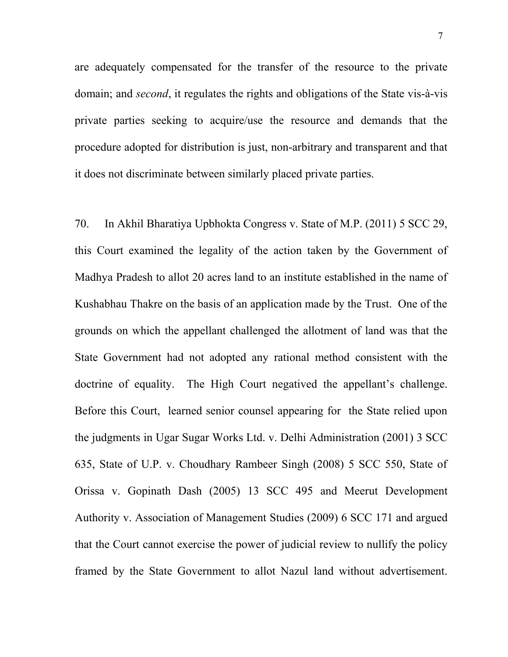are adequately compensated for the transfer of the resource to the private domain; and *second*, it regulates the rights and obligations of the State vis-à-vis private parties seeking to acquire/use the resource and demands that the procedure adopted for distribution is just, non-arbitrary and transparent and that it does not discriminate between similarly placed private parties.

70. In Akhil Bharatiya Upbhokta Congress v. State of M.P. (2011) 5 SCC 29, this Court examined the legality of the action taken by the Government of Madhya Pradesh to allot 20 acres land to an institute established in the name of Kushabhau Thakre on the basis of an application made by the Trust. One of the grounds on which the appellant challenged the allotment of land was that the State Government had not adopted any rational method consistent with the doctrine of equality. The High Court negatived the appellant's challenge. Before this Court, learned senior counsel appearing for the State relied upon the judgments in Ugar Sugar Works Ltd. v. Delhi Administration (2001) 3 SCC 635, State of U.P. v. Choudhary Rambeer Singh (2008) 5 SCC 550, State of Orissa v. Gopinath Dash (2005) 13 SCC 495 and Meerut Development Authority v. Association of Management Studies (2009) 6 SCC 171 and argued that the Court cannot exercise the power of judicial review to nullify the policy framed by the State Government to allot Nazul land without advertisement.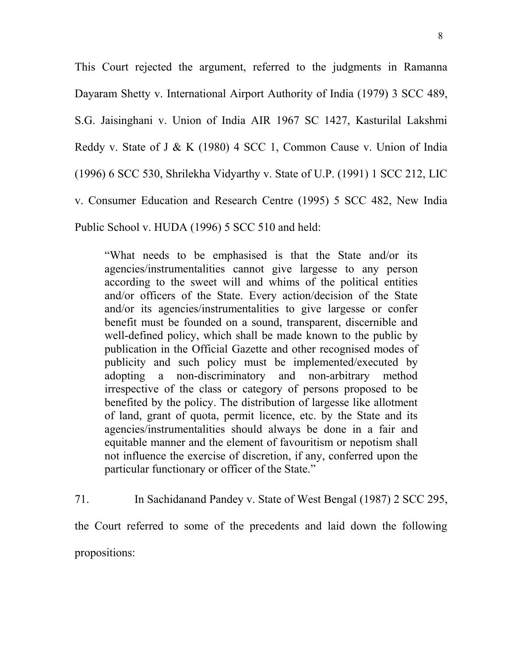This Court rejected the argument, referred to the judgments in Ramanna Dayaram Shetty v. International Airport Authority of India (1979) 3 SCC 489, S.G. Jaisinghani v. Union of India AIR 1967 SC 1427, Kasturilal Lakshmi Reddy v. State of J & K (1980) 4 SCC 1, Common Cause v. Union of India (1996) 6 SCC 530, Shrilekha Vidyarthy v. State of U.P. (1991) 1 SCC 212, LIC v. Consumer Education and Research Centre (1995) 5 SCC 482, New India Public School v. HUDA (1996) 5 SCC 510 and held:

"What needs to be emphasised is that the State and/or its agencies/instrumentalities cannot give largesse to any person according to the sweet will and whims of the political entities and/or officers of the State. Every action/decision of the State and/or its agencies/instrumentalities to give largesse or confer benefit must be founded on a sound, transparent, discernible and well-defined policy, which shall be made known to the public by publication in the Official Gazette and other recognised modes of publicity and such policy must be implemented/executed by adopting a non-discriminatory and non-arbitrary method irrespective of the class or category of persons proposed to be benefited by the policy. The distribution of largesse like allotment of land, grant of quota, permit licence, etc. by the State and its agencies/instrumentalities should always be done in a fair and equitable manner and the element of favouritism or nepotism shall not influence the exercise of discretion, if any, conferred upon the particular functionary or officer of the State."

71. In Sachidanand Pandey v. State of West Bengal (1987) 2 SCC 295, the Court referred to some of the precedents and laid down the following propositions: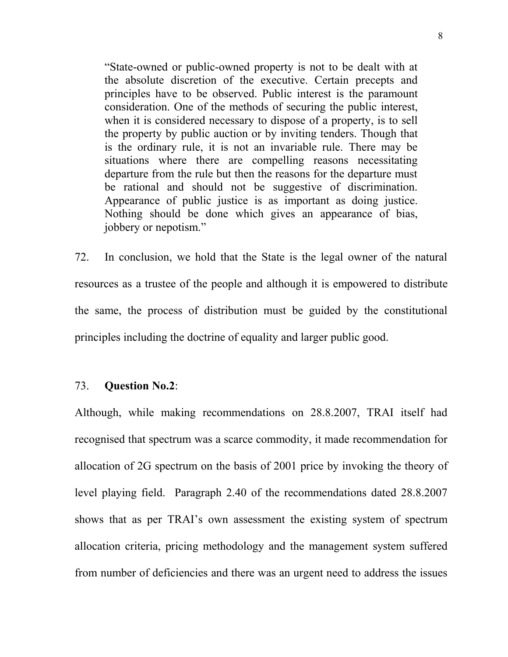"State-owned or public-owned property is not to be dealt with at the absolute discretion of the executive. Certain precepts and principles have to be observed. Public interest is the paramount consideration. One of the methods of securing the public interest, when it is considered necessary to dispose of a property, is to sell the property by public auction or by inviting tenders. Though that is the ordinary rule, it is not an invariable rule. There may be situations where there are compelling reasons necessitating departure from the rule but then the reasons for the departure must be rational and should not be suggestive of discrimination. Appearance of public justice is as important as doing justice. Nothing should be done which gives an appearance of bias, jobbery or nepotism."

72. In conclusion, we hold that the State is the legal owner of the natural resources as a trustee of the people and although it is empowered to distribute the same, the process of distribution must be guided by the constitutional principles including the doctrine of equality and larger public good.

## 73. **Question No.2**:

Although, while making recommendations on 28.8.2007, TRAI itself had recognised that spectrum was a scarce commodity, it made recommendation for allocation of 2G spectrum on the basis of 2001 price by invoking the theory of level playing field. Paragraph 2.40 of the recommendations dated 28.8.2007 shows that as per TRAI's own assessment the existing system of spectrum allocation criteria, pricing methodology and the management system suffered from number of deficiencies and there was an urgent need to address the issues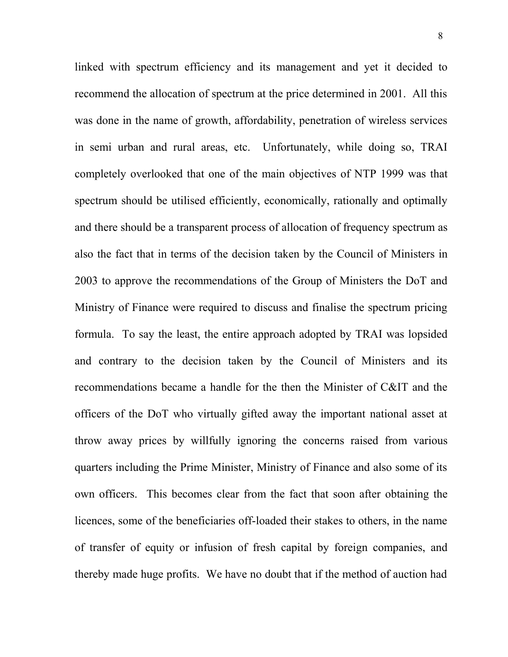linked with spectrum efficiency and its management and yet it decided to recommend the allocation of spectrum at the price determined in 2001. All this was done in the name of growth, affordability, penetration of wireless services in semi urban and rural areas, etc. Unfortunately, while doing so, TRAI completely overlooked that one of the main objectives of NTP 1999 was that spectrum should be utilised efficiently, economically, rationally and optimally and there should be a transparent process of allocation of frequency spectrum as also the fact that in terms of the decision taken by the Council of Ministers in 2003 to approve the recommendations of the Group of Ministers the DoT and Ministry of Finance were required to discuss and finalise the spectrum pricing formula. To say the least, the entire approach adopted by TRAI was lopsided and contrary to the decision taken by the Council of Ministers and its recommendations became a handle for the then the Minister of C&IT and the officers of the DoT who virtually gifted away the important national asset at throw away prices by willfully ignoring the concerns raised from various quarters including the Prime Minister, Ministry of Finance and also some of its own officers. This becomes clear from the fact that soon after obtaining the licences, some of the beneficiaries off-loaded their stakes to others, in the name of transfer of equity or infusion of fresh capital by foreign companies, and thereby made huge profits. We have no doubt that if the method of auction had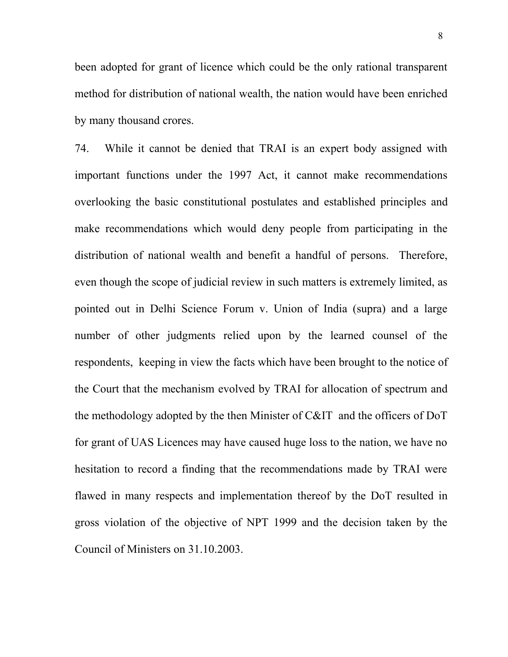been adopted for grant of licence which could be the only rational transparent method for distribution of national wealth, the nation would have been enriched by many thousand crores.

74. While it cannot be denied that TRAI is an expert body assigned with important functions under the 1997 Act, it cannot make recommendations overlooking the basic constitutional postulates and established principles and make recommendations which would deny people from participating in the distribution of national wealth and benefit a handful of persons. Therefore, even though the scope of judicial review in such matters is extremely limited, as pointed out in Delhi Science Forum v. Union of India (supra) and a large number of other judgments relied upon by the learned counsel of the respondents, keeping in view the facts which have been brought to the notice of the Court that the mechanism evolved by TRAI for allocation of spectrum and the methodology adopted by the then Minister of C&IT and the officers of DoT for grant of UAS Licences may have caused huge loss to the nation, we have no hesitation to record a finding that the recommendations made by TRAI were flawed in many respects and implementation thereof by the DoT resulted in gross violation of the objective of NPT 1999 and the decision taken by the Council of Ministers on 31.10.2003.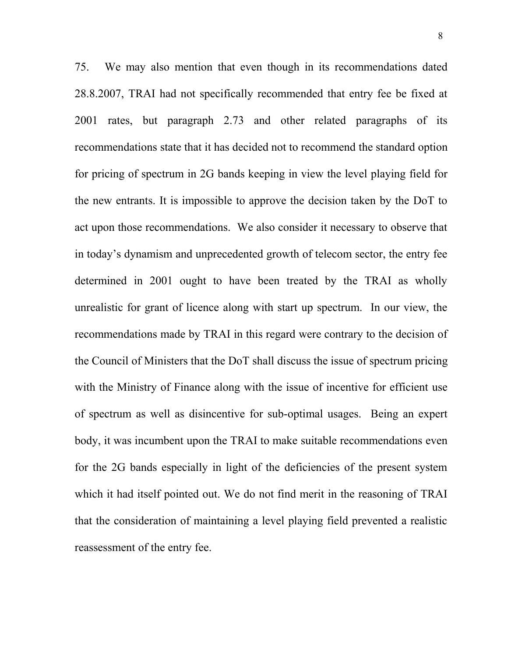75. We may also mention that even though in its recommendations dated 28.8.2007, TRAI had not specifically recommended that entry fee be fixed at 2001 rates, but paragraph 2.73 and other related paragraphs of its recommendations state that it has decided not to recommend the standard option for pricing of spectrum in 2G bands keeping in view the level playing field for the new entrants. It is impossible to approve the decision taken by the DoT to act upon those recommendations. We also consider it necessary to observe that in today's dynamism and unprecedented growth of telecom sector, the entry fee determined in 2001 ought to have been treated by the TRAI as wholly unrealistic for grant of licence along with start up spectrum. In our view, the recommendations made by TRAI in this regard were contrary to the decision of the Council of Ministers that the DoT shall discuss the issue of spectrum pricing with the Ministry of Finance along with the issue of incentive for efficient use of spectrum as well as disincentive for sub-optimal usages. Being an expert body, it was incumbent upon the TRAI to make suitable recommendations even for the 2G bands especially in light of the deficiencies of the present system which it had itself pointed out. We do not find merit in the reasoning of TRAI that the consideration of maintaining a level playing field prevented a realistic reassessment of the entry fee.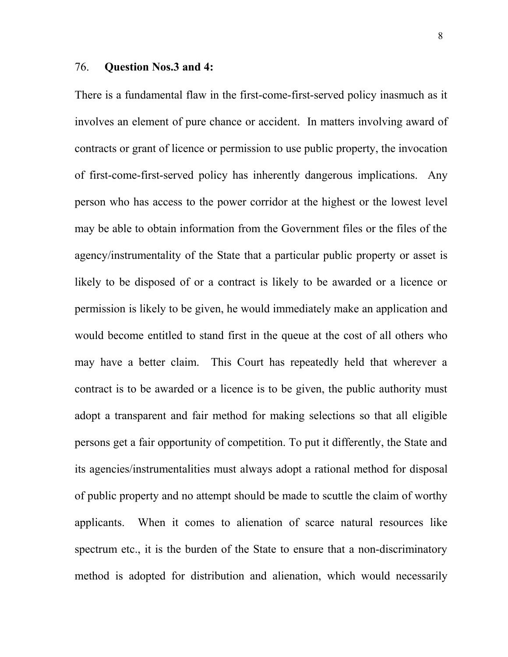## 76. **Question Nos.3 and 4:**

There is a fundamental flaw in the first-come-first-served policy inasmuch as it involves an element of pure chance or accident. In matters involving award of contracts or grant of licence or permission to use public property, the invocation of first-come-first-served policy has inherently dangerous implications. Any person who has access to the power corridor at the highest or the lowest level may be able to obtain information from the Government files or the files of the agency/instrumentality of the State that a particular public property or asset is likely to be disposed of or a contract is likely to be awarded or a licence or permission is likely to be given, he would immediately make an application and would become entitled to stand first in the queue at the cost of all others who may have a better claim. This Court has repeatedly held that wherever a contract is to be awarded or a licence is to be given, the public authority must adopt a transparent and fair method for making selections so that all eligible persons get a fair opportunity of competition. To put it differently, the State and its agencies/instrumentalities must always adopt a rational method for disposal of public property and no attempt should be made to scuttle the claim of worthy applicants. When it comes to alienation of scarce natural resources like spectrum etc., it is the burden of the State to ensure that a non-discriminatory method is adopted for distribution and alienation, which would necessarily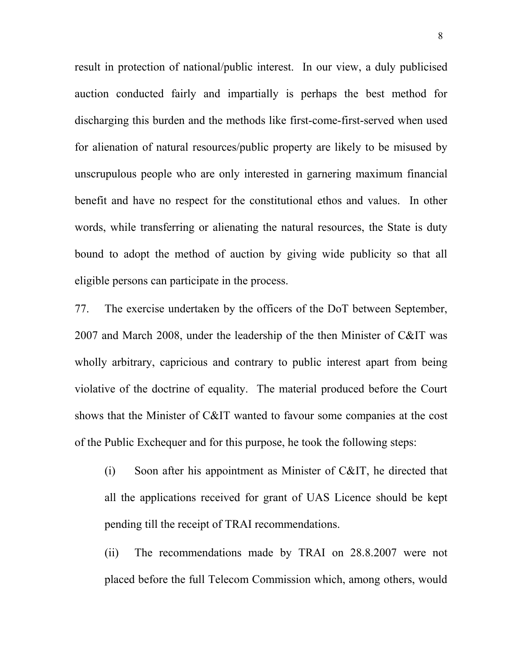result in protection of national/public interest. In our view, a duly publicised auction conducted fairly and impartially is perhaps the best method for discharging this burden and the methods like first-come-first-served when used for alienation of natural resources/public property are likely to be misused by unscrupulous people who are only interested in garnering maximum financial benefit and have no respect for the constitutional ethos and values. In other words, while transferring or alienating the natural resources, the State is duty bound to adopt the method of auction by giving wide publicity so that all eligible persons can participate in the process.

77. The exercise undertaken by the officers of the DoT between September, 2007 and March 2008, under the leadership of the then Minister of C&IT was wholly arbitrary, capricious and contrary to public interest apart from being violative of the doctrine of equality. The material produced before the Court shows that the Minister of C&IT wanted to favour some companies at the cost of the Public Exchequer and for this purpose, he took the following steps:

(i) Soon after his appointment as Minister of C&IT, he directed that all the applications received for grant of UAS Licence should be kept pending till the receipt of TRAI recommendations.

(ii) The recommendations made by TRAI on 28.8.2007 were not placed before the full Telecom Commission which, among others, would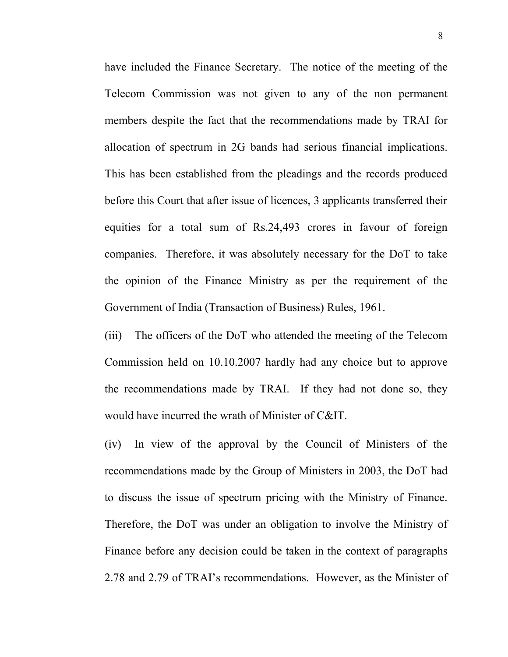have included the Finance Secretary. The notice of the meeting of the Telecom Commission was not given to any of the non permanent members despite the fact that the recommendations made by TRAI for allocation of spectrum in 2G bands had serious financial implications. This has been established from the pleadings and the records produced before this Court that after issue of licences, 3 applicants transferred their equities for a total sum of Rs.24,493 crores in favour of foreign companies. Therefore, it was absolutely necessary for the DoT to take the opinion of the Finance Ministry as per the requirement of the Government of India (Transaction of Business) Rules, 1961.

(iii) The officers of the DoT who attended the meeting of the Telecom Commission held on 10.10.2007 hardly had any choice but to approve the recommendations made by TRAI. If they had not done so, they would have incurred the wrath of Minister of C&IT.

(iv) In view of the approval by the Council of Ministers of the recommendations made by the Group of Ministers in 2003, the DoT had to discuss the issue of spectrum pricing with the Ministry of Finance. Therefore, the DoT was under an obligation to involve the Ministry of Finance before any decision could be taken in the context of paragraphs 2.78 and 2.79 of TRAI's recommendations. However, as the Minister of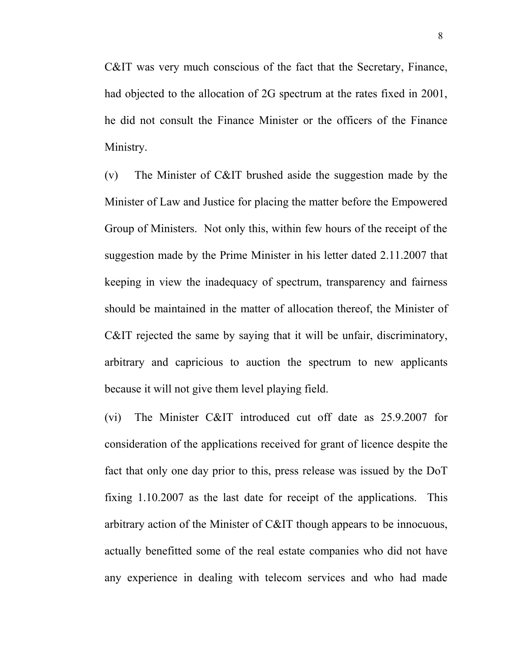C&IT was very much conscious of the fact that the Secretary, Finance, had objected to the allocation of 2G spectrum at the rates fixed in 2001, he did not consult the Finance Minister or the officers of the Finance Ministry.

(v) The Minister of C&IT brushed aside the suggestion made by the Minister of Law and Justice for placing the matter before the Empowered Group of Ministers. Not only this, within few hours of the receipt of the suggestion made by the Prime Minister in his letter dated 2.11.2007 that keeping in view the inadequacy of spectrum, transparency and fairness should be maintained in the matter of allocation thereof, the Minister of C&IT rejected the same by saying that it will be unfair, discriminatory, arbitrary and capricious to auction the spectrum to new applicants because it will not give them level playing field.

(vi) The Minister C&IT introduced cut off date as 25.9.2007 for consideration of the applications received for grant of licence despite the fact that only one day prior to this, press release was issued by the DoT fixing 1.10.2007 as the last date for receipt of the applications. This arbitrary action of the Minister of C&IT though appears to be innocuous, actually benefitted some of the real estate companies who did not have any experience in dealing with telecom services and who had made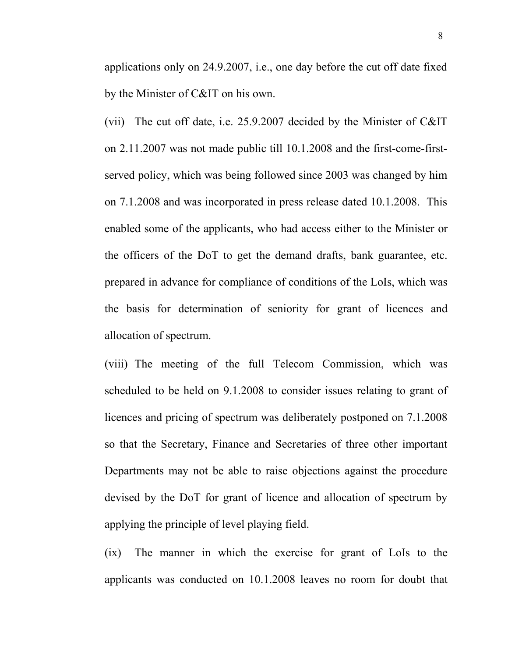applications only on 24.9.2007, i.e., one day before the cut off date fixed by the Minister of C&IT on his own.

(vii) The cut off date, i.e. 25.9.2007 decided by the Minister of C&IT on 2.11.2007 was not made public till 10.1.2008 and the first-come-firstserved policy, which was being followed since 2003 was changed by him on 7.1.2008 and was incorporated in press release dated 10.1.2008. This enabled some of the applicants, who had access either to the Minister or the officers of the DoT to get the demand drafts, bank guarantee, etc. prepared in advance for compliance of conditions of the LoIs, which was the basis for determination of seniority for grant of licences and allocation of spectrum.

(viii) The meeting of the full Telecom Commission, which was scheduled to be held on 9.1.2008 to consider issues relating to grant of licences and pricing of spectrum was deliberately postponed on 7.1.2008 so that the Secretary, Finance and Secretaries of three other important Departments may not be able to raise objections against the procedure devised by the DoT for grant of licence and allocation of spectrum by applying the principle of level playing field.

(ix) The manner in which the exercise for grant of LoIs to the applicants was conducted on 10.1.2008 leaves no room for doubt that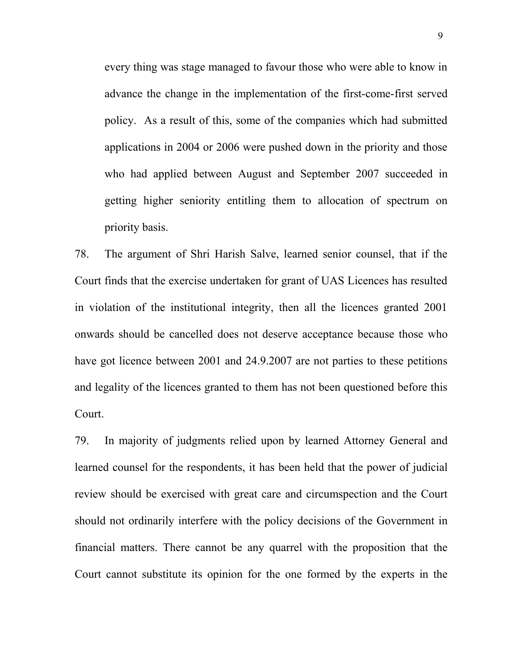every thing was stage managed to favour those who were able to know in advance the change in the implementation of the first-come-first served policy. As a result of this, some of the companies which had submitted applications in 2004 or 2006 were pushed down in the priority and those who had applied between August and September 2007 succeeded in getting higher seniority entitling them to allocation of spectrum on priority basis.

78. The argument of Shri Harish Salve, learned senior counsel, that if the Court finds that the exercise undertaken for grant of UAS Licences has resulted in violation of the institutional integrity, then all the licences granted 2001 onwards should be cancelled does not deserve acceptance because those who have got licence between 2001 and 24.9.2007 are not parties to these petitions and legality of the licences granted to them has not been questioned before this Court.

79. In majority of judgments relied upon by learned Attorney General and learned counsel for the respondents, it has been held that the power of judicial review should be exercised with great care and circumspection and the Court should not ordinarily interfere with the policy decisions of the Government in financial matters. There cannot be any quarrel with the proposition that the Court cannot substitute its opinion for the one formed by the experts in the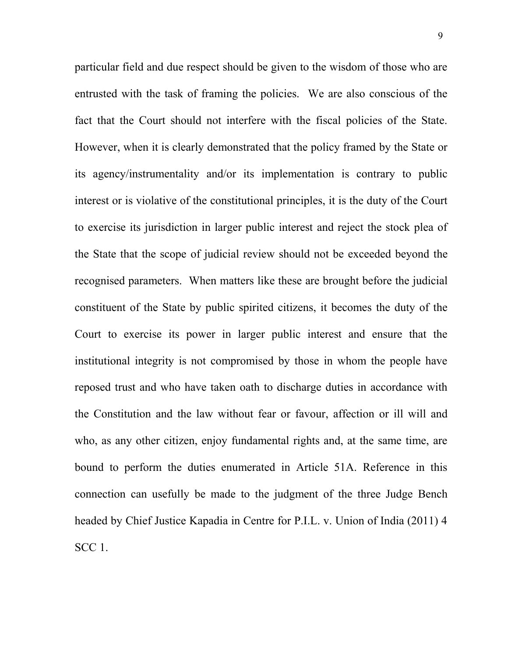particular field and due respect should be given to the wisdom of those who are entrusted with the task of framing the policies. We are also conscious of the fact that the Court should not interfere with the fiscal policies of the State. However, when it is clearly demonstrated that the policy framed by the State or its agency/instrumentality and/or its implementation is contrary to public interest or is violative of the constitutional principles, it is the duty of the Court to exercise its jurisdiction in larger public interest and reject the stock plea of the State that the scope of judicial review should not be exceeded beyond the recognised parameters. When matters like these are brought before the judicial constituent of the State by public spirited citizens, it becomes the duty of the Court to exercise its power in larger public interest and ensure that the institutional integrity is not compromised by those in whom the people have reposed trust and who have taken oath to discharge duties in accordance with the Constitution and the law without fear or favour, affection or ill will and who, as any other citizen, enjoy fundamental rights and, at the same time, are bound to perform the duties enumerated in Article 51A. Reference in this connection can usefully be made to the judgment of the three Judge Bench headed by Chief Justice Kapadia in Centre for P.I.L. v. Union of India (2011) 4 SCC 1.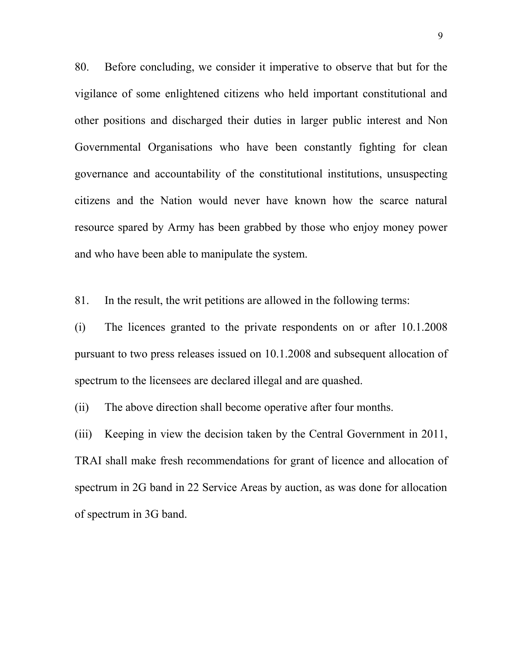80. Before concluding, we consider it imperative to observe that but for the vigilance of some enlightened citizens who held important constitutional and other positions and discharged their duties in larger public interest and Non Governmental Organisations who have been constantly fighting for clean governance and accountability of the constitutional institutions, unsuspecting citizens and the Nation would never have known how the scarce natural resource spared by Army has been grabbed by those who enjoy money power and who have been able to manipulate the system.

81. In the result, the writ petitions are allowed in the following terms:

(i) The licences granted to the private respondents on or after 10.1.2008 pursuant to two press releases issued on 10.1.2008 and subsequent allocation of spectrum to the licensees are declared illegal and are quashed.

(ii) The above direction shall become operative after four months.

(iii) Keeping in view the decision taken by the Central Government in 2011, TRAI shall make fresh recommendations for grant of licence and allocation of spectrum in 2G band in 22 Service Areas by auction, as was done for allocation of spectrum in 3G band.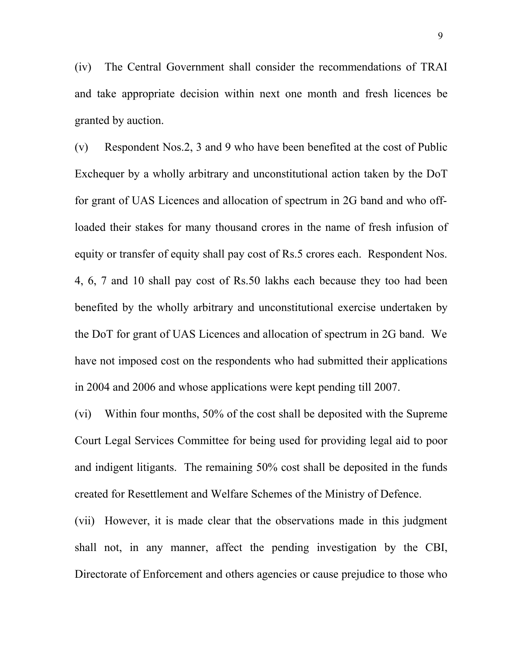(iv) The Central Government shall consider the recommendations of TRAI and take appropriate decision within next one month and fresh licences be granted by auction.

(v) Respondent Nos.2, 3 and 9 who have been benefited at the cost of Public Exchequer by a wholly arbitrary and unconstitutional action taken by the DoT for grant of UAS Licences and allocation of spectrum in 2G band and who offloaded their stakes for many thousand crores in the name of fresh infusion of equity or transfer of equity shall pay cost of Rs.5 crores each. Respondent Nos. 4, 6, 7 and 10 shall pay cost of Rs.50 lakhs each because they too had been benefited by the wholly arbitrary and unconstitutional exercise undertaken by the DoT for grant of UAS Licences and allocation of spectrum in 2G band. We have not imposed cost on the respondents who had submitted their applications in 2004 and 2006 and whose applications were kept pending till 2007.

(vi) Within four months, 50% of the cost shall be deposited with the Supreme Court Legal Services Committee for being used for providing legal aid to poor and indigent litigants. The remaining 50% cost shall be deposited in the funds created for Resettlement and Welfare Schemes of the Ministry of Defence.

(vii) However, it is made clear that the observations made in this judgment shall not, in any manner, affect the pending investigation by the CBI, Directorate of Enforcement and others agencies or cause prejudice to those who